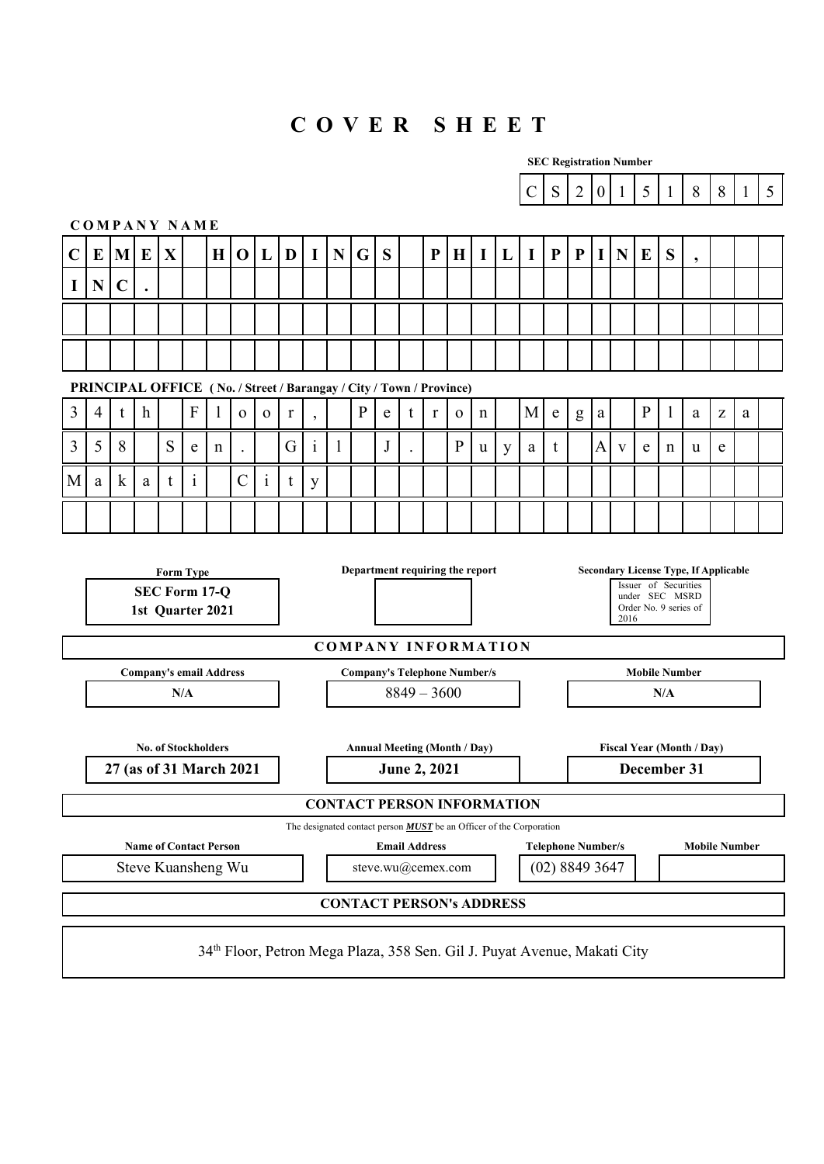# **C O V E R S H E E T**

|                | <b>SEC Registration Number</b>                                                                                                                                                                                      |             |                  |   |                                                                                     |   |                |              |             |              |             |                                     |                      |               |           |              |             |   |                                                                            |           |                                             |                  |              |              |                      |                                  |                                                       |              |   |
|----------------|---------------------------------------------------------------------------------------------------------------------------------------------------------------------------------------------------------------------|-------------|------------------|---|-------------------------------------------------------------------------------------|---|----------------|--------------|-------------|--------------|-------------|-------------------------------------|----------------------|---------------|-----------|--------------|-------------|---|----------------------------------------------------------------------------|-----------|---------------------------------------------|------------------|--------------|--------------|----------------------|----------------------------------|-------------------------------------------------------|--------------|---|
|                |                                                                                                                                                                                                                     |             |                  |   |                                                                                     |   |                |              |             |              |             |                                     |                      |               |           |              |             |   | $\mathcal{C}$                                                              | S         | $\overline{2}$                              | $\boldsymbol{0}$ | $\mathbf{1}$ | 5            | $\mathbf{1}$         | 8                                | 8                                                     | $\mathbf{1}$ | 5 |
|                |                                                                                                                                                                                                                     |             |                  |   | <b>COMPANY NAME</b>                                                                 |   |                |              |             |              |             |                                     |                      |               |           |              |             |   |                                                                            |           |                                             |                  |              |              |                      |                                  |                                                       |              |   |
| $\mathbf C$    | E                                                                                                                                                                                                                   | M           | E                | X |                                                                                     | H | $\mathbf 0$    | L            | D           | $\mathbf I$  | $\mathbf N$ | G                                   | S                    |               | ${\bf P}$ | $\bf H$      | I           | L | I                                                                          | ${\bf P}$ | ${\bf P}$                                   | I                | N            | E            | S                    | $\cdot$                          |                                                       |              |   |
| $\mathbf I$    | N                                                                                                                                                                                                                   | $\mathbf C$ |                  |   |                                                                                     |   |                |              |             |              |             |                                     |                      |               |           |              |             |   |                                                                            |           |                                             |                  |              |              |                      |                                  |                                                       |              |   |
|                |                                                                                                                                                                                                                     |             |                  |   |                                                                                     |   |                |              |             |              |             |                                     |                      |               |           |              |             |   |                                                                            |           |                                             |                  |              |              |                      |                                  |                                                       |              |   |
|                |                                                                                                                                                                                                                     |             |                  |   |                                                                                     |   |                |              |             |              |             |                                     |                      |               |           |              |             |   |                                                                            |           |                                             |                  |              |              |                      |                                  |                                                       |              |   |
|                |                                                                                                                                                                                                                     |             |                  |   |                                                                                     |   |                |              |             |              |             |                                     |                      |               |           |              |             |   |                                                                            |           |                                             |                  |              |              |                      |                                  |                                                       |              |   |
| $\overline{3}$ | $\overline{4}$                                                                                                                                                                                                      | t           | $\boldsymbol{h}$ |   | PRINCIPAL OFFICE (No. / Street / Barangay / City / Town / Province)<br>$\mathbf{F}$ |   | $\mathbf{O}$   | $\mathbf{O}$ | $\mathbf r$ |              |             | ${\bf P}$                           | e                    | t             | $\bf r$   | $\mathbf{o}$ | $\mathbf n$ |   | M                                                                          | ${\bf e}$ | g                                           | $\rm{a}$         |              | $\mathbf{P}$ | $\mathbf{1}$         | a                                | $\mathbf{Z}% ^{T}=\mathbf{Z}^{T}\times\mathbf{Z}^{T}$ | a            |   |
| $\overline{3}$ |                                                                                                                                                                                                                     | 8           |                  |   |                                                                                     |   |                |              |             |              |             |                                     |                      |               |           | $\mathbf{P}$ |             |   |                                                                            |           |                                             |                  |              |              |                      |                                  |                                                       |              |   |
|                | 5                                                                                                                                                                                                                   |             |                  | S | e                                                                                   | n |                |              | G           | $\mathbf{1}$ | 1           |                                     | J                    |               |           |              | u           | y | a                                                                          | t         |                                             | A                | V            | e            | n                    | u                                | e                                                     |              |   |
| M              | a                                                                                                                                                                                                                   | $\bf k$     | a                | t | $\mathbf{1}$                                                                        |   | $\overline{C}$ | $\mathbf{i}$ | t           | y            |             |                                     |                      |               |           |              |             |   |                                                                            |           |                                             |                  |              |              |                      |                                  |                                                       |              |   |
|                |                                                                                                                                                                                                                     |             |                  |   |                                                                                     |   |                |              |             |              |             |                                     |                      |               |           |              |             |   |                                                                            |           |                                             |                  |              |              |                      |                                  |                                                       |              |   |
|                | Department requiring the report<br><b>Secondary License Type, If Applicable</b><br><b>Form Type</b><br>Issuer of Securities<br>SEC Form 17-Q<br>under SEC MSRD<br>Order No. 9 series of<br>1st Quarter 2021<br>2016 |             |                  |   |                                                                                     |   |                |              |             |              |             |                                     |                      |               |           |              |             |   |                                                                            |           |                                             |                  |              |              |                      |                                  |                                                       |              |   |
|                |                                                                                                                                                                                                                     |             |                  |   |                                                                                     |   |                |              |             |              |             | <b>COMPANY INFORMATION</b>          |                      |               |           |              |             |   |                                                                            |           |                                             |                  |              |              |                      |                                  |                                                       |              |   |
|                |                                                                                                                                                                                                                     |             |                  |   | <b>Company's email Address</b>                                                      |   |                |              |             |              |             | <b>Company's Telephone Number/s</b> |                      |               |           |              |             |   |                                                                            |           |                                             |                  |              |              | <b>Mobile Number</b> |                                  |                                                       |              |   |
|                |                                                                                                                                                                                                                     |             |                  |   | N/A                                                                                 |   |                |              |             |              |             |                                     |                      | $8849 - 3600$ |           |              |             |   |                                                                            |           |                                             |                  |              |              | N/A                  |                                  |                                                       |              |   |
|                |                                                                                                                                                                                                                     |             |                  |   | <b>No. of Stockholders</b>                                                          |   |                |              |             |              |             | <b>Annual Meeting (Month / Day)</b> |                      |               |           |              |             |   |                                                                            |           |                                             |                  |              |              |                      | <b>Fiscal Year (Month / Day)</b> |                                                       |              |   |
|                |                                                                                                                                                                                                                     |             |                  |   | 27 (as of 31 March 2021                                                             |   |                |              |             |              |             |                                     |                      | June 2, 2021  |           |              |             |   |                                                                            |           |                                             |                  |              |              | December 31          |                                  |                                                       |              |   |
|                |                                                                                                                                                                                                                     |             |                  |   |                                                                                     |   |                |              |             |              |             | <b>CONTACT PERSON INFORMATION</b>   |                      |               |           |              |             |   |                                                                            |           |                                             |                  |              |              |                      |                                  |                                                       |              |   |
|                |                                                                                                                                                                                                                     |             |                  |   |                                                                                     |   |                |              |             |              |             |                                     |                      |               |           |              |             |   | The designated contact person <b>MUST</b> be an Officer of the Corporation |           |                                             |                  |              |              |                      |                                  |                                                       |              |   |
|                |                                                                                                                                                                                                                     |             |                  |   | <b>Name of Contact Person</b><br>Steve Kuansheng Wu                                 |   |                |              |             |              |             | steve.wu@cemex.com                  | <b>Email Address</b> |               |           |              |             |   |                                                                            |           | <b>Telephone Number/s</b><br>(02) 8849 3647 |                  |              |              |                      | <b>Mobile Number</b>             |                                                       |              |   |
|                |                                                                                                                                                                                                                     |             |                  |   |                                                                                     |   |                |              |             |              |             |                                     |                      |               |           |              |             |   |                                                                            |           |                                             |                  |              |              |                      |                                  |                                                       |              |   |
|                |                                                                                                                                                                                                                     |             |                  |   |                                                                                     |   |                |              |             |              |             | <b>CONTACT PERSON's ADDRESS</b>     |                      |               |           |              |             |   |                                                                            |           |                                             |                  |              |              |                      |                                  |                                                       |              |   |
|                | 34 <sup>th</sup> Floor, Petron Mega Plaza, 358 Sen. Gil J. Puyat Avenue, Makati City                                                                                                                                |             |                  |   |                                                                                     |   |                |              |             |              |             |                                     |                      |               |           |              |             |   |                                                                            |           |                                             |                  |              |              |                      |                                  |                                                       |              |   |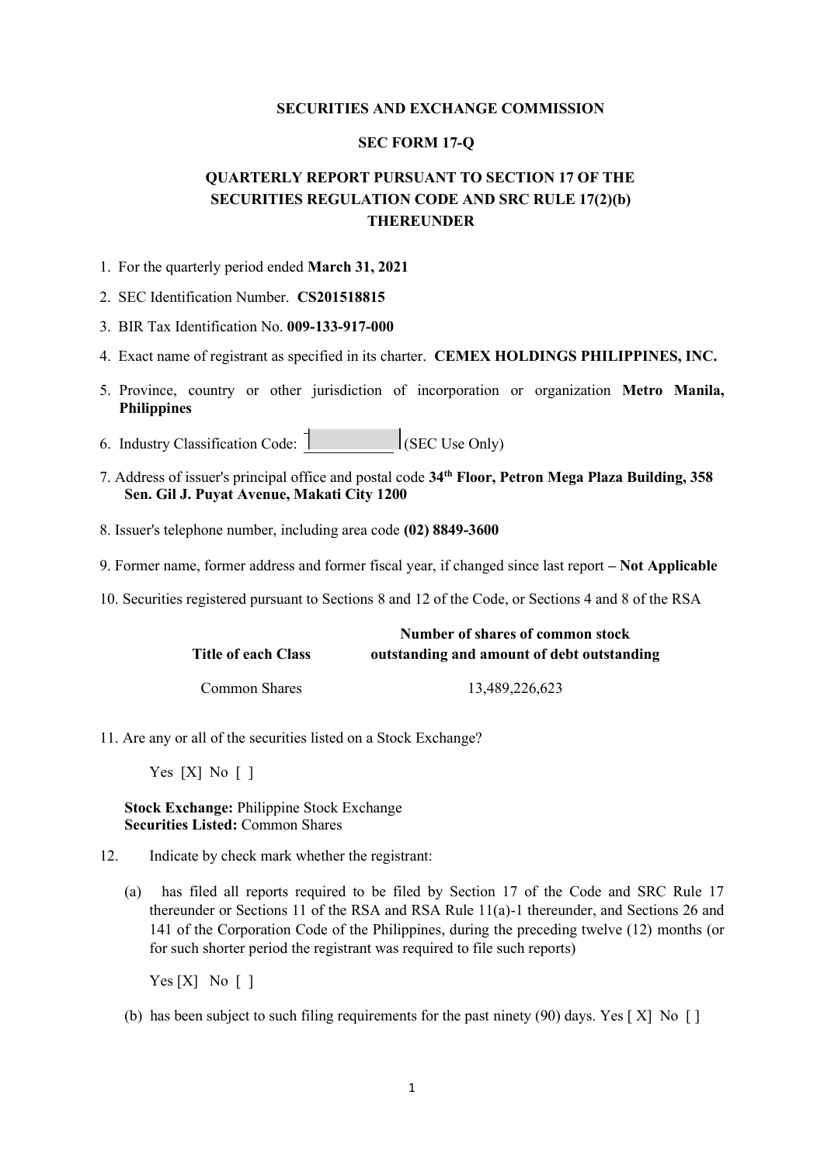# **SECURITIES AND EXCHANGE COMMISSION**

# **SEC FORM 17-Q**

# **QUARTERLY REPORT PURSUANT TO SECTION 17 OF THE SECURITIES REGULATION CODE AND SRC RULE 17(2)(b) THEREUNDER**

- 1. For the quarterly period ended **March 31, 2021**
- 2. SEC Identification Number. **CS201518815**
- 3. BIR Tax Identification No. **009-133-917-000**
- 4. Exact name of registrant as specified in its charter. **CEMEX HOLDINGS PHILIPPINES, INC.**
- 5. Province, country or other jurisdiction of incorporation or organization **Metro Manila, Philippines**
- 6. Industry Classification Code:  $\begin{bmatrix} \n\end{bmatrix}$  (SEC Use Only)
- 7. Address of issuer's principal office and postal code **34th Floor, Petron Mega Plaza Building, 358 Sen. Gil J. Puyat Avenue, Makati City 1200**
- 8. Issuer's telephone number, including area code **(02) 8849-3600**
- 9. Former name, former address and former fiscal year, if changed since last report **– Not Applicable**
- 10. Securities registered pursuant to Sections 8 and 12 of the Code, or Sections 4 and 8 of the RSA

|                            | Number of shares of common stock           |
|----------------------------|--------------------------------------------|
| <b>Title of each Class</b> | outstanding and amount of debt outstanding |
| Common Shares              | 13,489,226,623                             |

11. Are any or all of the securities listed on a Stock Exchange?

Yes  $[X]$  No  $[$  1

**Stock Exchange:** Philippine Stock Exchange **Securities Listed:** Common Shares

- 12. Indicate by check mark whether the registrant:
	- (a) has filed all reports required to be filed by Section 17 of the Code and SRC Rule 17 thereunder or Sections 11 of the RSA and RSA Rule 11(a)-1 thereunder, and Sections 26 and 141 of the Corporation Code of the Philippines, during the preceding twelve (12) months (or for such shorter period the registrant was required to file such reports)

Yes  $[X]$  No  $\lceil$  ]

(b) has been subject to such filing requirements for the past ninety (90) days. Yes [ X] No [ ]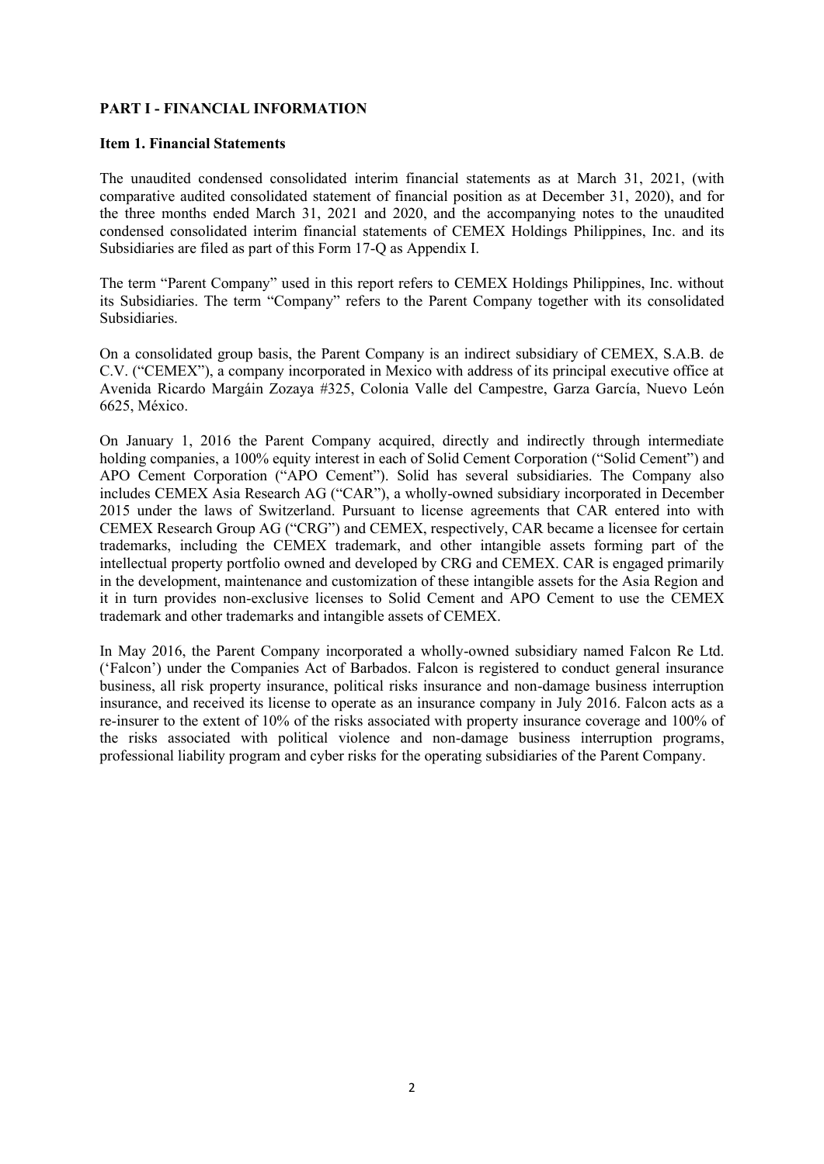# **PART I - FINANCIAL INFORMATION**

# **Item 1. Financial Statements**

The unaudited condensed consolidated interim financial statements as at March 31, 2021, (with comparative audited consolidated statement of financial position as at December 31, 2020), and for the three months ended March 31, 2021 and 2020, and the accompanying notes to the unaudited condensed consolidated interim financial statements of CEMEX Holdings Philippines, Inc. and its Subsidiaries are filed as part of this Form 17-Q as Appendix I.

The term "Parent Company" used in this report refers to CEMEX Holdings Philippines, Inc. without its Subsidiaries. The term "Company" refers to the Parent Company together with its consolidated Subsidiaries.

On a consolidated group basis, the Parent Company is an indirect subsidiary of CEMEX, S.A.B. de C.V. ("CEMEX"), a company incorporated in Mexico with address of its principal executive office at Avenida Ricardo Margáin Zozaya #325, Colonia Valle del Campestre, Garza García, Nuevo León 6625, México.

On January 1, 2016 the Parent Company acquired, directly and indirectly through intermediate holding companies, a 100% equity interest in each of Solid Cement Corporation ("Solid Cement") and APO Cement Corporation ("APO Cement"). Solid has several subsidiaries. The Company also includes CEMEX Asia Research AG ("CAR"), a wholly-owned subsidiary incorporated in December 2015 under the laws of Switzerland. Pursuant to license agreements that CAR entered into with CEMEX Research Group AG ("CRG") and CEMEX, respectively, CAR became a licensee for certain trademarks, including the CEMEX trademark, and other intangible assets forming part of the intellectual property portfolio owned and developed by CRG and CEMEX. CAR is engaged primarily in the development, maintenance and customization of these intangible assets for the Asia Region and it in turn provides non-exclusive licenses to Solid Cement and APO Cement to use the CEMEX trademark and other trademarks and intangible assets of CEMEX.

In May 2016, the Parent Company incorporated a wholly-owned subsidiary named Falcon Re Ltd. ('Falcon') under the Companies Act of Barbados. Falcon is registered to conduct general insurance business, all risk property insurance, political risks insurance and non-damage business interruption insurance, and received its license to operate as an insurance company in July 2016. Falcon acts as a re-insurer to the extent of 10% of the risks associated with property insurance coverage and 100% of the risks associated with political violence and non-damage business interruption programs, professional liability program and cyber risks for the operating subsidiaries of the Parent Company.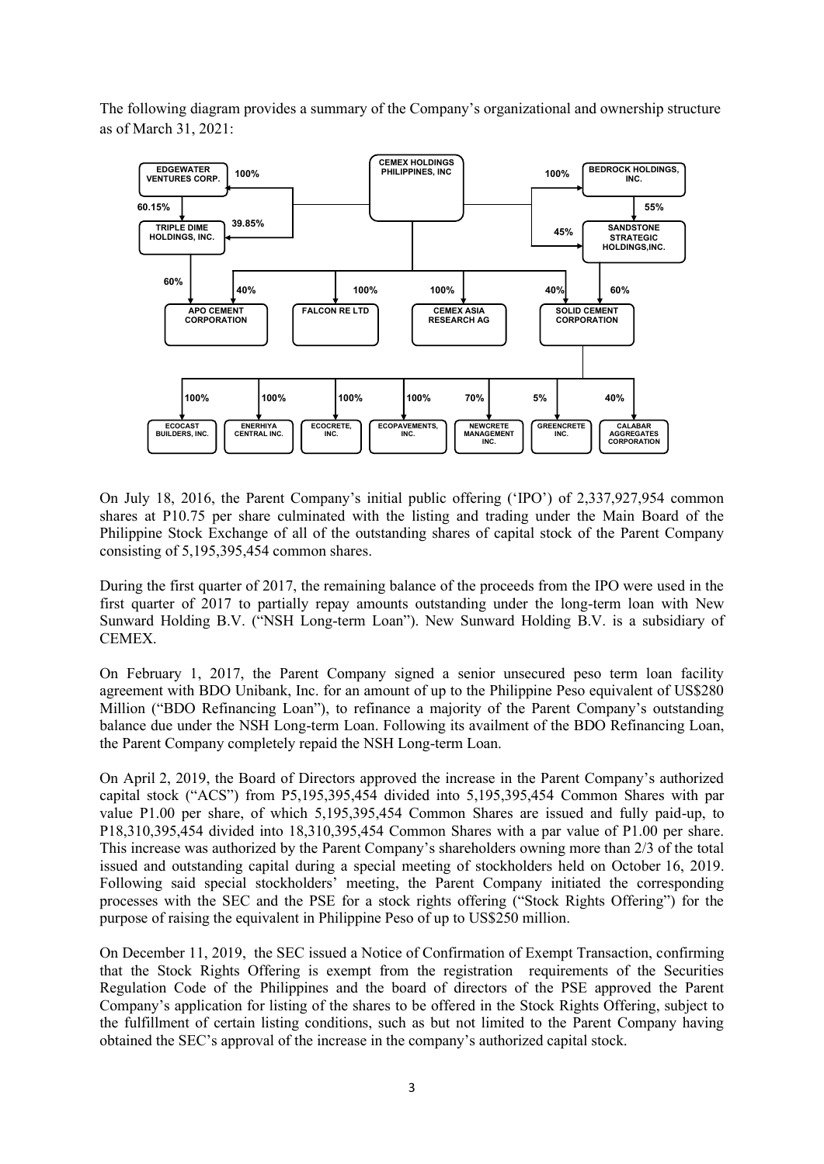The following diagram provides a summary of the Company's organizational and ownership structure as of March 31, 2021:



On July 18, 2016, the Parent Company's initial public offering ('IPO') of 2,337,927,954 common shares at P10.75 per share culminated with the listing and trading under the Main Board of the Philippine Stock Exchange of all of the outstanding shares of capital stock of the Parent Company consisting of 5,195,395,454 common shares.

During the first quarter of 2017, the remaining balance of the proceeds from the IPO were used in the first quarter of 2017 to partially repay amounts outstanding under the long-term loan with New Sunward Holding B.V. ("NSH Long-term Loan"). New Sunward Holding B.V. is a subsidiary of CEMEX.

On February 1, 2017, the Parent Company signed a senior unsecured peso term loan facility agreement with BDO Unibank, Inc. for an amount of up to the Philippine Peso equivalent of US\$280 Million ("BDO Refinancing Loan"), to refinance a majority of the Parent Company's outstanding balance due under the NSH Long-term Loan. Following its availment of the BDO Refinancing Loan, the Parent Company completely repaid the NSH Long-term Loan.

On April 2, 2019, the Board of Directors approved the increase in the Parent Company's authorized capital stock ("ACS") from P5,195,395,454 divided into 5,195,395,454 Common Shares with par value P1.00 per share, of which 5,195,395,454 Common Shares are issued and fully paid-up, to P18,310,395,454 divided into 18,310,395,454 Common Shares with a par value of P1.00 per share. This increase was authorized by the Parent Company's shareholders owning more than 2/3 of the total issued and outstanding capital during a special meeting of stockholders held on October 16, 2019. Following said special stockholders' meeting, the Parent Company initiated the corresponding processes with the SEC and the PSE for a stock rights offering ("Stock Rights Offering") for the purpose of raising the equivalent in Philippine Peso of up to US\$250 million.

On December 11, 2019, the SEC issued a Notice of Confirmation of Exempt Transaction, confirming that the Stock Rights Offering is exempt from the registration requirements of the Securities Regulation Code of the Philippines and the board of directors of the PSE approved the Parent Company's application for listing of the shares to be offered in the Stock Rights Offering, subject to the fulfillment of certain listing conditions, such as but not limited to the Parent Company having obtained the SEC's approval of the increase in the company's authorized capital stock.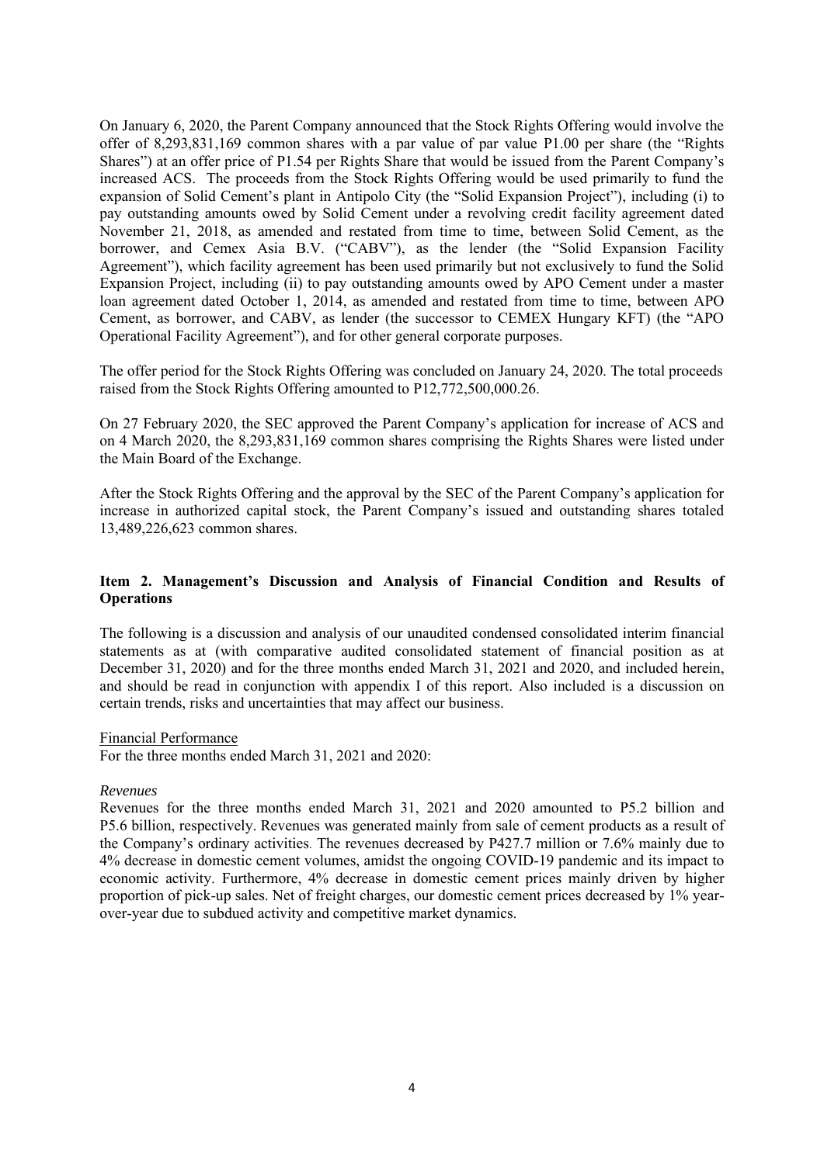On January 6, 2020, the Parent Company announced that the Stock Rights Offering would involve the offer of 8,293,831,169 common shares with a par value of par value P1.00 per share (the "Rights Shares") at an offer price of P1.54 per Rights Share that would be issued from the Parent Company's increased ACS. The proceeds from the Stock Rights Offering would be used primarily to fund the expansion of Solid Cement's plant in Antipolo City (the "Solid Expansion Project"), including (i) to pay outstanding amounts owed by Solid Cement under a revolving credit facility agreement dated November 21, 2018, as amended and restated from time to time, between Solid Cement, as the borrower, and Cemex Asia B.V. ("CABV"), as the lender (the "Solid Expansion Facility Agreement"), which facility agreement has been used primarily but not exclusively to fund the Solid Expansion Project, including (ii) to pay outstanding amounts owed by APO Cement under a master loan agreement dated October 1, 2014, as amended and restated from time to time, between APO Cement, as borrower, and CABV, as lender (the successor to CEMEX Hungary KFT) (the "APO Operational Facility Agreement"), and for other general corporate purposes.

The offer period for the Stock Rights Offering was concluded on January 24, 2020. The total proceeds raised from the Stock Rights Offering amounted to P12,772,500,000.26.

On 27 February 2020, the SEC approved the Parent Company's application for increase of ACS and on 4 March 2020, the 8,293,831,169 common shares comprising the Rights Shares were listed under the Main Board of the Exchange.

After the Stock Rights Offering and the approval by the SEC of the Parent Company's application for increase in authorized capital stock, the Parent Company's issued and outstanding shares totaled 13,489,226,623 common shares.

# **Item 2. Management's Discussion and Analysis of Financial Condition and Results of Operations**

The following is a discussion and analysis of our unaudited condensed consolidated interim financial statements as at (with comparative audited consolidated statement of financial position as at December 31, 2020) and for the three months ended March 31, 2021 and 2020, and included herein, and should be read in conjunction with appendix I of this report. Also included is a discussion on certain trends, risks and uncertainties that may affect our business.

# Financial Performance

For the three months ended March 31, 2021 and 2020:

# *Revenues*

Revenues for the three months ended March 31, 2021 and 2020 amounted to P5.2 billion and P5.6 billion, respectively. Revenues was generated mainly from sale of cement products as a result of the Company's ordinary activities. The revenues decreased by P427.7 million or 7.6% mainly due to 4% decrease in domestic cement volumes, amidst the ongoing COVID-19 pandemic and its impact to economic activity. Furthermore, 4% decrease in domestic cement prices mainly driven by higher proportion of pick-up sales. Net of freight charges, our domestic cement prices decreased by 1% yearover-year due to subdued activity and competitive market dynamics.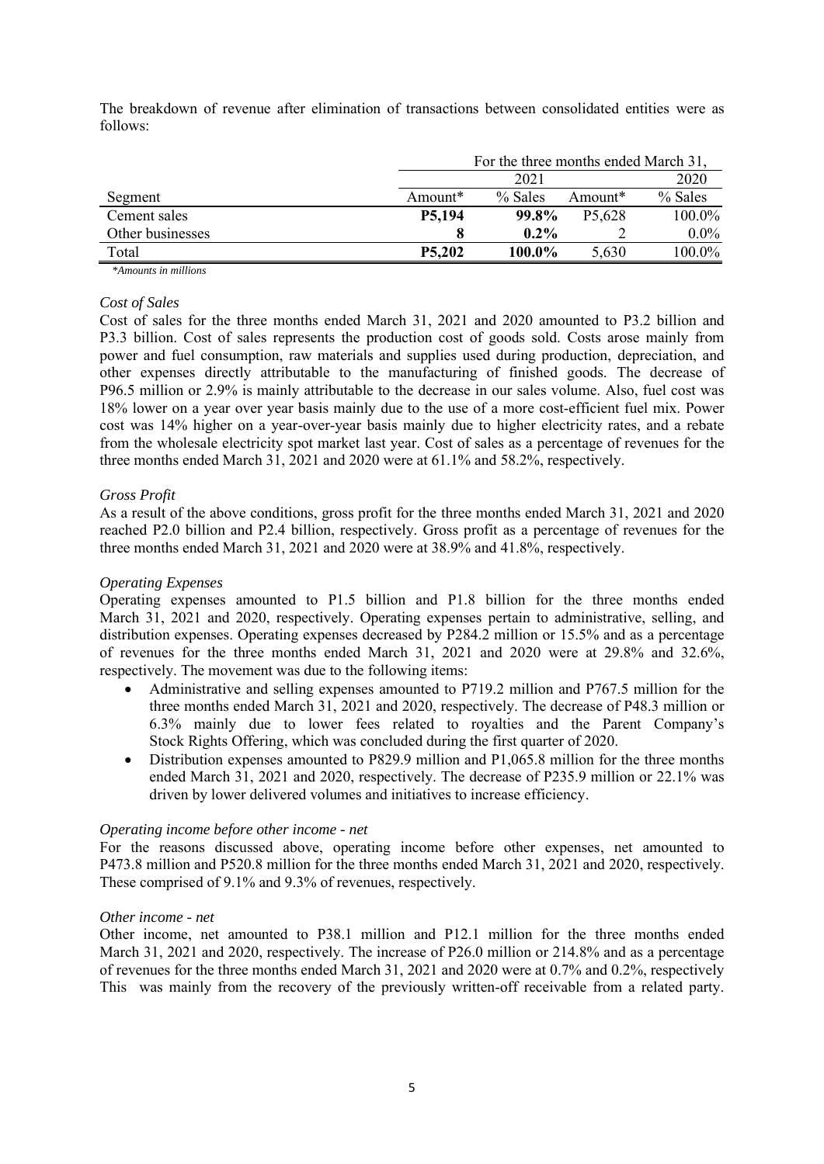The breakdown of revenue after elimination of transactions between consolidated entities were as follows:

|                  |               | For the three months ended March 31, |                     |           |  |  |  |
|------------------|---------------|--------------------------------------|---------------------|-----------|--|--|--|
|                  |               | 2021                                 | 2020                |           |  |  |  |
| Segment          | Amount $*$    | $%$ Sales                            | Amount <sup>*</sup> | $%$ Sales |  |  |  |
| Cement sales     | P5,194        | 99.8%                                | P <sub>5</sub> ,628 | 100.0%    |  |  |  |
| Other businesses |               | $0.2\%$                              |                     | $0.0\%$   |  |  |  |
| Total            | <b>P5,202</b> | 100.0%                               | 5,630               | 100.0%    |  |  |  |

*\*Amounts in millions*

# *Cost of Sales*

Cost of sales for the three months ended March 31, 2021 and 2020 amounted to P3.2 billion and P3.3 billion. Cost of sales represents the production cost of goods sold. Costs arose mainly from power and fuel consumption, raw materials and supplies used during production, depreciation, and other expenses directly attributable to the manufacturing of finished goods. The decrease of P96.5 million or 2.9% is mainly attributable to the decrease in our sales volume. Also, fuel cost was 18% lower on a year over year basis mainly due to the use of a more cost-efficient fuel mix. Power cost was 14% higher on a year-over-year basis mainly due to higher electricity rates, and a rebate from the wholesale electricity spot market last year. Cost of sales as a percentage of revenues for the three months ended March 31, 2021 and 2020 were at 61.1% and 58.2%, respectively.

# *Gross Profit*

As a result of the above conditions, gross profit for the three months ended March 31, 2021 and 2020 reached P2.0 billion and P2.4 billion, respectively. Gross profit as a percentage of revenues for the three months ended March 31, 2021 and 2020 were at 38.9% and 41.8%, respectively.

# *Operating Expenses*

Operating expenses amounted to P1.5 billion and P1.8 billion for the three months ended March 31, 2021 and 2020, respectively. Operating expenses pertain to administrative, selling, and distribution expenses. Operating expenses decreased by P284.2 million or 15.5% and as a percentage of revenues for the three months ended March 31, 2021 and 2020 were at 29.8% and 32.6%, respectively. The movement was due to the following items:

- Administrative and selling expenses amounted to P719.2 million and P767.5 million for the three months ended March 31, 2021 and 2020, respectively. The decrease of P48.3 million or 6.3% mainly due to lower fees related to royalties and the Parent Company's Stock Rights Offering, which was concluded during the first quarter of 2020.
- Distribution expenses amounted to P829.9 million and P1,065.8 million for the three months ended March 31, 2021 and 2020, respectively. The decrease of P235.9 million or 22.1% was driven by lower delivered volumes and initiatives to increase efficiency.

# *Operating income before other income - net*

For the reasons discussed above, operating income before other expenses, net amounted to P473.8 million and P520.8 million for the three months ended March 31, 2021 and 2020, respectively. These comprised of 9.1% and 9.3% of revenues, respectively.

# *Other income - net*

Other income, net amounted to P38.1 million and P12.1 million for the three months ended March 31, 2021 and 2020, respectively. The increase of P26.0 million or 214.8% and as a percentage of revenues for the three months ended March 31, 2021 and 2020 were at 0.7% and 0.2%, respectively This was mainly from the recovery of the previously written-off receivable from a related party.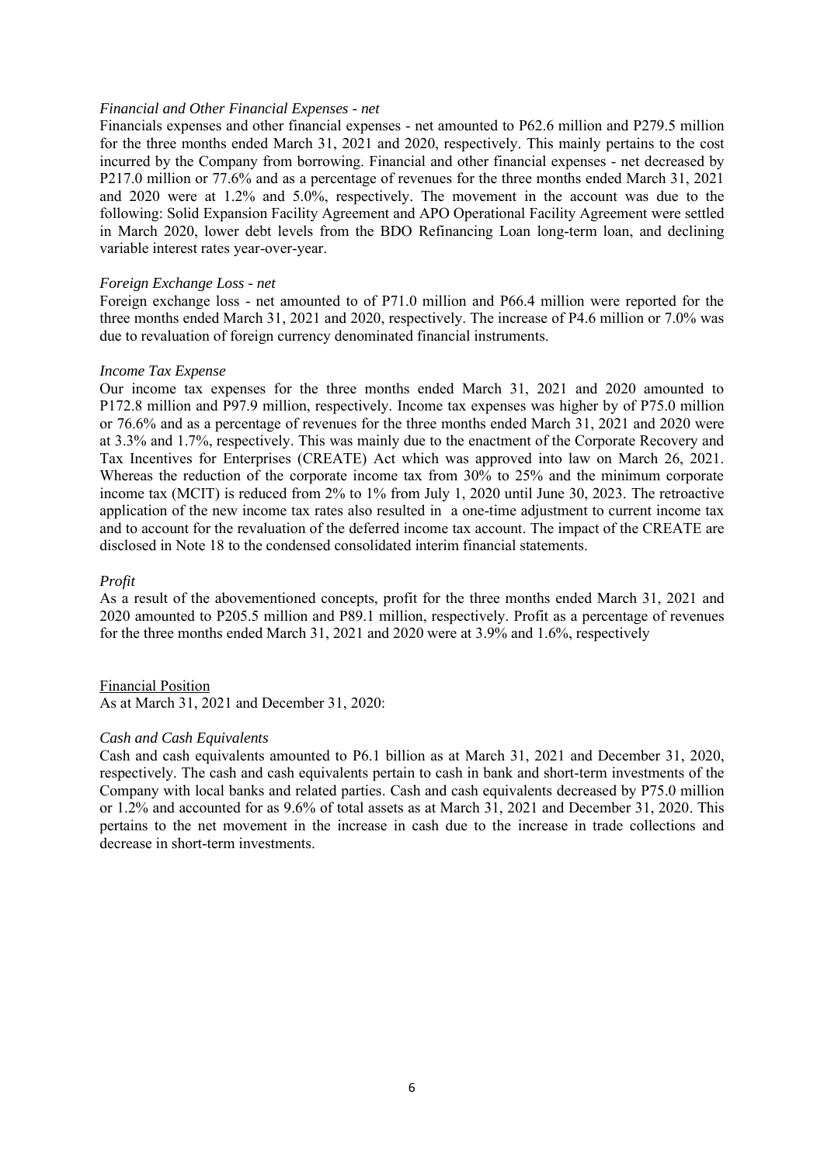# *Financial and Other Financial Expenses - net*

Financials expenses and other financial expenses - net amounted to P62.6 million and P279.5 million for the three months ended March 31, 2021 and 2020, respectively. This mainly pertains to the cost incurred by the Company from borrowing. Financial and other financial expenses - net decreased by P217.0 million or 77.6% and as a percentage of revenues for the three months ended March 31, 2021 and 2020 were at 1.2% and 5.0%, respectively. The movement in the account was due to the following: Solid Expansion Facility Agreement and APO Operational Facility Agreement were settled in March 2020, lower debt levels from the BDO Refinancing Loan long-term loan, and declining variable interest rates year-over-year.

# *Foreign Exchange Loss - net*

Foreign exchange loss - net amounted to of P71.0 million and P66.4 million were reported for the three months ended March 31, 2021 and 2020, respectively. The increase of P4.6 million or 7.0% was due to revaluation of foreign currency denominated financial instruments.

# *Income Tax Expense*

Our income tax expenses for the three months ended March 31, 2021 and 2020 amounted to P172.8 million and P97.9 million, respectively. Income tax expenses was higher by of P75.0 million or 76.6% and as a percentage of revenues for the three months ended March 31, 2021 and 2020 were at 3.3% and 1.7%, respectively. This was mainly due to the enactment of the Corporate Recovery and Tax Incentives for Enterprises (CREATE) Act which was approved into law on March 26, 2021. Whereas the reduction of the corporate income tax from 30% to 25% and the minimum corporate income tax (MCIT) is reduced from 2% to 1% from July 1, 2020 until June 30, 2023. The retroactive application of the new income tax rates also resulted in a one-time adjustment to current income tax and to account for the revaluation of the deferred income tax account. The impact of the CREATE are disclosed in Note 18 to the condensed consolidated interim financial statements.

# *Profit*

As a result of the abovementioned concepts, profit for the three months ended March 31, 2021 and 2020 amounted to P205.5 million and P89.1 million, respectively. Profit as a percentage of revenues for the three months ended March 31, 2021 and 2020 were at 3.9% and 1.6%, respectively

# Financial Position

As at March 31, 2021 and December 31, 2020:

#### *Cash and Cash Equivalents*

Cash and cash equivalents amounted to P6.1 billion as at March 31, 2021 and December 31, 2020, respectively. The cash and cash equivalents pertain to cash in bank and short-term investments of the Company with local banks and related parties. Cash and cash equivalents decreased by P75.0 million or 1.2% and accounted for as 9.6% of total assets as at March 31, 2021 and December 31, 2020. This pertains to the net movement in the increase in cash due to the increase in trade collections and decrease in short-term investments.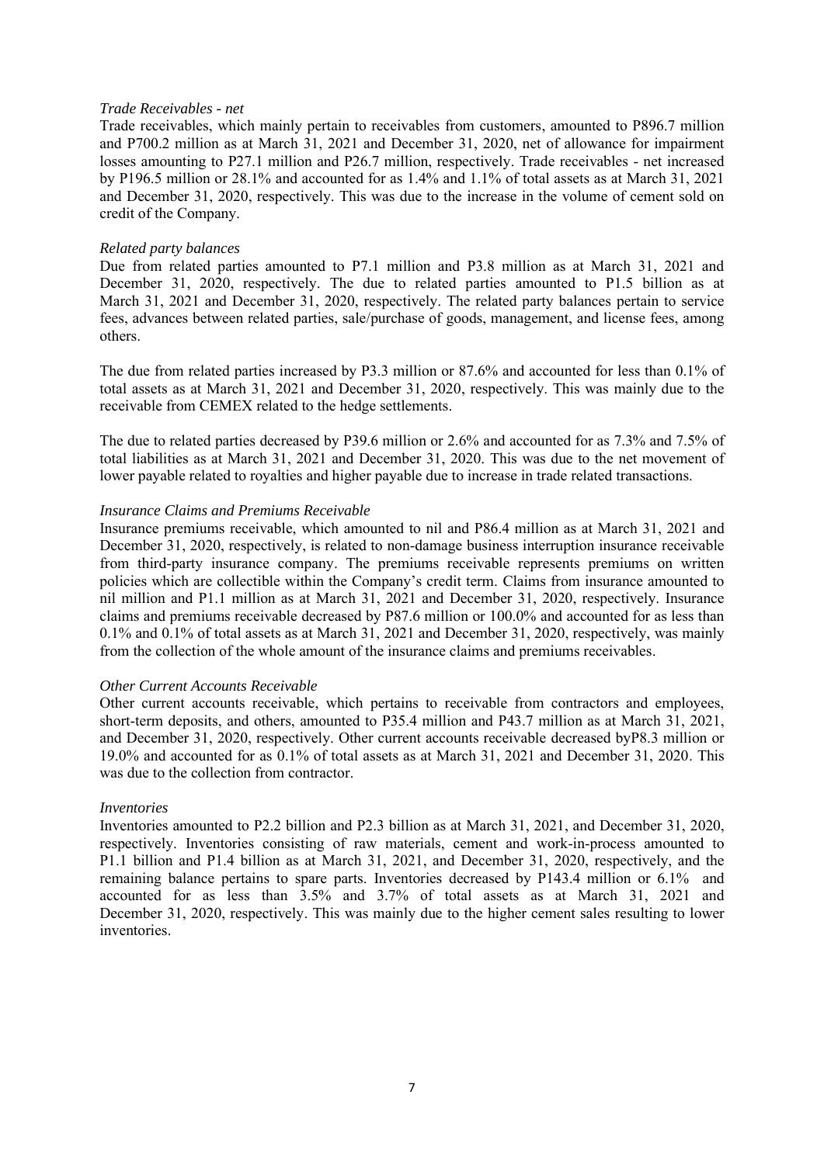# *Trade Receivables - net*

Trade receivables, which mainly pertain to receivables from customers, amounted to P896.7 million and P700.2 million as at March 31, 2021 and December 31, 2020, net of allowance for impairment losses amounting to P27.1 million and P26.7 million, respectively. Trade receivables - net increased by P196.5 million or 28.1% and accounted for as 1.4% and 1.1% of total assets as at March 31, 2021 and December 31, 2020, respectively. This was due to the increase in the volume of cement sold on credit of the Company.

# *Related party balances*

Due from related parties amounted to P7.1 million and P3.8 million as at March 31, 2021 and December 31, 2020, respectively. The due to related parties amounted to P1.5 billion as at March 31, 2021 and December 31, 2020, respectively. The related party balances pertain to service fees, advances between related parties, sale/purchase of goods, management, and license fees, among others.

The due from related parties increased by P3.3 million or 87.6% and accounted for less than 0.1% of total assets as at March 31, 2021 and December 31, 2020, respectively. This was mainly due to the receivable from CEMEX related to the hedge settlements.

The due to related parties decreased by P39.6 million or 2.6% and accounted for as 7.3% and 7.5% of total liabilities as at March 31, 2021 and December 31, 2020. This was due to the net movement of lower payable related to royalties and higher payable due to increase in trade related transactions.

# *Insurance Claims and Premiums Receivable*

Insurance premiums receivable, which amounted to nil and P86.4 million as at March 31, 2021 and December 31, 2020, respectively, is related to non-damage business interruption insurance receivable from third-party insurance company. The premiums receivable represents premiums on written policies which are collectible within the Company's credit term. Claims from insurance amounted to nil million and P1.1 million as at March 31, 2021 and December 31, 2020, respectively. Insurance claims and premiums receivable decreased by P87.6 million or 100.0% and accounted for as less than 0.1% and 0.1% of total assets as at March 31, 2021 and December 31, 2020, respectively, was mainly from the collection of the whole amount of the insurance claims and premiums receivables.

#### *Other Current Accounts Receivable*

Other current accounts receivable, which pertains to receivable from contractors and employees, short-term deposits, and others, amounted to P35.4 million and P43.7 million as at March 31, 2021, and December 31, 2020, respectively. Other current accounts receivable decreased byP8.3 million or 19.0% and accounted for as 0.1% of total assets as at March 31, 2021 and December 31, 2020. This was due to the collection from contractor.

# *Inventories*

Inventories amounted to P2.2 billion and P2.3 billion as at March 31, 2021, and December 31, 2020, respectively. Inventories consisting of raw materials, cement and work-in-process amounted to P1.1 billion and P1.4 billion as at March 31, 2021, and December 31, 2020, respectively, and the remaining balance pertains to spare parts. Inventories decreased by P143.4 million or 6.1% and accounted for as less than 3.5% and 3.7% of total assets as at March 31, 2021 and December 31, 2020, respectively. This was mainly due to the higher cement sales resulting to lower inventories.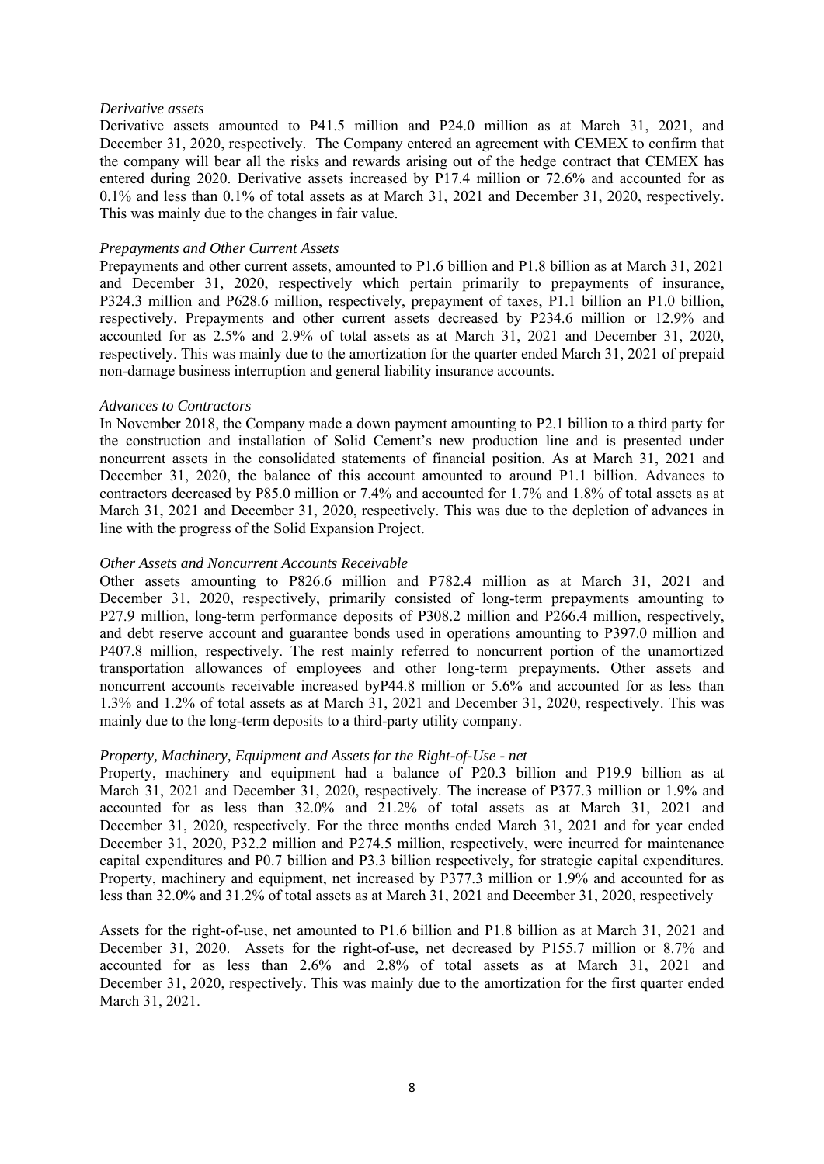# *Derivative assets*

Derivative assets amounted to P41.5 million and P24.0 million as at March 31, 2021, and December 31, 2020, respectively. The Company entered an agreement with CEMEX to confirm that the company will bear all the risks and rewards arising out of the hedge contract that CEMEX has entered during 2020. Derivative assets increased by P17.4 million or 72.6% and accounted for as 0.1% and less than 0.1% of total assets as at March 31, 2021 and December 31, 2020, respectively. This was mainly due to the changes in fair value.

# *Prepayments and Other Current Assets*

Prepayments and other current assets, amounted to P1.6 billion and P1.8 billion as at March 31, 2021 and December 31, 2020, respectively which pertain primarily to prepayments of insurance, P324.3 million and P628.6 million, respectively, prepayment of taxes, P1.1 billion an P1.0 billion, respectively. Prepayments and other current assets decreased by P234.6 million or 12.9% and accounted for as 2.5% and 2.9% of total assets as at March 31, 2021 and December 31, 2020, respectively. This was mainly due to the amortization for the quarter ended March 31, 2021 of prepaid non-damage business interruption and general liability insurance accounts.

# *Advances to Contractors*

In November 2018, the Company made a down payment amounting to P2.1 billion to a third party for the construction and installation of Solid Cement's new production line and is presented under noncurrent assets in the consolidated statements of financial position. As at March 31, 2021 and December 31, 2020, the balance of this account amounted to around P1.1 billion. Advances to contractors decreased by P85.0 million or 7.4% and accounted for 1.7% and 1.8% of total assets as at March 31, 2021 and December 31, 2020, respectively. This was due to the depletion of advances in line with the progress of the Solid Expansion Project.

# *Other Assets and Noncurrent Accounts Receivable*

Other assets amounting to P826.6 million and P782.4 million as at March 31, 2021 and December 31, 2020, respectively, primarily consisted of long-term prepayments amounting to P27.9 million, long-term performance deposits of P308.2 million and P266.4 million, respectively, and debt reserve account and guarantee bonds used in operations amounting to P397.0 million and P407.8 million, respectively. The rest mainly referred to noncurrent portion of the unamortized transportation allowances of employees and other long-term prepayments. Other assets and noncurrent accounts receivable increased byP44.8 million or 5.6% and accounted for as less than 1.3% and 1.2% of total assets as at March 31, 2021 and December 31, 2020, respectively. This was mainly due to the long-term deposits to a third-party utility company.

# *Property, Machinery, Equipment and Assets for the Right-of-Use - net*

Property, machinery and equipment had a balance of P20.3 billion and P19.9 billion as at March 31, 2021 and December 31, 2020, respectively. The increase of P377.3 million or 1.9% and accounted for as less than 32.0% and 21.2% of total assets as at March 31, 2021 and December 31, 2020, respectively. For the three months ended March 31, 2021 and for year ended December 31, 2020, P32.2 million and P274.5 million, respectively, were incurred for maintenance capital expenditures and P0.7 billion and P3.3 billion respectively, for strategic capital expenditures. Property, machinery and equipment, net increased by P377.3 million or 1.9% and accounted for as less than 32.0% and 31.2% of total assets as at March 31, 2021 and December 31, 2020, respectively

Assets for the right-of-use, net amounted to P1.6 billion and P1.8 billion as at March 31, 2021 and December 31, 2020. Assets for the right-of-use, net decreased by P155.7 million or 8.7% and accounted for as less than 2.6% and 2.8% of total assets as at March 31, 2021 and December 31, 2020, respectively. This was mainly due to the amortization for the first quarter ended March 31, 2021.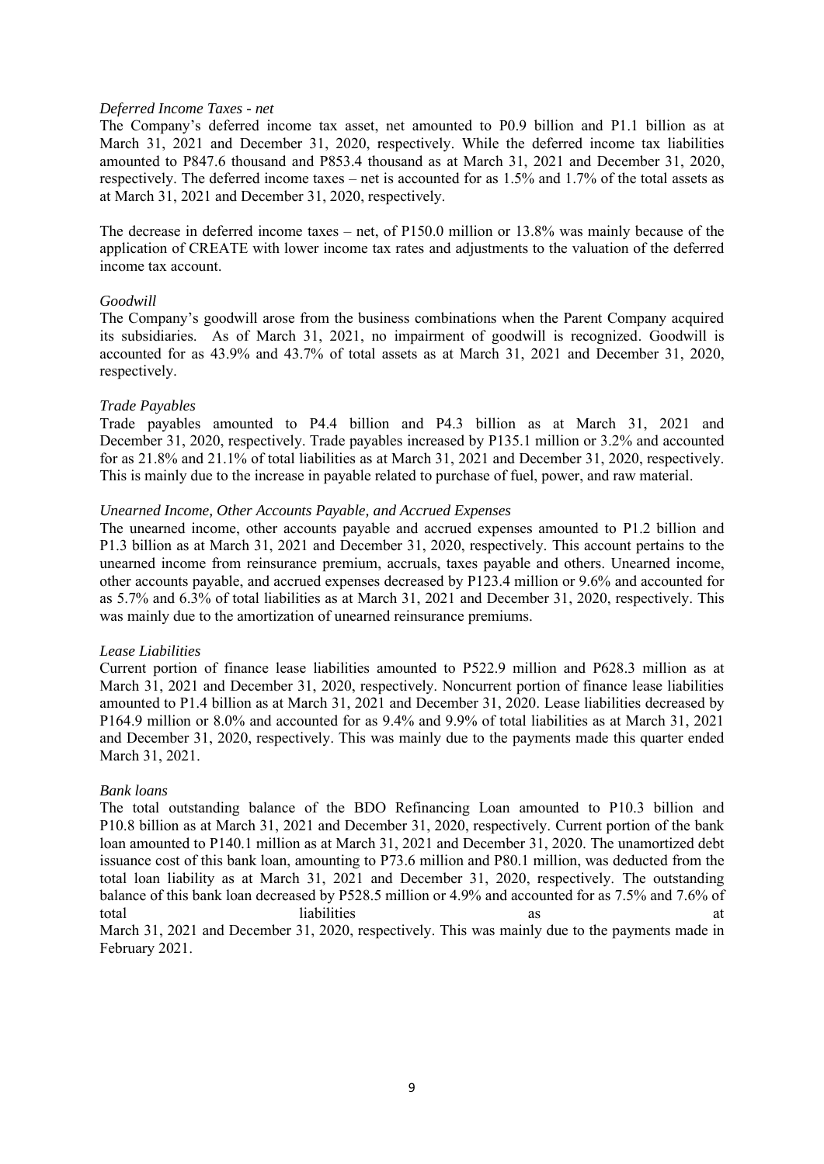# *Deferred Income Taxes - net*

The Company's deferred income tax asset, net amounted to P0.9 billion and P1.1 billion as at March 31, 2021 and December 31, 2020, respectively. While the deferred income tax liabilities amounted to P847.6 thousand and P853.4 thousand as at March 31, 2021 and December 31, 2020, respectively. The deferred income taxes – net is accounted for as 1.5% and 1.7% of the total assets as at March 31, 2021 and December 31, 2020, respectively.

The decrease in deferred income taxes – net, of P150.0 million or 13.8% was mainly because of the application of CREATE with lower income tax rates and adjustments to the valuation of the deferred income tax account.

# *Goodwill*

The Company's goodwill arose from the business combinations when the Parent Company acquired its subsidiaries. As of March 31, 2021, no impairment of goodwill is recognized. Goodwill is accounted for as 43.9% and 43.7% of total assets as at March 31, 2021 and December 31, 2020, respectively.

# *Trade Payables*

Trade payables amounted to P4.4 billion and P4.3 billion as at March 31, 2021 and December 31, 2020, respectively. Trade payables increased by P135.1 million or 3.2% and accounted for as 21.8% and 21.1% of total liabilities as at March 31, 2021 and December 31, 2020, respectively. This is mainly due to the increase in payable related to purchase of fuel, power, and raw material.

# *Unearned Income, Other Accounts Payable, and Accrued Expenses*

The unearned income, other accounts payable and accrued expenses amounted to P1.2 billion and P1.3 billion as at March 31, 2021 and December 31, 2020, respectively. This account pertains to the unearned income from reinsurance premium, accruals, taxes payable and others. Unearned income, other accounts payable, and accrued expenses decreased by P123.4 million or 9.6% and accounted for as 5.7% and 6.3% of total liabilities as at March 31, 2021 and December 31, 2020, respectively. This was mainly due to the amortization of unearned reinsurance premiums.

# *Lease Liabilities*

Current portion of finance lease liabilities amounted to P522.9 million and P628.3 million as at March 31, 2021 and December 31, 2020, respectively. Noncurrent portion of finance lease liabilities amounted to P1.4 billion as at March 31, 2021 and December 31, 2020. Lease liabilities decreased by P164.9 million or 8.0% and accounted for as 9.4% and 9.9% of total liabilities as at March 31, 2021 and December 31, 2020, respectively. This was mainly due to the payments made this quarter ended March 31, 2021.

#### *Bank loans*

The total outstanding balance of the BDO Refinancing Loan amounted to P10.3 billion and P10.8 billion as at March 31, 2021 and December 31, 2020, respectively. Current portion of the bank loan amounted to P140.1 million as at March 31, 2021 and December 31, 2020. The unamortized debt issuance cost of this bank loan, amounting to P73.6 million and P80.1 million, was deducted from the total loan liability as at March 31, 2021 and December 31, 2020, respectively. The outstanding balance of this bank loan decreased by P528.5 million or 4.9% and accounted for as 7.5% and 7.6% of total liabilities as a transferred as the set of the liabilities are at the set of the liabilities are at the set of the set of the set of the set of the set of the set of the set of the set of the set of the set of the se March 31, 2021 and December 31, 2020, respectively. This was mainly due to the payments made in February 2021.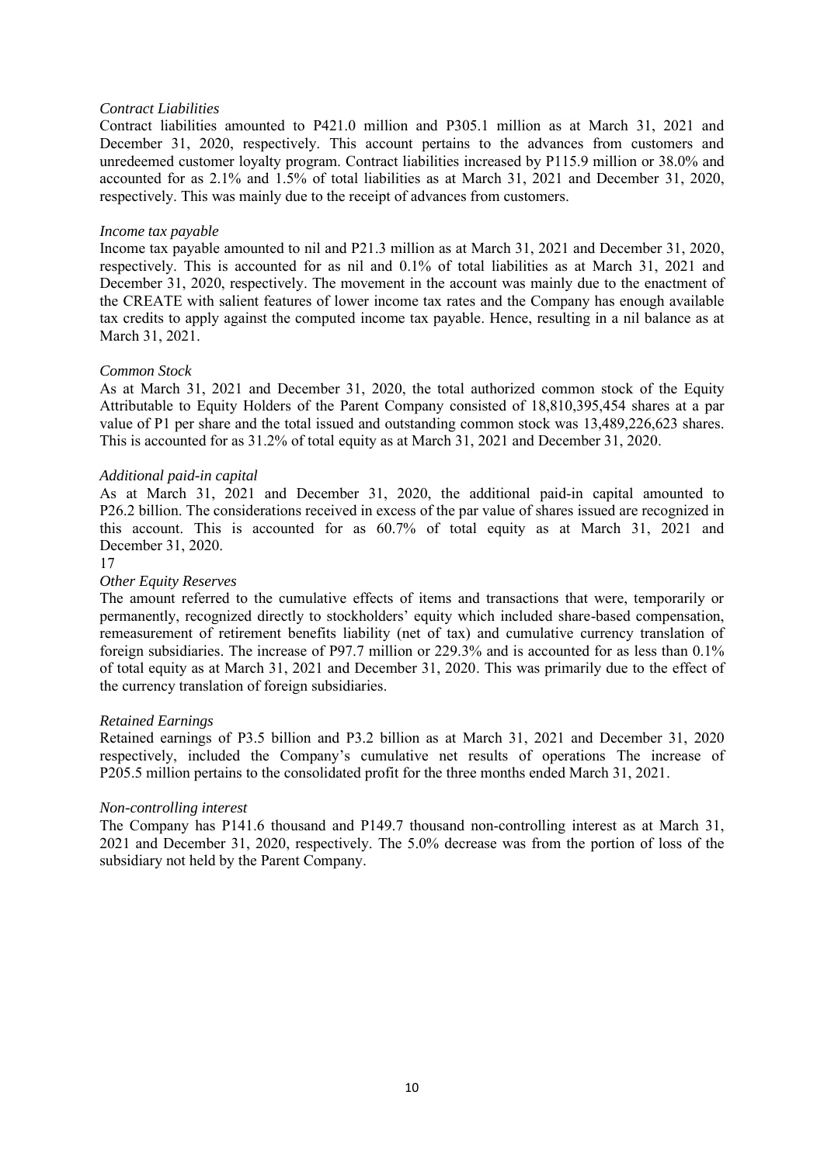# *Contract Liabilities*

Contract liabilities amounted to P421.0 million and P305.1 million as at March 31, 2021 and December 31, 2020, respectively. This account pertains to the advances from customers and unredeemed customer loyalty program. Contract liabilities increased by P115.9 million or 38.0% and accounted for as 2.1% and 1.5% of total liabilities as at March 31, 2021 and December 31, 2020, respectively. This was mainly due to the receipt of advances from customers.

# *Income tax payable*

Income tax payable amounted to nil and P21.3 million as at March 31, 2021 and December 31, 2020, respectively. This is accounted for as nil and 0.1% of total liabilities as at March 31, 2021 and December 31, 2020, respectively. The movement in the account was mainly due to the enactment of the CREATE with salient features of lower income tax rates and the Company has enough available tax credits to apply against the computed income tax payable. Hence, resulting in a nil balance as at March 31, 2021.

# *Common Stock*

As at March 31, 2021 and December 31, 2020, the total authorized common stock of the Equity Attributable to Equity Holders of the Parent Company consisted of 18,810,395,454 shares at a par value of P1 per share and the total issued and outstanding common stock was 13,489,226,623 shares. This is accounted for as 31.2% of total equity as at March 31, 2021 and December 31, 2020.

# *Additional paid-in capital*

As at March 31, 2021 and December 31, 2020, the additional paid-in capital amounted to P26.2 billion. The considerations received in excess of the par value of shares issued are recognized in this account. This is accounted for as 60.7% of total equity as at March 31, 2021 and December 31, 2020.

# 17

# *Other Equity Reserves*

The amount referred to the cumulative effects of items and transactions that were, temporarily or permanently, recognized directly to stockholders' equity which included share-based compensation, remeasurement of retirement benefits liability (net of tax) and cumulative currency translation of foreign subsidiaries. The increase of P97.7 million or 229.3% and is accounted for as less than 0.1% of total equity as at March 31, 2021 and December 31, 2020. This was primarily due to the effect of the currency translation of foreign subsidiaries.

# *Retained Earnings*

Retained earnings of P3.5 billion and P3.2 billion as at March 31, 2021 and December 31, 2020 respectively, included the Company's cumulative net results of operations The increase of P205.5 million pertains to the consolidated profit for the three months ended March 31, 2021.

# *Non-controlling interest*

The Company has P141.6 thousand and P149.7 thousand non-controlling interest as at March 31, 2021 and December 31, 2020, respectively. The 5.0% decrease was from the portion of loss of the subsidiary not held by the Parent Company.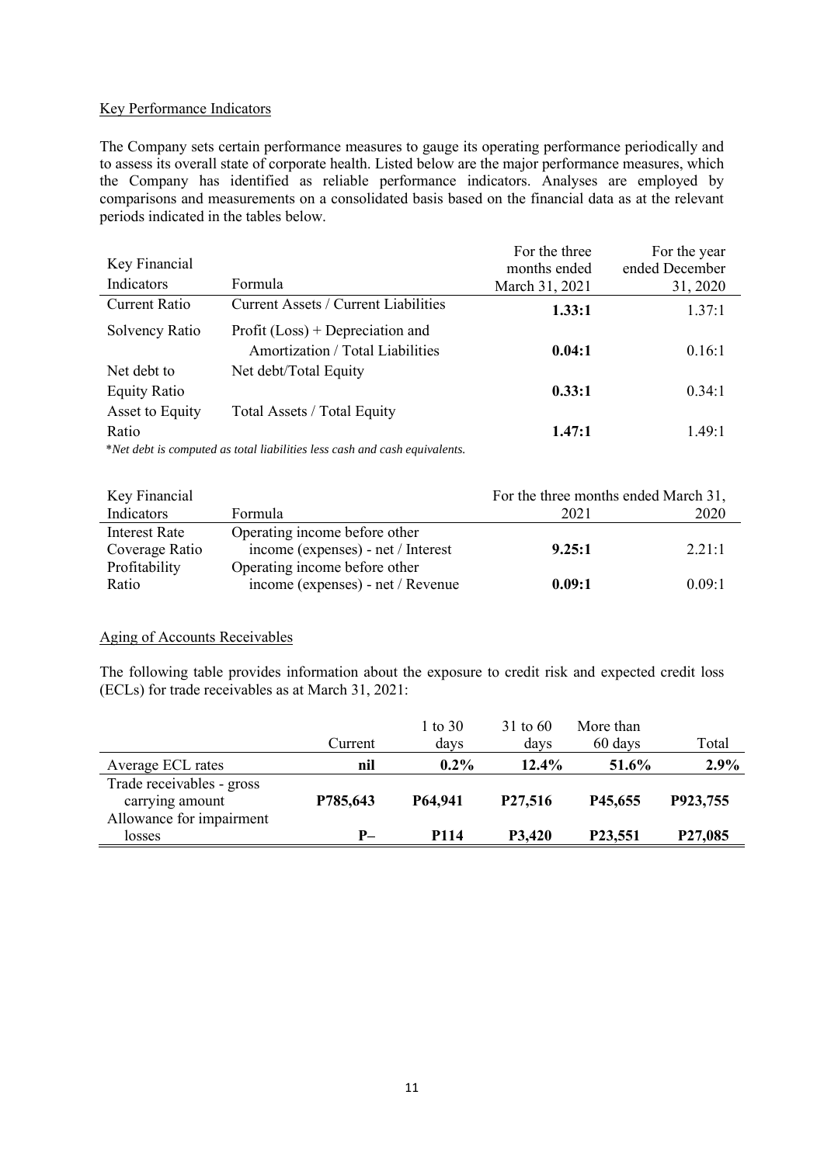# Key Performance Indicators

The Company sets certain performance measures to gauge its operating performance periodically and to assess its overall state of corporate health. Listed below are the major performance measures, which the Company has identified as reliable performance indicators. Analyses are employed by comparisons and measurements on a consolidated basis based on the financial data as at the relevant periods indicated in the tables below.

|                      |                                                                           | For the three  | For the year   |
|----------------------|---------------------------------------------------------------------------|----------------|----------------|
| Key Financial        |                                                                           | months ended   | ended December |
| Indicators           | Formula                                                                   | March 31, 2021 | 31, 2020       |
| <b>Current Ratio</b> | Current Assets / Current Liabilities                                      | 1.33:1         | 1.37:1         |
| Solvency Ratio       | Profit $(Loss)$ + Depreciation and                                        |                |                |
|                      | Amortization / Total Liabilities                                          | 0.04:1         | 0.16:1         |
| Net debt to          | Net debt/Total Equity                                                     |                |                |
| <b>Equity Ratio</b>  |                                                                           | 0.33:1         | 0.34:1         |
| Asset to Equity      | Total Assets / Total Equity                                               |                |                |
| Ratio                |                                                                           | 1.47:1         | 1.49:1         |
|                      | *Net debt is computed as total lightlities less eash and eash equivalents |                |                |

\**Net debt is computed as total liabilities less cash and cash equivalents.*

| Key Financial  |                                    | For the three months ended March 31, |        |
|----------------|------------------------------------|--------------------------------------|--------|
| Indicators     | <b>Formula</b>                     | 2021                                 | 2020   |
| Interest Rate  | Operating income before other      |                                      |        |
| Coverage Ratio | income (expenses) - net / Interest | 9.25:1                               | 2.21:1 |
| Profitability  | Operating income before other      |                                      |        |
| Ratio          | income (expenses) - net / Revenue  | 0.09:1                               | 0.09:1 |

# Aging of Accounts Receivables

The following table provides information about the exposure to credit risk and expected credit loss (ECLs) for trade receivables as at March 31, 2021:

|                                                                          | Current  | 1 to 30<br>days | $31 \text{ to } 60$<br>days | More than<br>60 days | Total    |
|--------------------------------------------------------------------------|----------|-----------------|-----------------------------|----------------------|----------|
| Average ECL rates                                                        | nil      | $0.2\%$         | $12.4\%$                    | 51.6%                | 2.9%     |
| Trade receivables - gross<br>carrying amount<br>Allowance for impairment | P785,643 | P64,941         | P27,516                     | P45,655              | P923,755 |
| losses                                                                   | P-       | P114            | P3,420                      | P23,551              | P27,085  |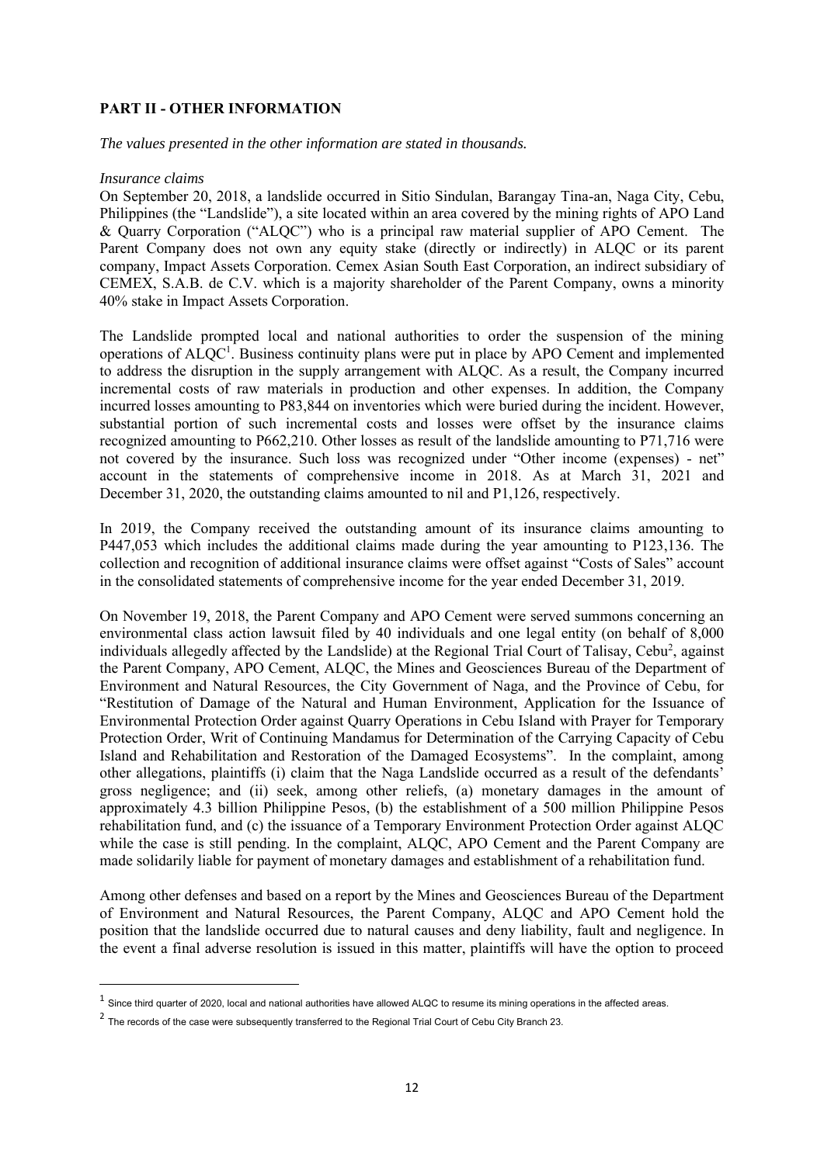# **PART II - OTHER INFORMATION**

*The values presented in the other information are stated in thousands.*

# *Insurance claims*

On September 20, 2018, a landslide occurred in Sitio Sindulan, Barangay Tina-an, Naga City, Cebu, Philippines (the "Landslide"), a site located within an area covered by the mining rights of APO Land & Quarry Corporation ("ALQC") who is a principal raw material supplier of APO Cement. The Parent Company does not own any equity stake (directly or indirectly) in ALQC or its parent company, Impact Assets Corporation. Cemex Asian South East Corporation, an indirect subsidiary of CEMEX, S.A.B. de C.V. which is a majority shareholder of the Parent Company, owns a minority 40% stake in Impact Assets Corporation.

The Landslide prompted local and national authorities to order the suspension of the mining operations of ALQC<sup>1</sup>. Business continuity plans were put in place by APO Cement and implemented to address the disruption in the supply arrangement with ALQC. As a result, the Company incurred incremental costs of raw materials in production and other expenses. In addition, the Company incurred losses amounting to P83,844 on inventories which were buried during the incident. However, substantial portion of such incremental costs and losses were offset by the insurance claims recognized amounting to P662,210. Other losses as result of the landslide amounting to P71,716 were not covered by the insurance. Such loss was recognized under "Other income (expenses) - net" account in the statements of comprehensive income in 2018. As at March 31, 2021 and December 31, 2020, the outstanding claims amounted to nil and P1,126, respectively.

In 2019, the Company received the outstanding amount of its insurance claims amounting to P447,053 which includes the additional claims made during the year amounting to P123,136. The collection and recognition of additional insurance claims were offset against "Costs of Sales" account in the consolidated statements of comprehensive income for the year ended December 31, 2019.

On November 19, 2018, the Parent Company and APO Cement were served summons concerning an environmental class action lawsuit filed by 40 individuals and one legal entity (on behalf of 8,000 individuals allegedly affected by the Landslide) at the Regional Trial Court of Talisay, Cebu<sup>2</sup>, against the Parent Company, APO Cement, ALQC, the Mines and Geosciences Bureau of the Department of Environment and Natural Resources, the City Government of Naga, and the Province of Cebu, for "Restitution of Damage of the Natural and Human Environment, Application for the Issuance of Environmental Protection Order against Quarry Operations in Cebu Island with Prayer for Temporary Protection Order, Writ of Continuing Mandamus for Determination of the Carrying Capacity of Cebu Island and Rehabilitation and Restoration of the Damaged Ecosystems". In the complaint, among other allegations, plaintiffs (i) claim that the Naga Landslide occurred as a result of the defendants' gross negligence; and (ii) seek, among other reliefs, (a) monetary damages in the amount of approximately 4.3 billion Philippine Pesos, (b) the establishment of a 500 million Philippine Pesos rehabilitation fund, and (c) the issuance of a Temporary Environment Protection Order against ALQC while the case is still pending. In the complaint, ALQC, APO Cement and the Parent Company are made solidarily liable for payment of monetary damages and establishment of a rehabilitation fund.

Among other defenses and based on a report by the Mines and Geosciences Bureau of the Department of Environment and Natural Resources, the Parent Company, ALQC and APO Cement hold the position that the landslide occurred due to natural causes and deny liability, fault and negligence. In the event a final adverse resolution is issued in this matter, plaintiffs will have the option to proceed

 $^{\rm 1}$  Since third quarter of 2020, local and national authorities have allowed ALQC to resume its mining operations in the affected areas.

 $^2$  The records of the case were subsequently transferred to the Regional Trial Court of Cebu City Branch 23.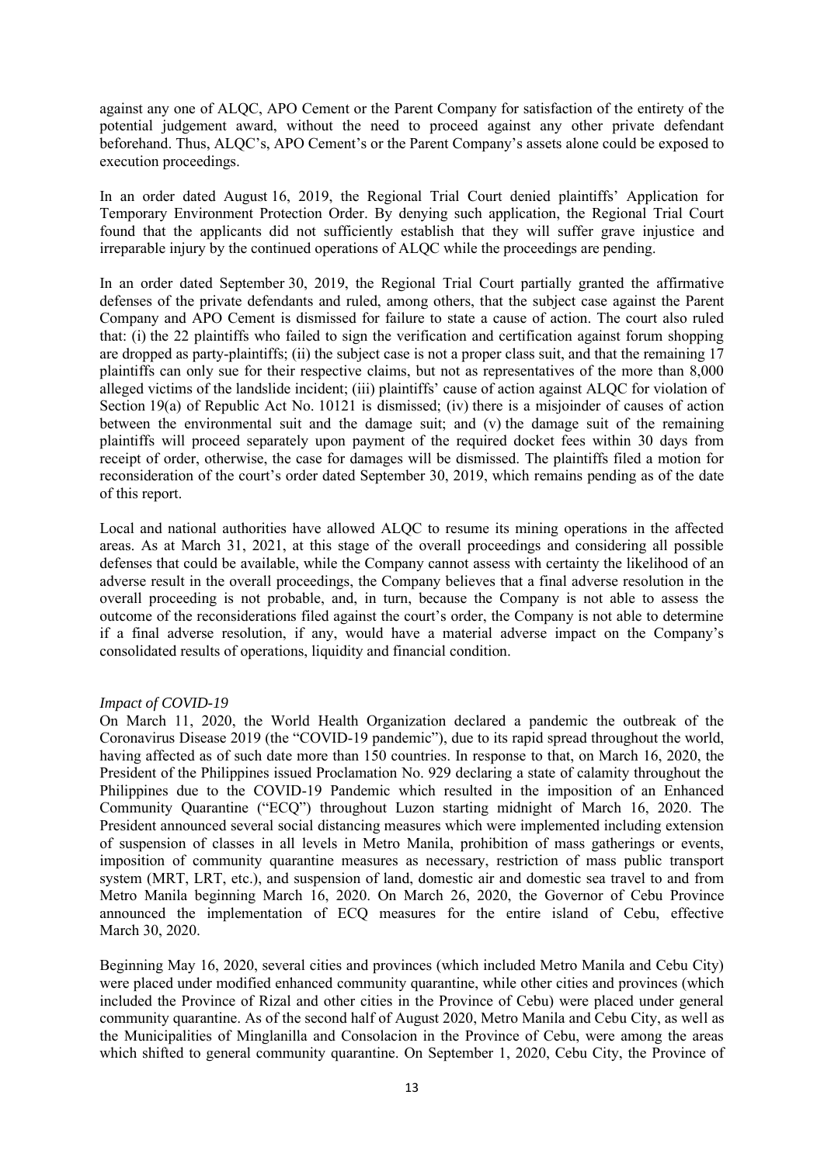against any one of ALQC, APO Cement or the Parent Company for satisfaction of the entirety of the potential judgement award, without the need to proceed against any other private defendant beforehand. Thus, ALQC's, APO Cement's or the Parent Company's assets alone could be exposed to execution proceedings.

In an order dated August 16, 2019, the Regional Trial Court denied plaintiffs' Application for Temporary Environment Protection Order. By denying such application, the Regional Trial Court found that the applicants did not sufficiently establish that they will suffer grave injustice and irreparable injury by the continued operations of ALQC while the proceedings are pending.

In an order dated September 30, 2019, the Regional Trial Court partially granted the affirmative defenses of the private defendants and ruled, among others, that the subject case against the Parent Company and APO Cement is dismissed for failure to state a cause of action. The court also ruled that: (i) the 22 plaintiffs who failed to sign the verification and certification against forum shopping are dropped as party-plaintiffs; (ii) the subject case is not a proper class suit, and that the remaining 17 plaintiffs can only sue for their respective claims, but not as representatives of the more than 8,000 alleged victims of the landslide incident; (iii) plaintiffs' cause of action against ALQC for violation of Section 19(a) of Republic Act No. 10121 is dismissed; (iv) there is a misjoinder of causes of action between the environmental suit and the damage suit; and (v) the damage suit of the remaining plaintiffs will proceed separately upon payment of the required docket fees within 30 days from receipt of order, otherwise, the case for damages will be dismissed. The plaintiffs filed a motion for reconsideration of the court's order dated September 30, 2019, which remains pending as of the date of this report.

Local and national authorities have allowed ALQC to resume its mining operations in the affected areas. As at March 31, 2021, at this stage of the overall proceedings and considering all possible defenses that could be available, while the Company cannot assess with certainty the likelihood of an adverse result in the overall proceedings, the Company believes that a final adverse resolution in the overall proceeding is not probable, and, in turn, because the Company is not able to assess the outcome of the reconsiderations filed against the court's order, the Company is not able to determine if a final adverse resolution, if any, would have a material adverse impact on the Company's consolidated results of operations, liquidity and financial condition.

# *Impact of COVID-19*

On March 11, 2020, the World Health Organization declared a pandemic the outbreak of the Coronavirus Disease 2019 (the "COVID-19 pandemic"), due to its rapid spread throughout the world, having affected as of such date more than 150 countries. In response to that, on March 16, 2020, the President of the Philippines issued Proclamation No. 929 declaring a state of calamity throughout the Philippines due to the COVID-19 Pandemic which resulted in the imposition of an Enhanced Community Quarantine ("ECQ") throughout Luzon starting midnight of March 16, 2020. The President announced several social distancing measures which were implemented including extension of suspension of classes in all levels in Metro Manila, prohibition of mass gatherings or events, imposition of community quarantine measures as necessary, restriction of mass public transport system (MRT, LRT, etc.), and suspension of land, domestic air and domestic sea travel to and from Metro Manila beginning March 16, 2020. On March 26, 2020, the Governor of Cebu Province announced the implementation of ECQ measures for the entire island of Cebu, effective March 30, 2020.

Beginning May 16, 2020, several cities and provinces (which included Metro Manila and Cebu City) were placed under modified enhanced community quarantine, while other cities and provinces (which included the Province of Rizal and other cities in the Province of Cebu) were placed under general community quarantine. As of the second half of August 2020, Metro Manila and Cebu City, as well as the Municipalities of Minglanilla and Consolacion in the Province of Cebu, were among the areas which shifted to general community quarantine. On September 1, 2020, Cebu City, the Province of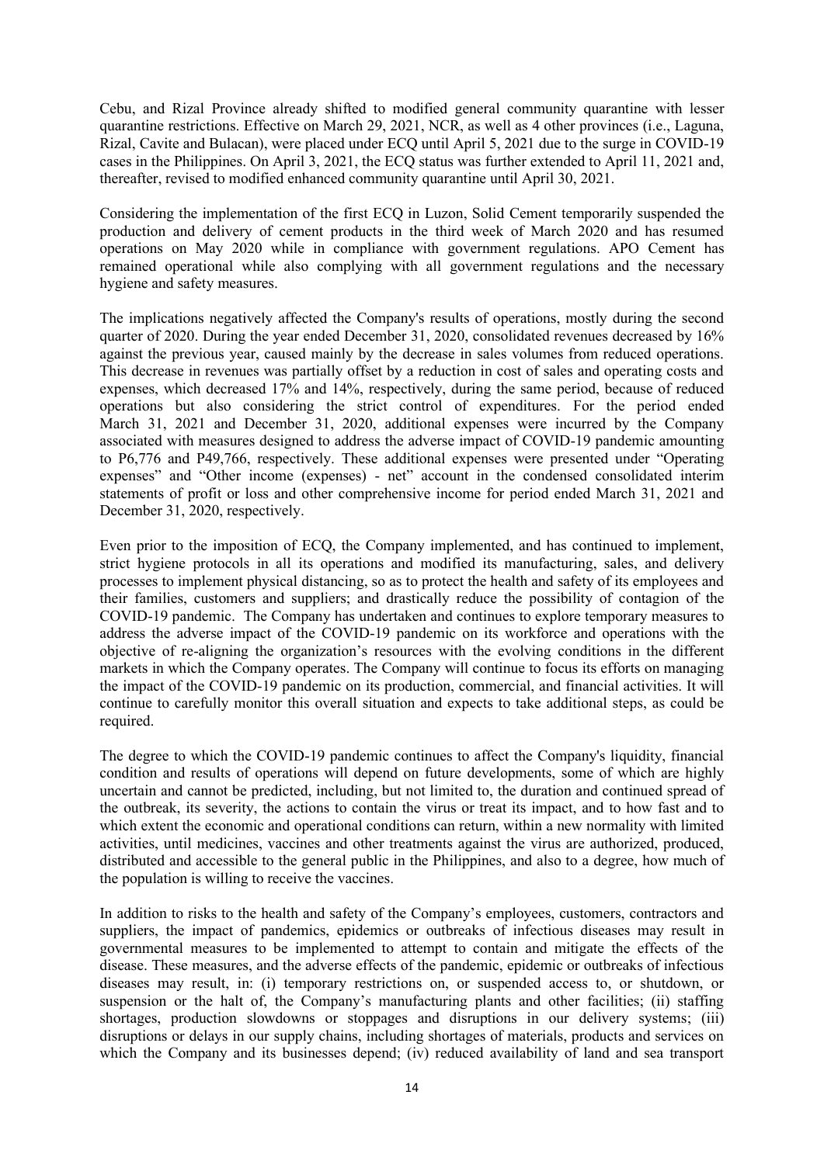Cebu, and Rizal Province already shifted to modified general community quarantine with lesser quarantine restrictions. Effective on March 29, 2021, NCR, as well as 4 other provinces (i.e., Laguna, Rizal, Cavite and Bulacan), were placed under ECQ until April 5, 2021 due to the surge in COVID-19 cases in the Philippines. On April 3, 2021, the ECQ status was further extended to April 11, 2021 and, thereafter, revised to modified enhanced community quarantine until April 30, 2021.

Considering the implementation of the first ECQ in Luzon, Solid Cement temporarily suspended the production and delivery of cement products in the third week of March 2020 and has resumed operations on May 2020 while in compliance with government regulations. APO Cement has remained operational while also complying with all government regulations and the necessary hygiene and safety measures.

The implications negatively affected the Company's results of operations, mostly during the second quarter of 2020. During the year ended December 31, 2020, consolidated revenues decreased by 16% against the previous year, caused mainly by the decrease in sales volumes from reduced operations. This decrease in revenues was partially offset by a reduction in cost of sales and operating costs and expenses, which decreased 17% and 14%, respectively, during the same period, because of reduced operations but also considering the strict control of expenditures. For the period ended March 31, 2021 and December 31, 2020, additional expenses were incurred by the Company associated with measures designed to address the adverse impact of COVID-19 pandemic amounting to P6,776 and P49,766, respectively. These additional expenses were presented under "Operating expenses" and "Other income (expenses) - net" account in the condensed consolidated interim statements of profit or loss and other comprehensive income for period ended March 31, 2021 and December 31, 2020, respectively.

Even prior to the imposition of ECQ, the Company implemented, and has continued to implement, strict hygiene protocols in all its operations and modified its manufacturing, sales, and delivery processes to implement physical distancing, so as to protect the health and safety of its employees and their families, customers and suppliers; and drastically reduce the possibility of contagion of the COVID-19 pandemic. The Company has undertaken and continues to explore temporary measures to address the adverse impact of the COVID-19 pandemic on its workforce and operations with the objective of re-aligning the organization's resources with the evolving conditions in the different markets in which the Company operates. The Company will continue to focus its efforts on managing the impact of the COVID-19 pandemic on its production, commercial, and financial activities. It will continue to carefully monitor this overall situation and expects to take additional steps, as could be required.

The degree to which the COVID-19 pandemic continues to affect the Company's liquidity, financial condition and results of operations will depend on future developments, some of which are highly uncertain and cannot be predicted, including, but not limited to, the duration and continued spread of the outbreak, its severity, the actions to contain the virus or treat its impact, and to how fast and to which extent the economic and operational conditions can return, within a new normality with limited activities, until medicines, vaccines and other treatments against the virus are authorized, produced, distributed and accessible to the general public in the Philippines, and also to a degree, how much of the population is willing to receive the vaccines.

In addition to risks to the health and safety of the Company's employees, customers, contractors and suppliers, the impact of pandemics, epidemics or outbreaks of infectious diseases may result in governmental measures to be implemented to attempt to contain and mitigate the effects of the disease. These measures, and the adverse effects of the pandemic, epidemic or outbreaks of infectious diseases may result, in: (i) temporary restrictions on, or suspended access to, or shutdown, or suspension or the halt of, the Company's manufacturing plants and other facilities; (ii) staffing shortages, production slowdowns or stoppages and disruptions in our delivery systems; (iii) disruptions or delays in our supply chains, including shortages of materials, products and services on which the Company and its businesses depend; (iv) reduced availability of land and sea transport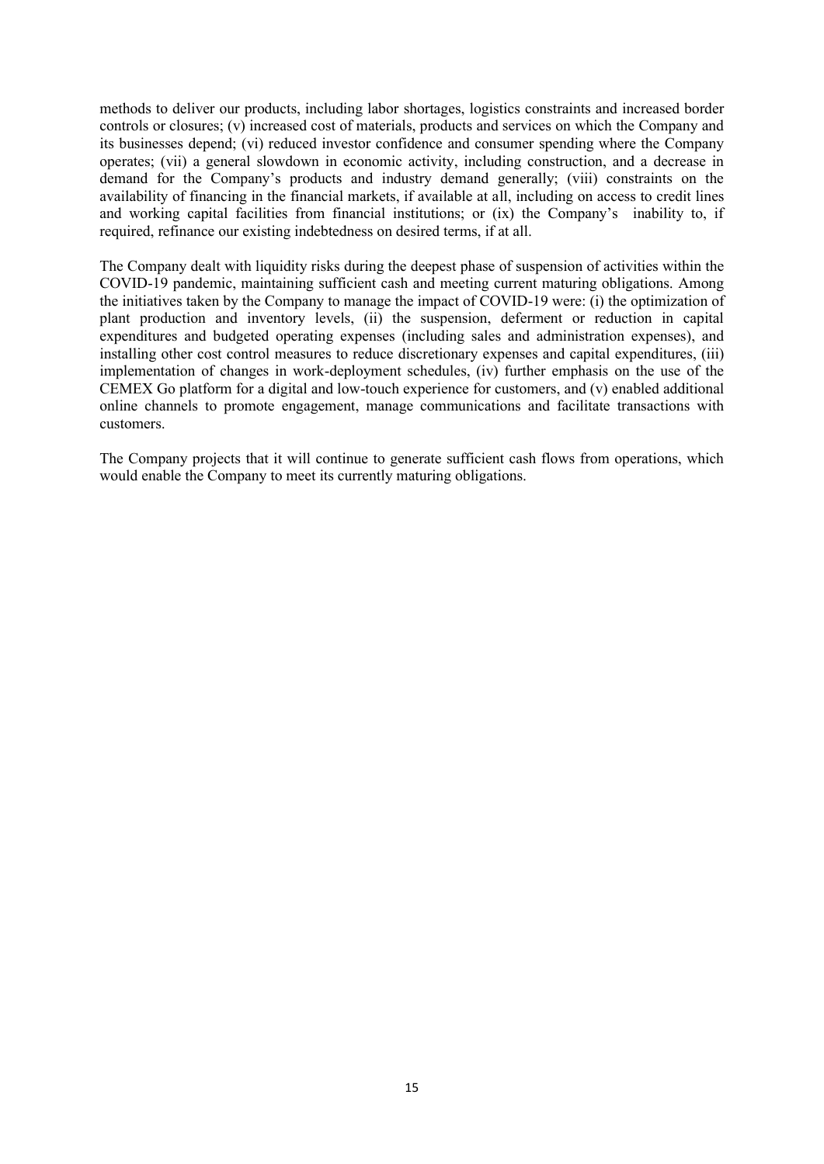methods to deliver our products, including labor shortages, logistics constraints and increased border controls or closures; (v) increased cost of materials, products and services on which the Company and its businesses depend; (vi) reduced investor confidence and consumer spending where the Company operates; (vii) a general slowdown in economic activity, including construction, and a decrease in demand for the Company's products and industry demand generally; (viii) constraints on the availability of financing in the financial markets, if available at all, including on access to credit lines and working capital facilities from financial institutions; or (ix) the Company's inability to, if required, refinance our existing indebtedness on desired terms, if at all.

The Company dealt with liquidity risks during the deepest phase of suspension of activities within the COVID-19 pandemic, maintaining sufficient cash and meeting current maturing obligations. Among the initiatives taken by the Company to manage the impact of COVID-19 were: (i) the optimization of plant production and inventory levels, (ii) the suspension, deferment or reduction in capital expenditures and budgeted operating expenses (including sales and administration expenses), and installing other cost control measures to reduce discretionary expenses and capital expenditures, (iii) implementation of changes in work-deployment schedules, (iv) further emphasis on the use of the CEMEX Go platform for a digital and low-touch experience for customers, and (v) enabled additional online channels to promote engagement, manage communications and facilitate transactions with customers.

The Company projects that it will continue to generate sufficient cash flows from operations, which would enable the Company to meet its currently maturing obligations.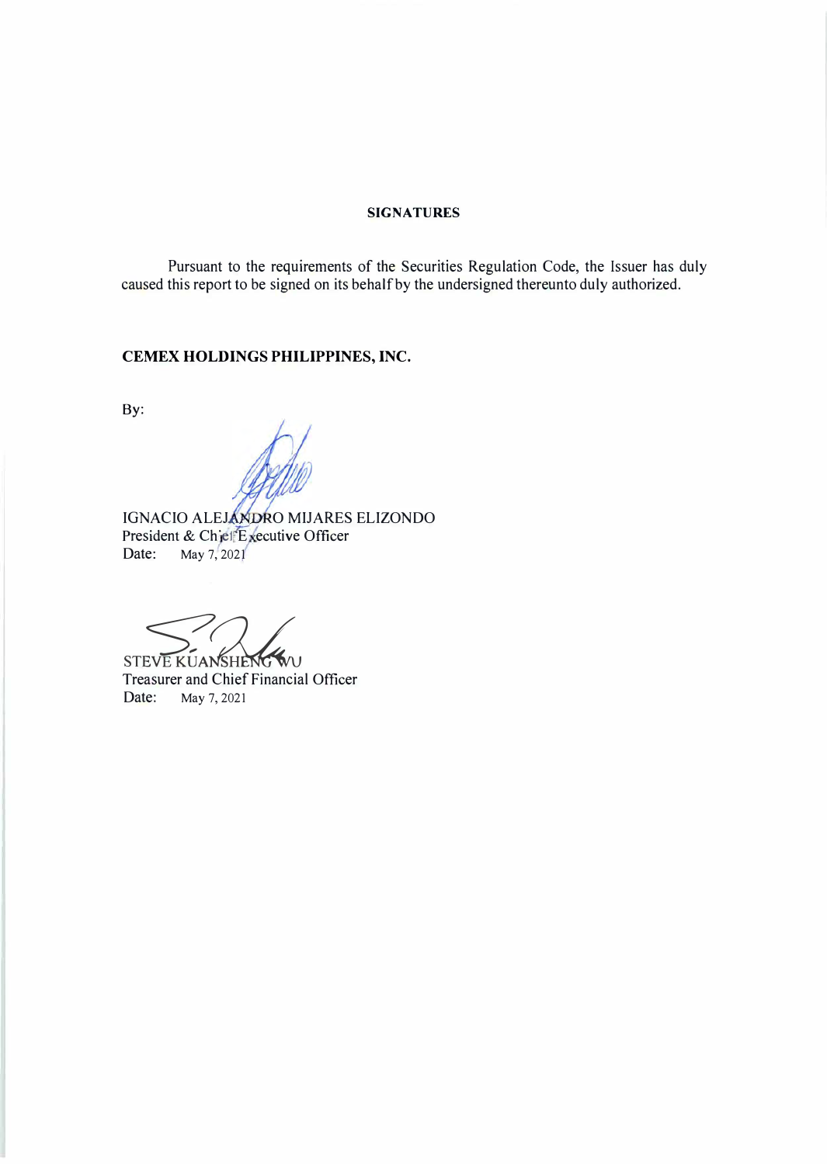# **SIGNATURES**

Pursuant to the requirements of the Securities Regulation Code, the Issuer has duly caused this report to be signed on its behalf by the undersigned thereunto duly authorized.

# **CEMEX HOLDINGS PHILIPPINES, INC.**

By:

IGNACIO ALEJANDRO MIJARES ELIZONDO President & Chief Executive Officer Date: May 7, 2021

STEVE KUANSHENG WU

Treasurer and Chief Financial Officer Date: May 7, 2021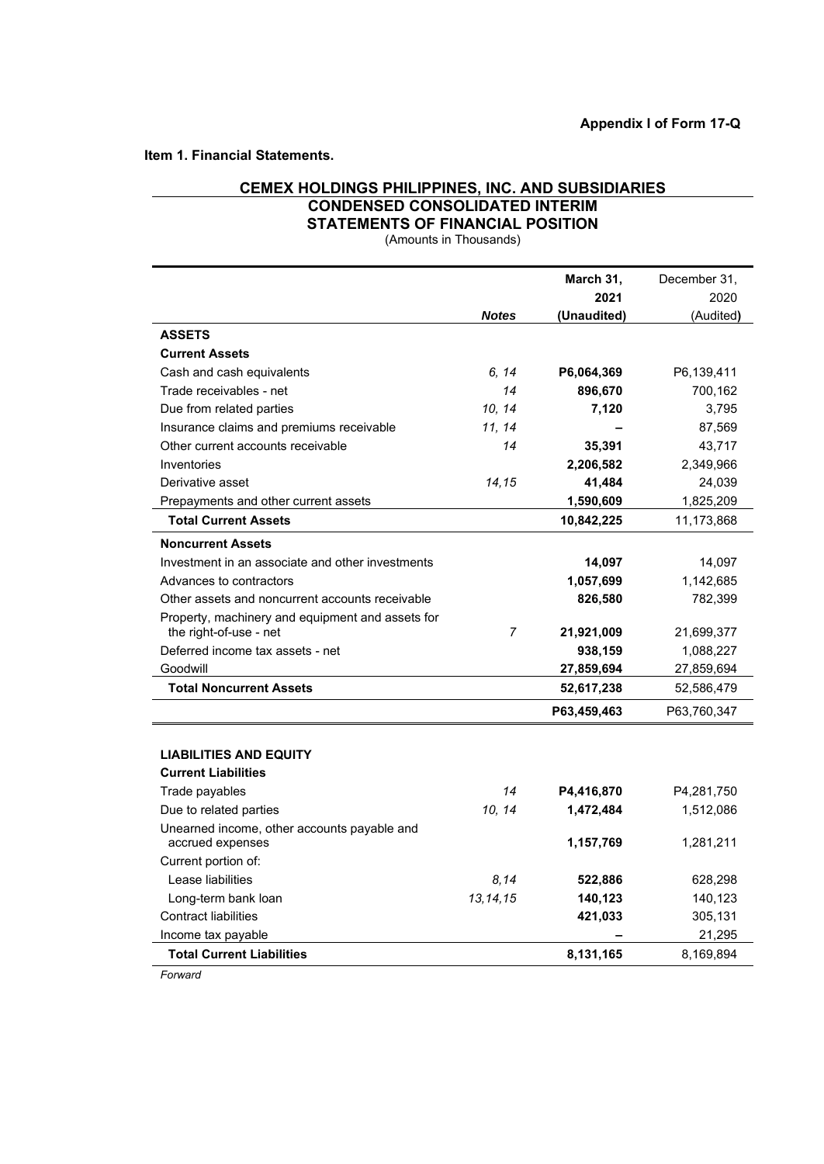**Item 1. Financial Statements.**

# **CEMEX HOLDINGS PHILIPPINES, INC. AND SUBSIDIARIES CONDENSED CONSOLIDATED INTERIM**

**STATEMENTS OF FINANCIAL POSITION**

(Amounts in Thousands)

|                                                                            |                | March 31,   | December 31, |
|----------------------------------------------------------------------------|----------------|-------------|--------------|
|                                                                            |                | 2021        | 2020         |
|                                                                            | <b>Notes</b>   | (Unaudited) | (Audited)    |
| <b>ASSETS</b>                                                              |                |             |              |
| <b>Current Assets</b>                                                      |                |             |              |
| Cash and cash equivalents                                                  | 6, 14          | P6,064,369  | P6,139,411   |
| Trade receivables - net                                                    | 14             | 896,670     | 700,162      |
| Due from related parties                                                   | 10, 14         | 7,120       | 3,795        |
| Insurance claims and premiums receivable                                   | 11, 14         |             | 87,569       |
| Other current accounts receivable                                          | 14             | 35,391      | 43,717       |
| Inventories                                                                |                | 2,206,582   | 2,349,966    |
| Derivative asset                                                           | 14,15          | 41,484      | 24,039       |
| Prepayments and other current assets                                       |                | 1,590,609   | 1,825,209    |
| <b>Total Current Assets</b>                                                |                | 10,842,225  | 11,173,868   |
| <b>Noncurrent Assets</b>                                                   |                |             |              |
| Investment in an associate and other investments                           |                | 14,097      | 14,097       |
| Advances to contractors                                                    |                | 1,057,699   | 1,142,685    |
| Other assets and noncurrent accounts receivable                            |                | 826,580     | 782,399      |
| Property, machinery and equipment and assets for<br>the right-of-use - net | $\overline{7}$ | 21,921,009  | 21,699,377   |
| Deferred income tax assets - net                                           |                | 938,159     | 1,088,227    |
| Goodwill                                                                   |                | 27,859,694  | 27,859,694   |
| <b>Total Noncurrent Assets</b>                                             |                | 52,617,238  | 52,586,479   |
|                                                                            |                | P63,459,463 | P63,760,347  |
|                                                                            |                |             |              |
| <b>LIABILITIES AND EQUITY</b>                                              |                |             |              |
| <b>Current Liabilities</b>                                                 |                |             |              |
| Trade payables                                                             | 14             | P4,416,870  | P4,281,750   |
| Due to related parties                                                     | 10, 14         | 1,472,484   | 1,512,086    |
| Unearned income, other accounts payable and<br>accrued expenses            |                | 1,157,769   | 1,281,211    |
| Current portion of:                                                        |                |             |              |
| Lease liabilities                                                          | 8.14           | 522,886     | 628,298      |
| Long-term bank loan                                                        | 13, 14, 15     | 140,123     | 140,123      |
| <b>Contract liabilities</b>                                                |                | 421,033     | 305,131      |
| Income tax payable                                                         |                |             | 21,295       |
| <b>Total Current Liabilities</b>                                           |                | 8,131,165   | 8,169,894    |

*Forward*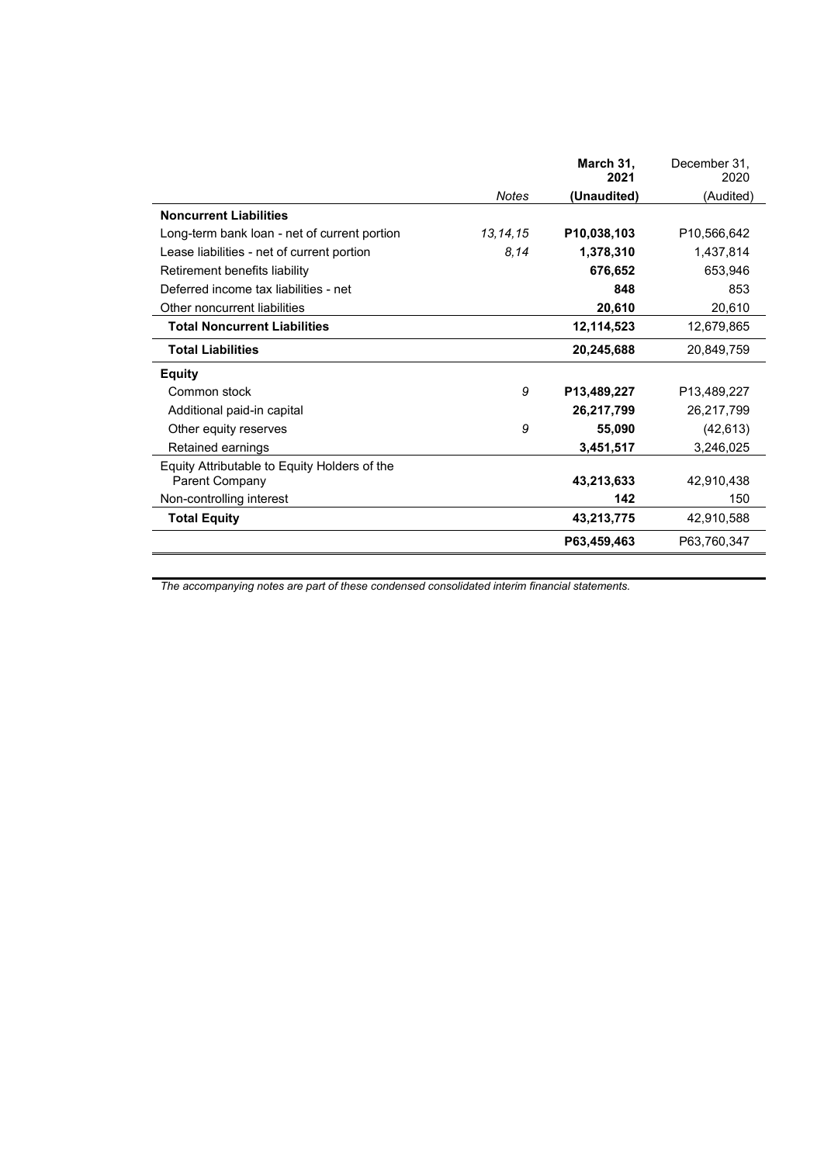|                                              |            | March 31,<br>2021 | December 31,<br>2020 |
|----------------------------------------------|------------|-------------------|----------------------|
|                                              | Notes      | (Unaudited)       | (Audited)            |
| <b>Noncurrent Liabilities</b>                |            |                   |                      |
| Long-term bank loan - net of current portion | 13, 14, 15 | P10,038,103       | P10,566,642          |
| Lease liabilities - net of current portion   | 8,14       | 1,378,310         | 1,437,814            |
| Retirement benefits liability                |            | 676,652           | 653,946              |
| Deferred income tax liabilities - net        |            | 848               | 853                  |
| Other noncurrent liabilities                 |            | 20,610            | 20,610               |
| <b>Total Noncurrent Liabilities</b>          |            | 12,114,523        | 12,679,865           |
| <b>Total Liabilities</b>                     |            | 20,245,688        | 20,849,759           |
| <b>Equity</b>                                |            |                   |                      |
| Common stock                                 | 9          | P13,489,227       | P13,489,227          |
| Additional paid-in capital                   |            | 26,217,799        | 26,217,799           |
| Other equity reserves                        | 9          | 55,090            | (42, 613)            |
| Retained earnings                            |            | 3,451,517         | 3,246,025            |
| Equity Attributable to Equity Holders of the |            |                   |                      |
| Parent Company                               |            | 43,213,633        | 42,910,438           |
| Non-controlling interest                     |            | 142               | 150                  |
| <b>Total Equity</b>                          |            | 43,213,775        | 42,910,588           |
|                                              |            | P63,459,463       | P63,760,347          |

*The accompanying notes are part of these condensed consolidated interim financial statements.*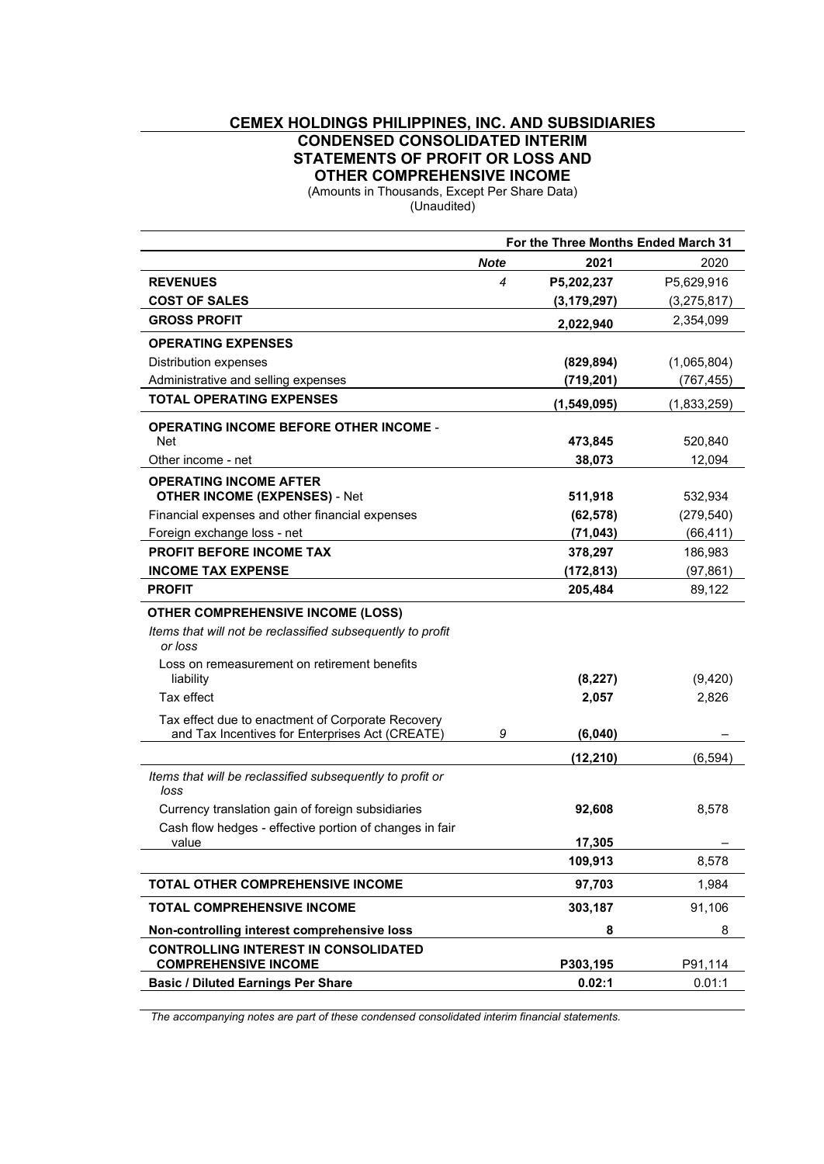# **CEMEX HOLDINGS PHILIPPINES, INC. AND SUBSIDIARIES CONDENSED CONSOLIDATED INTERIM STATEMENTS OF PROFIT OR LOSS AND OTHER COMPREHENSIVE INCOME**

(Amounts in Thousands, Except Per Share Data)

(Unaudited)

|                                                                                                      |             | For the Three Months Ended March 31 |             |
|------------------------------------------------------------------------------------------------------|-------------|-------------------------------------|-------------|
|                                                                                                      | <b>Note</b> | 2021                                | 2020        |
| <b>REVENUES</b>                                                                                      | 4           | P5,202,237                          | P5,629,916  |
| <b>COST OF SALES</b>                                                                                 |             | (3, 179, 297)                       | (3,275,817) |
| <b>GROSS PROFIT</b>                                                                                  |             | 2,022,940                           | 2,354,099   |
| <b>OPERATING EXPENSES</b>                                                                            |             |                                     |             |
| Distribution expenses                                                                                |             | (829, 894)                          | (1,065,804) |
| Administrative and selling expenses                                                                  |             | (719, 201)                          | (767,455)   |
| <b>TOTAL OPERATING EXPENSES</b>                                                                      |             | (1,549,095)                         | (1,833,259) |
| <b>OPERATING INCOME BEFORE OTHER INCOME -</b><br><b>Net</b>                                          |             | 473,845                             | 520,840     |
| Other income - net                                                                                   |             | 38,073                              | 12,094      |
| <b>OPERATING INCOME AFTER</b>                                                                        |             |                                     |             |
| <b>OTHER INCOME (EXPENSES) - Net</b>                                                                 |             | 511,918                             | 532,934     |
| Financial expenses and other financial expenses                                                      |             | (62, 578)                           | (279, 540)  |
| Foreign exchange loss - net                                                                          |             | (71, 043)                           | (66, 411)   |
| <b>PROFIT BEFORE INCOME TAX</b>                                                                      |             | 378,297                             | 186,983     |
| <b>INCOME TAX EXPENSE</b>                                                                            |             | (172,813)                           | (97, 861)   |
| <b>PROFIT</b>                                                                                        |             | 205,484                             | 89,122      |
| <b>OTHER COMPREHENSIVE INCOME (LOSS)</b>                                                             |             |                                     |             |
| Items that will not be reclassified subsequently to profit<br>or loss                                |             |                                     |             |
| Loss on remeasurement on retirement benefits<br>liability                                            |             | (8, 227)                            | (9,420)     |
| Tax effect                                                                                           |             | 2,057                               | 2,826       |
| Tax effect due to enactment of Corporate Recovery<br>and Tax Incentives for Enterprises Act (CREATE) | 9           | (6,040)                             |             |
|                                                                                                      |             | (12, 210)                           | (6, 594)    |
| Items that will be reclassified subsequently to profit or<br>loss                                    |             |                                     |             |
| Currency translation gain of foreign subsidiaries                                                    |             | 92,608                              | 8,578       |
| Cash flow hedges - effective portion of changes in fair                                              |             |                                     |             |
| value                                                                                                |             | 17,305                              |             |
|                                                                                                      |             | 109,913                             | 8,578       |
| TOTAL OTHER COMPREHENSIVE INCOME                                                                     |             | 97,703                              | 1,984       |
| <b>TOTAL COMPREHENSIVE INCOME</b>                                                                    |             | 303,187                             | 91,106      |
| Non-controlling interest comprehensive loss                                                          |             | 8                                   | 8           |
| <b>CONTROLLING INTEREST IN CONSOLIDATED</b><br><b>COMPREHENSIVE INCOME</b>                           |             | P303,195                            | P91,114     |
| <b>Basic / Diluted Earnings Per Share</b>                                                            |             | 0.02:1                              | 0.01:1      |
|                                                                                                      |             |                                     |             |

*The accompanying notes are part of these condensed consolidated interim financial statements.*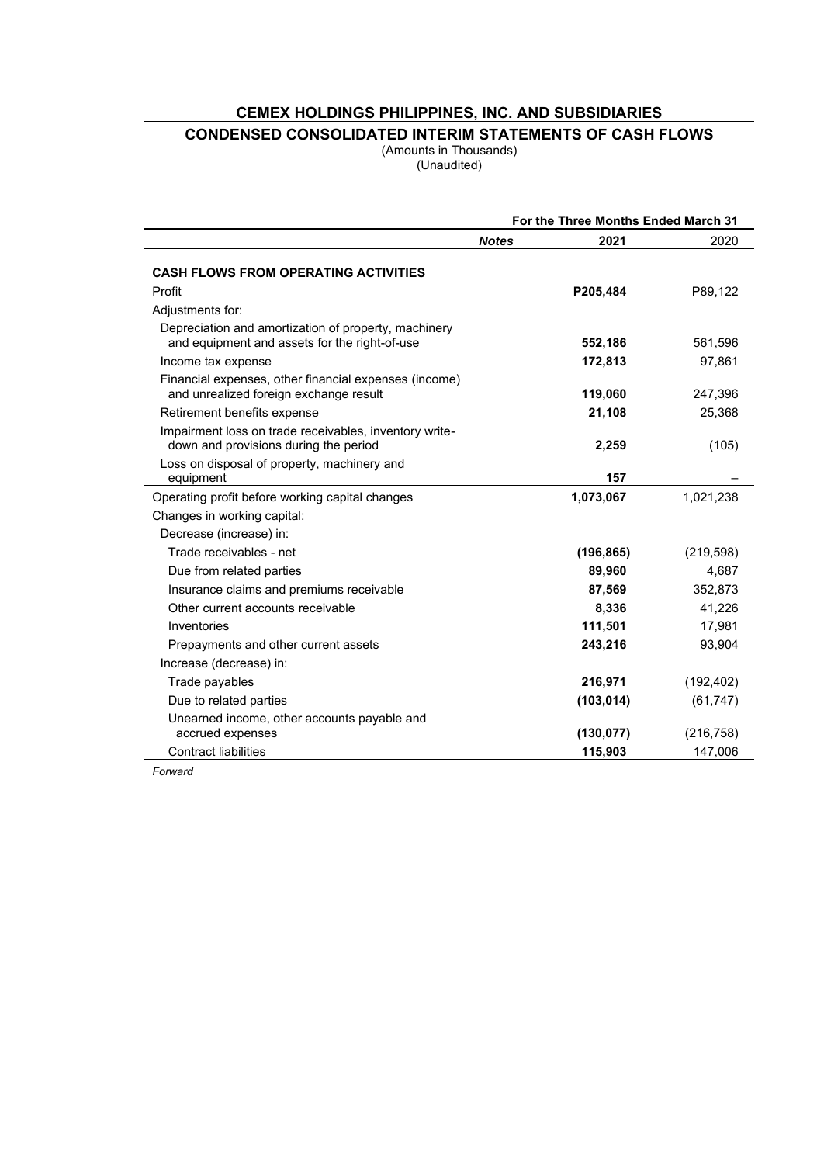# **CEMEX HOLDINGS PHILIPPINES, INC. AND SUBSIDIARIES**

# **CONDENSED CONSOLIDATED INTERIM STATEMENTS OF CASH FLOWS**

(Amounts in Thousands) (Unaudited)

|                                                                                                       |              | For the Three Months Ended March 31 |            |
|-------------------------------------------------------------------------------------------------------|--------------|-------------------------------------|------------|
|                                                                                                       | <b>Notes</b> | 2021                                | 2020       |
| <b>CASH FLOWS FROM OPERATING ACTIVITIES</b>                                                           |              |                                     |            |
| Profit                                                                                                |              | P205,484                            | P89,122    |
| Adjustments for:                                                                                      |              |                                     |            |
| Depreciation and amortization of property, machinery<br>and equipment and assets for the right-of-use |              | 552,186                             | 561,596    |
| Income tax expense                                                                                    |              | 172,813                             | 97,861     |
| Financial expenses, other financial expenses (income)<br>and unrealized foreign exchange result       |              | 119,060                             | 247,396    |
| Retirement benefits expense                                                                           |              | 21,108                              | 25,368     |
| Impairment loss on trade receivables, inventory write-<br>down and provisions during the period       |              | 2,259                               | (105)      |
| Loss on disposal of property, machinery and<br>equipment                                              |              | 157                                 |            |
| Operating profit before working capital changes                                                       |              | 1,073,067                           | 1,021,238  |
| Changes in working capital:                                                                           |              |                                     |            |
| Decrease (increase) in:                                                                               |              |                                     |            |
| Trade receivables - net                                                                               |              | (196, 865)                          | (219, 598) |
| Due from related parties                                                                              |              | 89,960                              | 4,687      |
| Insurance claims and premiums receivable                                                              |              | 87,569                              | 352,873    |
| Other current accounts receivable                                                                     |              | 8,336                               | 41,226     |
| Inventories                                                                                           |              | 111,501                             | 17,981     |
| Prepayments and other current assets                                                                  |              | 243,216                             | 93,904     |
| Increase (decrease) in:                                                                               |              |                                     |            |
| Trade payables                                                                                        |              | 216,971                             | (192, 402) |
| Due to related parties                                                                                |              | (103, 014)                          | (61, 747)  |
| Unearned income, other accounts payable and<br>accrued expenses                                       |              | (130, 077)                          | (216, 758) |
| <b>Contract liabilities</b>                                                                           |              | 115,903                             | 147,006    |

*Forward*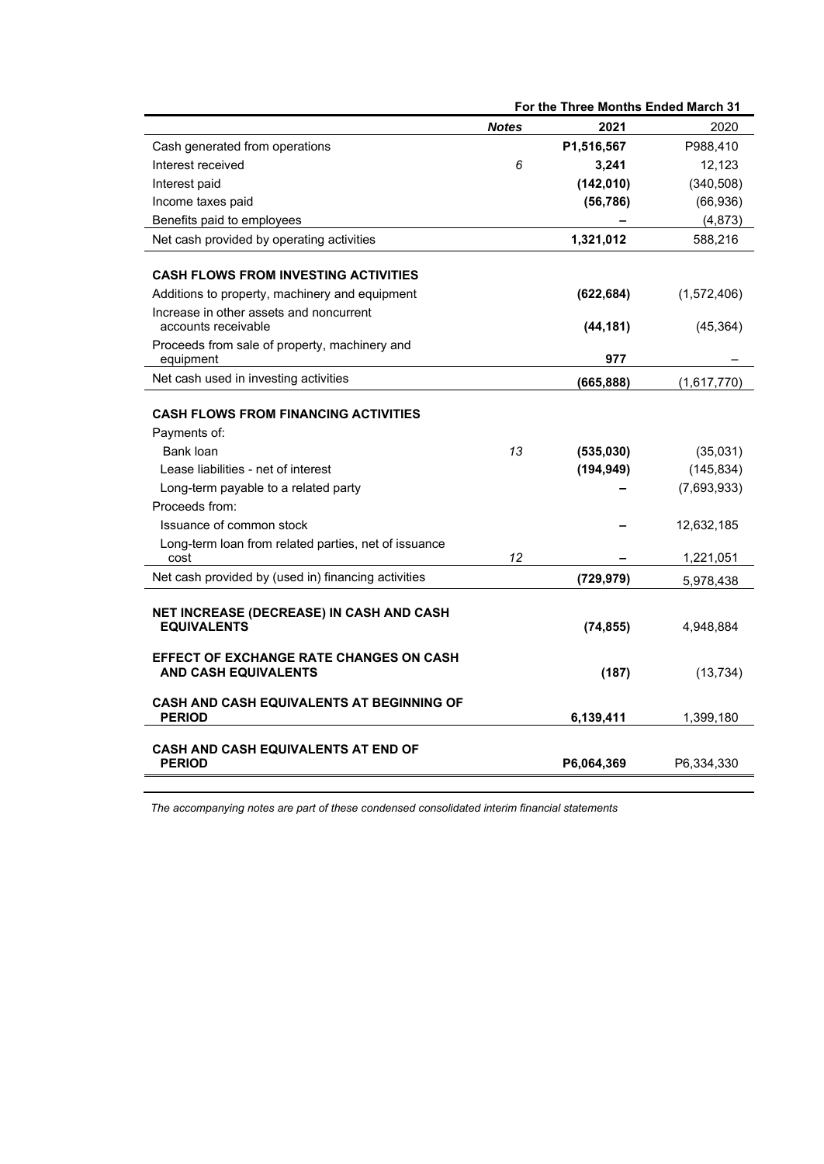|                                                                |              | For the Three Months Ended March 31 |             |
|----------------------------------------------------------------|--------------|-------------------------------------|-------------|
|                                                                | <b>Notes</b> | 2021                                | 2020        |
| Cash generated from operations                                 |              | P1,516,567                          | P988,410    |
| Interest received                                              | 6            | 3,241                               | 12,123      |
| Interest paid                                                  |              | (142, 010)                          | (340, 508)  |
| Income taxes paid                                              |              | (56, 786)                           | (66, 936)   |
| Benefits paid to employees                                     |              |                                     | (4, 873)    |
| Net cash provided by operating activities                      |              | 1,321,012                           | 588,216     |
|                                                                |              |                                     |             |
| <b>CASH FLOWS FROM INVESTING ACTIVITIES</b>                    |              |                                     |             |
| Additions to property, machinery and equipment                 |              | (622, 684)                          | (1,572,406) |
| Increase in other assets and noncurrent<br>accounts receivable |              | (44, 181)                           | (45, 364)   |
| Proceeds from sale of property, machinery and                  |              |                                     |             |
| equipment                                                      |              | 977                                 |             |
| Net cash used in investing activities                          |              | (665, 888)                          | (1,617,770) |
|                                                                |              |                                     |             |
| <b>CASH FLOWS FROM FINANCING ACTIVITIES</b>                    |              |                                     |             |
| Payments of:                                                   |              |                                     |             |
| Bank loan                                                      | 13           | (535,030)                           | (35,031)    |
| Lease liabilities - net of interest                            |              | (194, 949)                          | (145, 834)  |
| Long-term payable to a related party                           |              |                                     | (7,693,933) |
| Proceeds from:                                                 |              |                                     |             |
| Issuance of common stock                                       |              |                                     | 12,632,185  |
| Long-term loan from related parties, net of issuance           |              |                                     |             |
| cost                                                           | 12           |                                     | 1,221,051   |
| Net cash provided by (used in) financing activities            |              | (729, 979)                          | 5,978,438   |
|                                                                |              |                                     |             |
| NET INCREASE (DECREASE) IN CASH AND CASH<br><b>EQUIVALENTS</b> |              | (74, 855)                           | 4,948,884   |
|                                                                |              |                                     |             |
| <b>EFFECT OF EXCHANGE RATE CHANGES ON CASH</b>                 |              |                                     |             |
| <b>AND CASH EQUIVALENTS</b>                                    |              | (187)                               | (13, 734)   |
| <b>CASH AND CASH EQUIVALENTS AT BEGINNING OF</b>               |              |                                     |             |
| <b>PERIOD</b>                                                  |              | 6,139,411                           | 1,399,180   |
|                                                                |              |                                     |             |
| <b>CASH AND CASH EQUIVALENTS AT END OF</b><br><b>PERIOD</b>    |              |                                     |             |
|                                                                |              | P6,064,369                          | P6,334,330  |

*The accompanying notes are part of these condensed consolidated interim financial statements*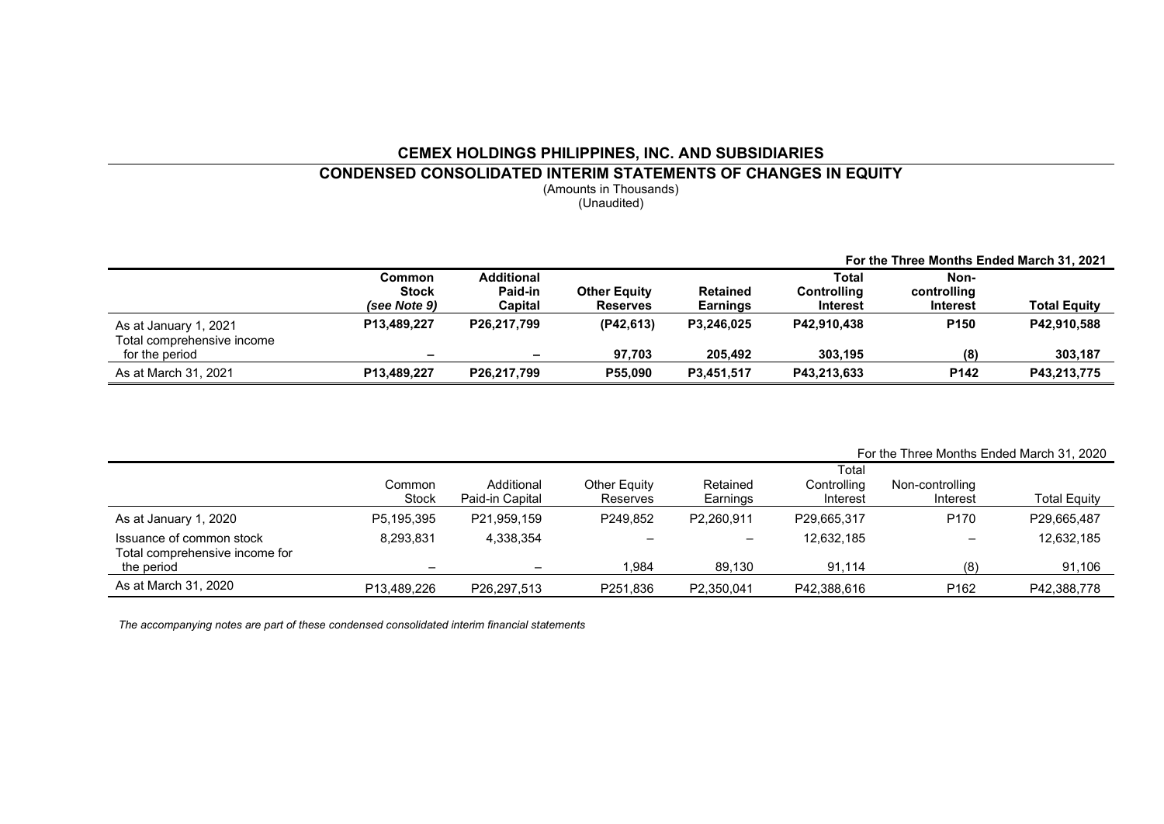# **CEMEX HOLDINGS PHILIPPINES, INC. AND SUBSIDIARIES CONDENSED CONSOLIDATED INTERIM STATEMENTS OF CHANGES IN EQUITY**

(Amounts in Thousands) (Unaudited)

|                                              |                          |                              |                     |                 |                      | For the Three Months Ended March 31, 2021 |                     |
|----------------------------------------------|--------------------------|------------------------------|---------------------|-----------------|----------------------|-------------------------------------------|---------------------|
|                                              | Common<br><b>Stock</b>   | <b>Additional</b><br>Paid-in | <b>Other Equity</b> | <b>Retained</b> | Total<br>Controlling | Non-<br>controlling                       |                     |
|                                              | (see Note 9)             | Capital                      | <b>Reserves</b>     | <b>Earnings</b> | Interest             | <b>Interest</b>                           | <b>Total Equity</b> |
| As at January 1, 2021                        | P13.489.227              | P26.217.799                  | (P42.613)           | P3.246.025      | P42.910.438          | P <sub>150</sub>                          | P42,910,588         |
| Total comprehensive income<br>for the period | $\overline{\phantom{a}}$ | $\overline{\phantom{0}}$     | 97.703              | 205.492         | 303.195              | (8)                                       | 303,187             |
| As at March 31, 2021                         | P13,489,227              | P26,217,799                  | P55,090             | P3.451.517      | P43,213,633          | P142                                      | P43,213,775         |

|                                              |                        |                               |                                 |                      |                         |                             | For the Three Months Ended March 31, 2020 |
|----------------------------------------------|------------------------|-------------------------------|---------------------------------|----------------------|-------------------------|-----------------------------|-------------------------------------------|
|                                              |                        |                               |                                 |                      | Total                   |                             |                                           |
|                                              | Common<br><b>Stock</b> | Additional<br>Paid-in Capital | Other Equity<br><b>Reserves</b> | Retained<br>Earnings | Controlling<br>Interest | Non-controlling<br>Interest | <b>Total Equity</b>                       |
| As at January 1, 2020                        | P5.195.395             | P21,959,159                   | P249.852                        | P2.260.911           | P29,665,317             | P <sub>170</sub>            | P29,665,487                               |
| Issuance of common stock                     | 8.293.831              | 4,338,354                     |                                 |                      | 12.632.185              | $\overline{\phantom{0}}$    | 12,632,185                                |
| Total comprehensive income for<br>the period |                        | -                             | .984                            | 89.130               | 91.114                  | (8)                         | 91,106                                    |
| As at March 31, 2020                         | P13.489.226            | P26.297.513                   | P251.836                        | P2,350,041           | P42,388,616             | P <sub>162</sub>            | P42,388,778                               |

*The accompanying notes are part of these condensed consolidated interim financial statements*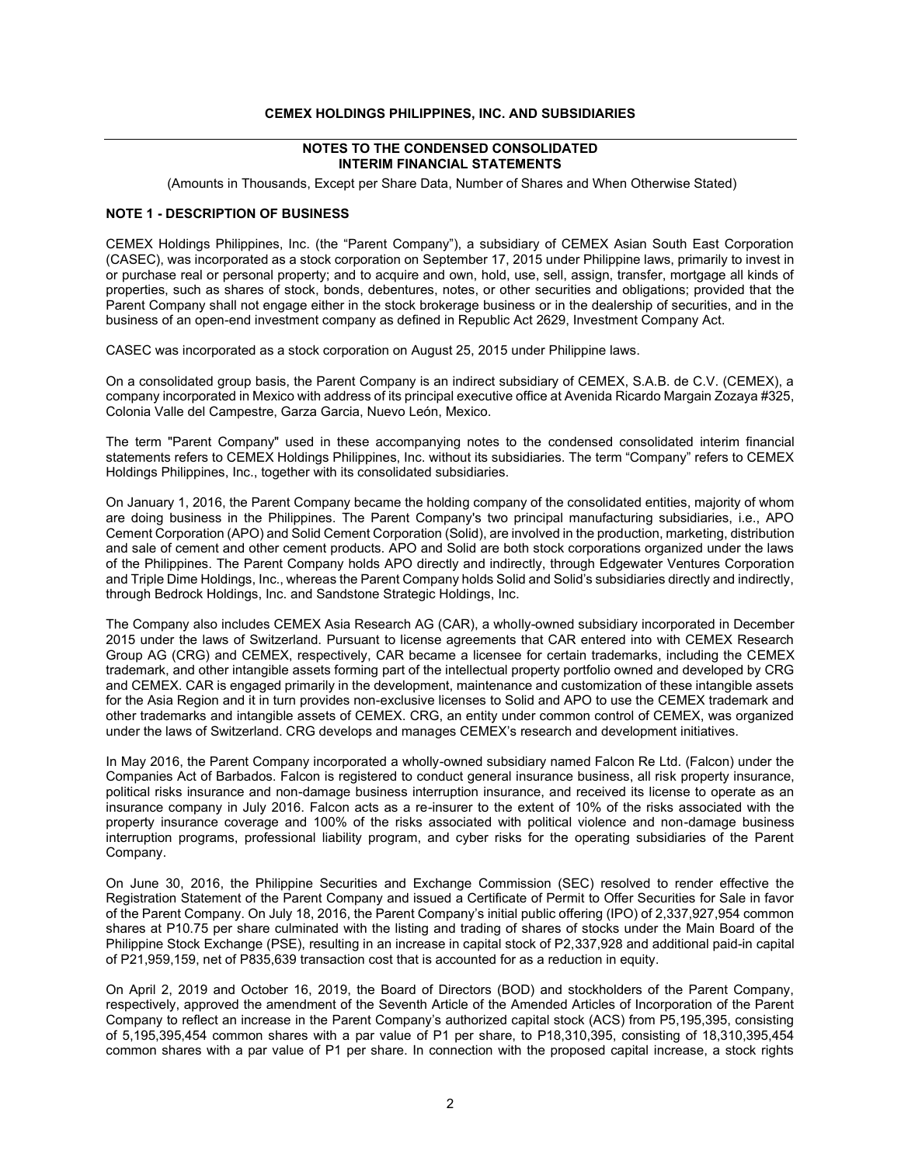#### **CEMEX HOLDINGS PHILIPPINES, INC. AND SUBSIDIARIES**

#### **NOTES TO THE CONDENSED CONSOLIDATED INTERIM FINANCIAL STATEMENTS**

(Amounts in Thousands, Except per Share Data, Number of Shares and When Otherwise Stated)

#### **NOTE 1 - DESCRIPTION OF BUSINESS**

CEMEX Holdings Philippines, Inc. (the "Parent Company"), a subsidiary of CEMEX Asian South East Corporation (CASEC), was incorporated as a stock corporation on September 17, 2015 under Philippine laws, primarily to invest in or purchase real or personal property; and to acquire and own, hold, use, sell, assign, transfer, mortgage all kinds of properties, such as shares of stock, bonds, debentures, notes, or other securities and obligations; provided that the Parent Company shall not engage either in the stock brokerage business or in the dealership of securities, and in the business of an open-end investment company as defined in Republic Act 2629, Investment Company Act.

CASEC was incorporated as a stock corporation on August 25, 2015 under Philippine laws.

On a consolidated group basis, the Parent Company is an indirect subsidiary of CEMEX, S.A.B. de C.V. (CEMEX), a company incorporated in Mexico with address of its principal executive office at Avenida Ricardo Margain Zozaya #325, Colonia Valle del Campestre, Garza Garcia, Nuevo León, Mexico.

The term "Parent Company" used in these accompanying notes to the condensed consolidated interim financial statements refers to CEMEX Holdings Philippines, Inc. without its subsidiaries. The term "Company" refers to CEMEX Holdings Philippines, Inc., together with its consolidated subsidiaries.

On January 1, 2016, the Parent Company became the holding company of the consolidated entities, majority of whom are doing business in the Philippines. The Parent Company's two principal manufacturing subsidiaries, i.e., APO Cement Corporation (APO) and Solid Cement Corporation (Solid), are involved in the production, marketing, distribution and sale of cement and other cement products. APO and Solid are both stock corporations organized under the laws of the Philippines. The Parent Company holds APO directly and indirectly, through Edgewater Ventures Corporation and Triple Dime Holdings, Inc., whereas the Parent Company holds Solid and Solid's subsidiaries directly and indirectly, through Bedrock Holdings, Inc. and Sandstone Strategic Holdings, Inc.

The Company also includes CEMEX Asia Research AG (CAR), a wholly-owned subsidiary incorporated in December 2015 under the laws of Switzerland. Pursuant to license agreements that CAR entered into with CEMEX Research Group AG (CRG) and CEMEX, respectively, CAR became a licensee for certain trademarks, including the CEMEX trademark, and other intangible assets forming part of the intellectual property portfolio owned and developed by CRG and CEMEX. CAR is engaged primarily in the development, maintenance and customization of these intangible assets for the Asia Region and it in turn provides non-exclusive licenses to Solid and APO to use the CEMEX trademark and other trademarks and intangible assets of CEMEX. CRG, an entity under common control of CEMEX, was organized under the laws of Switzerland. CRG develops and manages CEMEX's research and development initiatives.

In May 2016, the Parent Company incorporated a wholly-owned subsidiary named Falcon Re Ltd. (Falcon) under the Companies Act of Barbados. Falcon is registered to conduct general insurance business, all risk property insurance, political risks insurance and non-damage business interruption insurance, and received its license to operate as an insurance company in July 2016. Falcon acts as a re-insurer to the extent of 10% of the risks associated with the property insurance coverage and 100% of the risks associated with political violence and non-damage business interruption programs, professional liability program, and cyber risks for the operating subsidiaries of the Parent Company.

On June 30, 2016, the Philippine Securities and Exchange Commission (SEC) resolved to render effective the Registration Statement of the Parent Company and issued a Certificate of Permit to Offer Securities for Sale in favor of the Parent Company. On July 18, 2016, the Parent Company's initial public offering (IPO) of 2,337,927,954 common shares at P10.75 per share culminated with the listing and trading of shares of stocks under the Main Board of the Philippine Stock Exchange (PSE), resulting in an increase in capital stock of P2,337,928 and additional paid-in capital of P21,959,159, net of P835,639 transaction cost that is accounted for as a reduction in equity.

On April 2, 2019 and October 16, 2019, the Board of Directors (BOD) and stockholders of the Parent Company, respectively, approved the amendment of the Seventh Article of the Amended Articles of Incorporation of the Parent Company to reflect an increase in the Parent Company's authorized capital stock (ACS) from P5,195,395, consisting of 5,195,395,454 common shares with a par value of P1 per share, to P18,310,395, consisting of 18,310,395,454 common shares with a par value of P1 per share. In connection with the proposed capital increase, a stock rights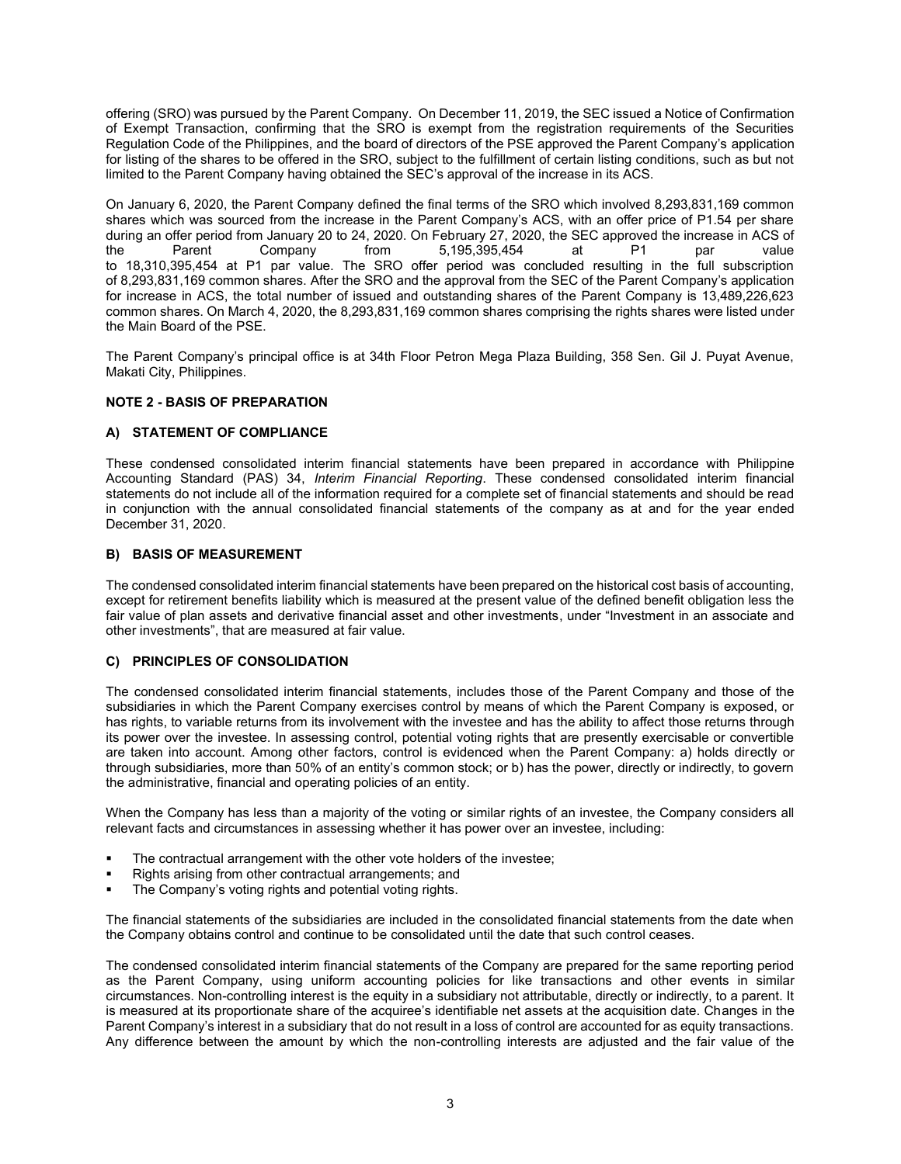offering (SRO) was pursued by the Parent Company. On December 11, 2019, the SEC issued a Notice of Confirmation of Exempt Transaction, confirming that the SRO is exempt from the registration requirements of the Securities Regulation Code of the Philippines, and the board of directors of the PSE approved the Parent Company's application for listing of the shares to be offered in the SRO, subject to the fulfillment of certain listing conditions, such as but not limited to the Parent Company having obtained the SEC's approval of the increase in its ACS.

On January 6, 2020, the Parent Company defined the final terms of the SRO which involved 8,293,831,169 common shares which was sourced from the increase in the Parent Company's ACS, with an offer price of P1.54 per share during an offer period from January 20 to 24, 2020. On February 27, 2020, the SEC approved the increase in ACS of<br>the Parent Company from 5,195,395,454 at P1 par value  $5,195,395,454$  at P1 par to 18,310,395,454 at P1 par value. The SRO offer period was concluded resulting in the full subscription of 8,293,831,169 common shares. After the SRO and the approval from the SEC of the Parent Company's application for increase in ACS, the total number of issued and outstanding shares of the Parent Company is 13,489,226,623 common shares. On March 4, 2020, the 8,293,831,169 common shares comprising the rights shares were listed under the Main Board of the PSE.

The Parent Company's principal office is at 34th Floor Petron Mega Plaza Building, 358 Sen. Gil J. Puyat Avenue, Makati City, Philippines.

#### **NOTE 2 - BASIS OF PREPARATION**

# **A) STATEMENT OF COMPLIANCE**

These condensed consolidated interim financial statements have been prepared in accordance with Philippine Accounting Standard (PAS) 34, *Interim Financial Reporting*. These condensed consolidated interim financial statements do not include all of the information required for a complete set of financial statements and should be read in conjunction with the annual consolidated financial statements of the company as at and for the year ended December 31, 2020.

#### **B) BASIS OF MEASUREMENT**

The condensed consolidated interim financial statements have been prepared on the historical cost basis of accounting, except for retirement benefits liability which is measured at the present value of the defined benefit obligation less the fair value of plan assets and derivative financial asset and other investments, under "Investment in an associate and other investments", that are measured at fair value.

#### **C) PRINCIPLES OF CONSOLIDATION**

The condensed consolidated interim financial statements, includes those of the Parent Company and those of the subsidiaries in which the Parent Company exercises control by means of which the Parent Company is exposed, or has rights, to variable returns from its involvement with the investee and has the ability to affect those returns through its power over the investee. In assessing control, potential voting rights that are presently exercisable or convertible are taken into account. Among other factors, control is evidenced when the Parent Company: a) holds directly or through subsidiaries, more than 50% of an entity's common stock; or b) has the power, directly or indirectly, to govern the administrative, financial and operating policies of an entity.

When the Company has less than a majority of the voting or similar rights of an investee, the Company considers all relevant facts and circumstances in assessing whether it has power over an investee, including:

- The contractual arrangement with the other vote holders of the investee;
- Rights arising from other contractual arrangements; and
- The Company's voting rights and potential voting rights.

The financial statements of the subsidiaries are included in the consolidated financial statements from the date when the Company obtains control and continue to be consolidated until the date that such control ceases.

The condensed consolidated interim financial statements of the Company are prepared for the same reporting period as the Parent Company, using uniform accounting policies for like transactions and other events in similar circumstances. Non-controlling interest is the equity in a subsidiary not attributable, directly or indirectly, to a parent. It is measured at its proportionate share of the acquiree's identifiable net assets at the acquisition date. Changes in the Parent Company's interest in a subsidiary that do not result in a loss of control are accounted for as equity transactions. Any difference between the amount by which the non-controlling interests are adjusted and the fair value of the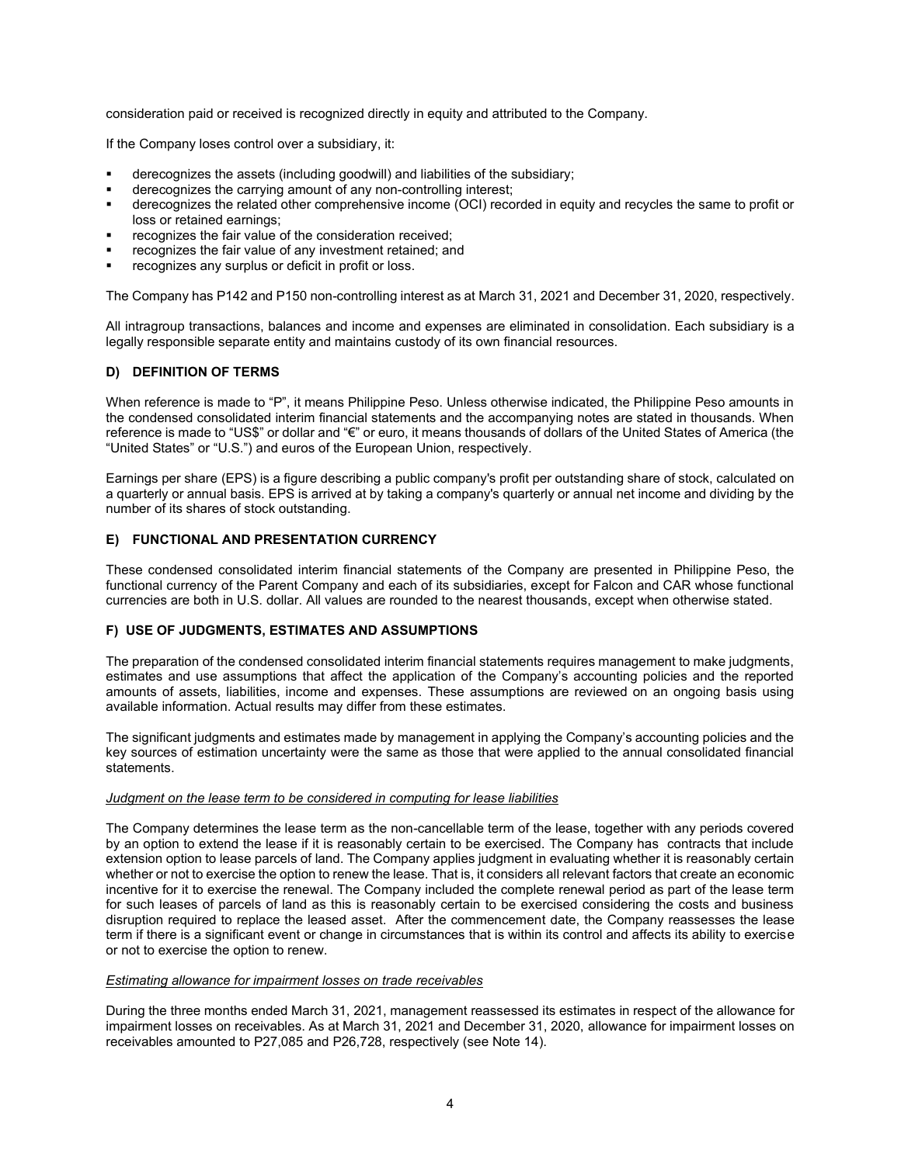consideration paid or received is recognized directly in equity and attributed to the Company.

If the Company loses control over a subsidiary, it:

- derecognizes the assets (including goodwill) and liabilities of the subsidiary;
- derecognizes the carrying amount of any non-controlling interest;
- derecognizes the related other comprehensive income (OCI) recorded in equity and recycles the same to profit or loss or retained earnings;
- recognizes the fair value of the consideration received;
- recognizes the fair value of any investment retained; and
- recognizes any surplus or deficit in profit or loss.

The Company has P142 and P150 non-controlling interest as at March 31, 2021 and December 31, 2020, respectively.

All intragroup transactions, balances and income and expenses are eliminated in consolidation. Each subsidiary is a legally responsible separate entity and maintains custody of its own financial resources.

# **D) DEFINITION OF TERMS**

When reference is made to "P", it means Philippine Peso. Unless otherwise indicated, the Philippine Peso amounts in the condensed consolidated interim financial statements and the accompanying notes are stated in thousands. When reference is made to "US\$" or dollar and "€" or euro, it means thousands of dollars of the United States of America (the "United States" or "U.S.") and euros of the European Union, respectively.

Earnings per share (EPS) is a figure describing a public company's profit per outstanding share of stock, calculated on a quarterly or annual basis. EPS is arrived at by taking a company's quarterly or annual net income and dividing by the number of its shares of stock outstanding.

#### **E) FUNCTIONAL AND PRESENTATION CURRENCY**

These condensed consolidated interim financial statements of the Company are presented in Philippine Peso, the functional currency of the Parent Company and each of its subsidiaries, except for Falcon and CAR whose functional currencies are both in U.S. dollar. All values are rounded to the nearest thousands, except when otherwise stated.

#### **F) USE OF JUDGMENTS, ESTIMATES AND ASSUMPTIONS**

The preparation of the condensed consolidated interim financial statements requires management to make judgments, estimates and use assumptions that affect the application of the Company's accounting policies and the reported amounts of assets, liabilities, income and expenses. These assumptions are reviewed on an ongoing basis using available information. Actual results may differ from these estimates.

The significant judgments and estimates made by management in applying the Company's accounting policies and the key sources of estimation uncertainty were the same as those that were applied to the annual consolidated financial statements.

#### *Judgment on the lease term to be considered in computing for lease liabilities*

The Company determines the lease term as the non-cancellable term of the lease, together with any periods covered by an option to extend the lease if it is reasonably certain to be exercised. The Company has contracts that include extension option to lease parcels of land. The Company applies judgment in evaluating whether it is reasonably certain whether or not to exercise the option to renew the lease. That is, it considers all relevant factors that create an economic incentive for it to exercise the renewal. The Company included the complete renewal period as part of the lease term for such leases of parcels of land as this is reasonably certain to be exercised considering the costs and business disruption required to replace the leased asset. After the commencement date, the Company reassesses the lease term if there is a significant event or change in circumstances that is within its control and affects its ability to exercise or not to exercise the option to renew.

#### *Estimating allowance for impairment losses on trade receivables*

During the three months ended March 31, 2021, management reassessed its estimates in respect of the allowance for impairment losses on receivables. As at March 31, 2021 and December 31, 2020, allowance for impairment losses on receivables amounted to P27,085 and P26,728, respectively (see Note 14).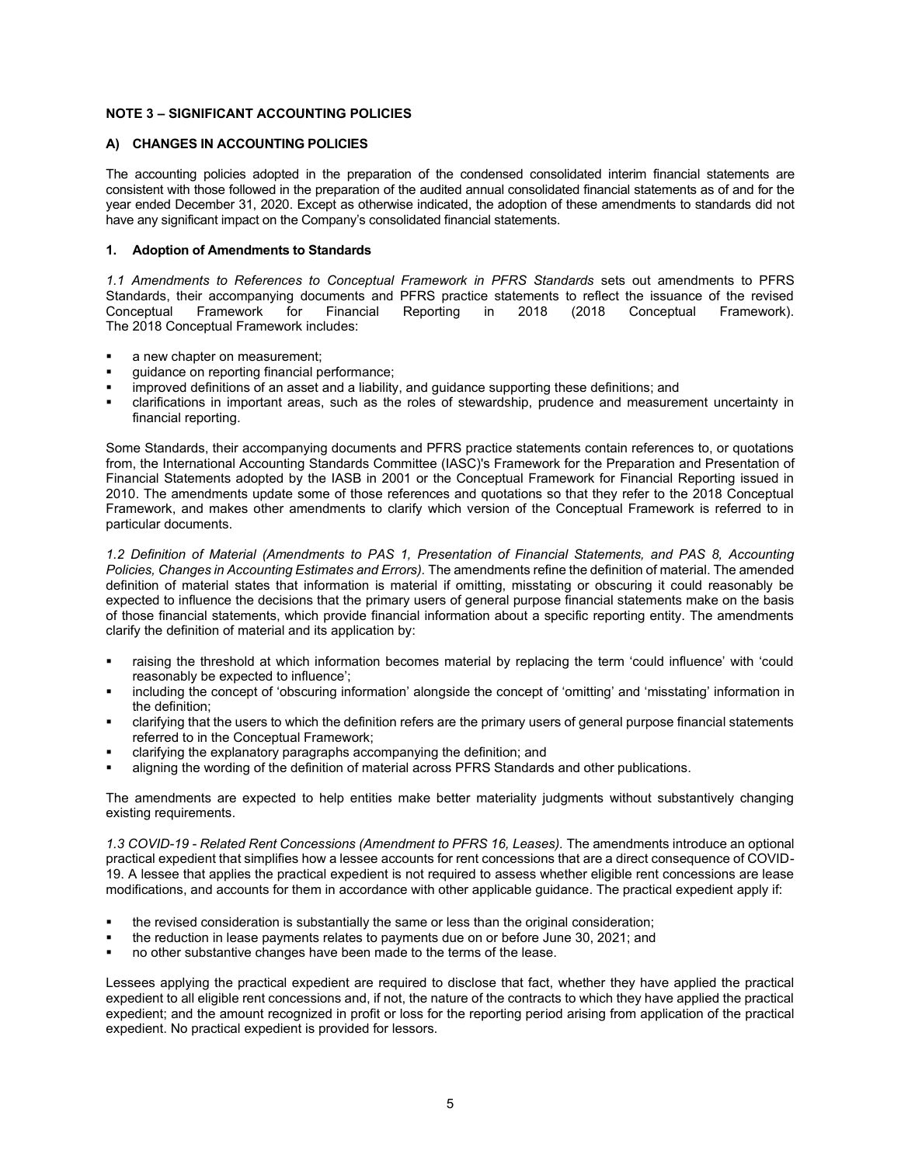# **NOTE 3 – SIGNIFICANT ACCOUNTING POLICIES**

### **A) CHANGES IN ACCOUNTING POLICIES**

The accounting policies adopted in the preparation of the condensed consolidated interim financial statements are consistent with those followed in the preparation of the audited annual consolidated financial statements as of and for the year ended December 31, 2020. Except as otherwise indicated, the adoption of these amendments to standards did not have any significant impact on the Company's consolidated financial statements.

#### **1. Adoption of Amendments to Standards**

*1.1 Amendments to References to Conceptual Framework in PFRS Standards* sets out amendments to PFRS Standards, their accompanying documents and PFRS practice statements to reflect the issuance of the revised Conceptual Framework for Financial Reporting in 2018 (2018 Conceptual Framework). The 2018 Conceptual Framework includes:

- a new chapter on measurement;
- guidance on reporting financial performance;
- improved definitions of an asset and a liability, and guidance supporting these definitions; and
- clarifications in important areas, such as the roles of stewardship, prudence and measurement uncertainty in financial reporting.

Some Standards, their accompanying documents and PFRS practice statements contain references to, or quotations from, the International Accounting Standards Committee (IASC)'s Framework for the Preparation and Presentation of Financial Statements adopted by the IASB in 2001 or the Conceptual Framework for Financial Reporting issued in 2010. The amendments update some of those references and quotations so that they refer to the 2018 Conceptual Framework, and makes other amendments to clarify which version of the Conceptual Framework is referred to in particular documents.

*1.2 Definition of Material (Amendments to PAS 1, Presentation of Financial Statements, and PAS 8, Accounting Policies, Changes in Accounting Estimates and Errors).* The amendments refine the definition of material. The amended definition of material states that information is material if omitting, misstating or obscuring it could reasonably be expected to influence the decisions that the primary users of general purpose financial statements make on the basis of those financial statements, which provide financial information about a specific reporting entity. The amendments clarify the definition of material and its application by:

- raising the threshold at which information becomes material by replacing the term 'could influence' with 'could reasonably be expected to influence';
- including the concept of 'obscuring information' alongside the concept of 'omitting' and 'misstating' information in the definition;
- clarifying that the users to which the definition refers are the primary users of general purpose financial statements referred to in the Conceptual Framework;
- clarifying the explanatory paragraphs accompanying the definition; and
- aligning the wording of the definition of material across PFRS Standards and other publications.

The amendments are expected to help entities make better materiality judgments without substantively changing existing requirements.

*1.3 COVID-19 - Related Rent Concessions (Amendment to PFRS 16, Leases).* The amendments introduce an optional practical expedient that simplifies how a lessee accounts for rent concessions that are a direct consequence of COVID-19. A lessee that applies the practical expedient is not required to assess whether eligible rent concessions are lease modifications, and accounts for them in accordance with other applicable guidance. The practical expedient apply if:

- the revised consideration is substantially the same or less than the original consideration;
- the reduction in lease payments relates to payments due on or before June 30, 2021; and
- no other substantive changes have been made to the terms of the lease.

Lessees applying the practical expedient are required to disclose that fact, whether they have applied the practical expedient to all eligible rent concessions and, if not, the nature of the contracts to which they have applied the practical expedient; and the amount recognized in profit or loss for the reporting period arising from application of the practical expedient. No practical expedient is provided for lessors.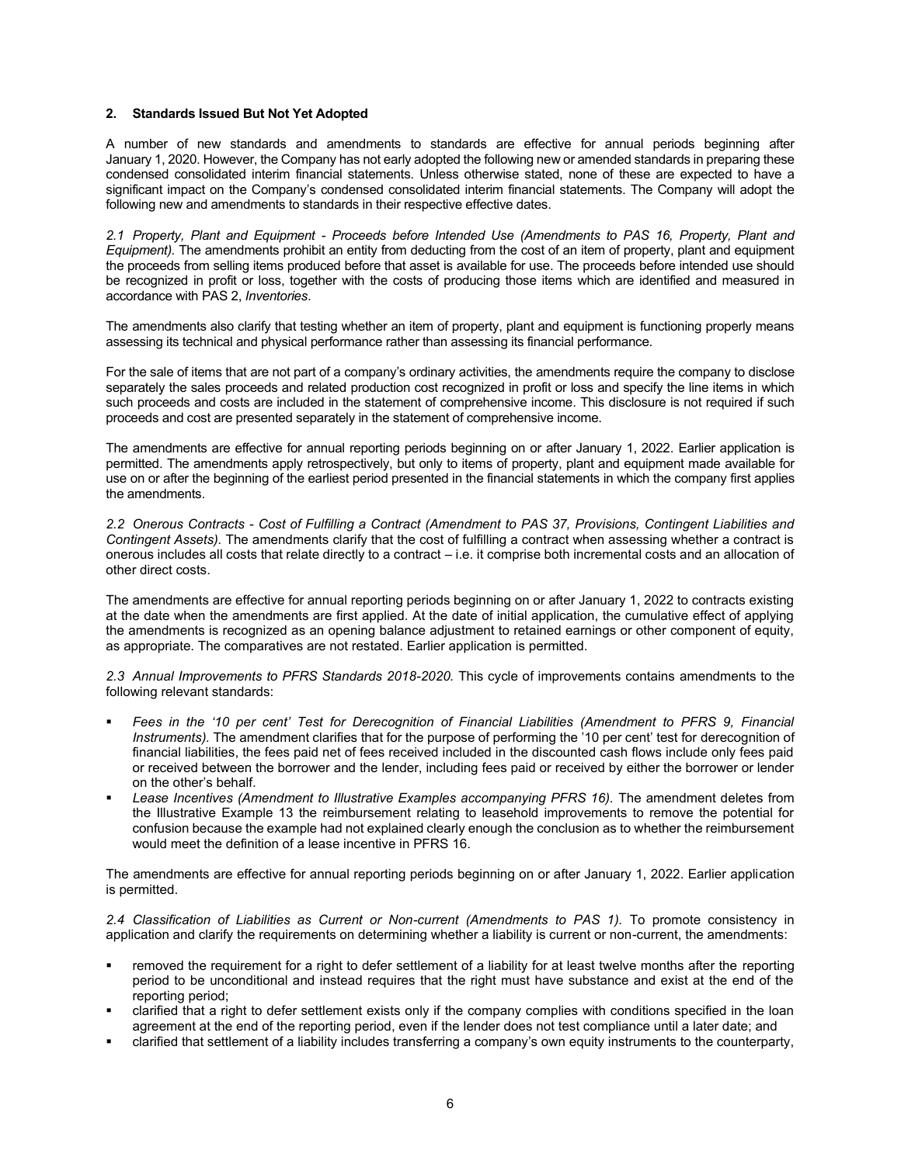#### **2. Standards Issued But Not Yet Adopted**

A number of new standards and amendments to standards are effective for annual periods beginning after January 1, 2020. However, the Company has not early adopted the following new or amended standards in preparing these condensed consolidated interim financial statements. Unless otherwise stated, none of these are expected to have a significant impact on the Company's condensed consolidated interim financial statements. The Company will adopt the following new and amendments to standards in their respective effective dates.

*2.1 Property, Plant and Equipment - Proceeds before Intended Use (Amendments to PAS 16, Property, Plant and Equipment).* The amendments prohibit an entity from deducting from the cost of an item of property, plant and equipment the proceeds from selling items produced before that asset is available for use. The proceeds before intended use should be recognized in profit or loss, together with the costs of producing those items which are identified and measured in accordance with PAS 2, *Inventories*.

The amendments also clarify that testing whether an item of property, plant and equipment is functioning properly means assessing its technical and physical performance rather than assessing its financial performance.

For the sale of items that are not part of a company's ordinary activities, the amendments require the company to disclose separately the sales proceeds and related production cost recognized in profit or loss and specify the line items in which such proceeds and costs are included in the statement of comprehensive income. This disclosure is not required if such proceeds and cost are presented separately in the statement of comprehensive income.

The amendments are effective for annual reporting periods beginning on or after January 1, 2022. Earlier application is permitted. The amendments apply retrospectively, but only to items of property, plant and equipment made available for use on or after the beginning of the earliest period presented in the financial statements in which the company first applies the amendments.

*2.2 Onerous Contracts - Cost of Fulfilling a Contract (Amendment to PAS 37, Provisions, Contingent Liabilities and Contingent Assets).* The amendments clarify that the cost of fulfilling a contract when assessing whether a contract is onerous includes all costs that relate directly to a contract – i.e. it comprise both incremental costs and an allocation of other direct costs.

The amendments are effective for annual reporting periods beginning on or after January 1, 2022 to contracts existing at the date when the amendments are first applied. At the date of initial application, the cumulative effect of applying the amendments is recognized as an opening balance adjustment to retained earnings or other component of equity, as appropriate. The comparatives are not restated. Earlier application is permitted.

*2.3 Annual Improvements to PFRS Standards 2018-2020.* This cycle of improvements contains amendments to the following relevant standards:

- Fees in the '10 per cent' Test for Derecognition of Financial Liabilities (Amendment to PFRS 9, Financial *Instruments).* The amendment clarifies that for the purpose of performing the '10 per cent' test for derecognition of financial liabilities, the fees paid net of fees received included in the discounted cash flows include only fees paid or received between the borrower and the lender, including fees paid or received by either the borrower or lender on the other's behalf.
- Lease Incentives (Amendment to Illustrative Examples accompanying PFRS 16). The amendment deletes from the Illustrative Example 13 the reimbursement relating to leasehold improvements to remove the potential for confusion because the example had not explained clearly enough the conclusion as to whether the reimbursement would meet the definition of a lease incentive in PFRS 16.

The amendments are effective for annual reporting periods beginning on or after January 1, 2022. Earlier application is permitted.

*2.4 Classification of Liabilities as Current or Non-current (Amendments to PAS 1).* To promote consistency in application and clarify the requirements on determining whether a liability is current or non-current, the amendments:

- removed the requirement for a right to defer settlement of a liability for at least twelve months after the reporting period to be unconditional and instead requires that the right must have substance and exist at the end of the reporting period;
- clarified that a right to defer settlement exists only if the company complies with conditions specified in the loan agreement at the end of the reporting period, even if the lender does not test compliance until a later date; and
- clarified that settlement of a liability includes transferring a company's own equity instruments to the counterparty,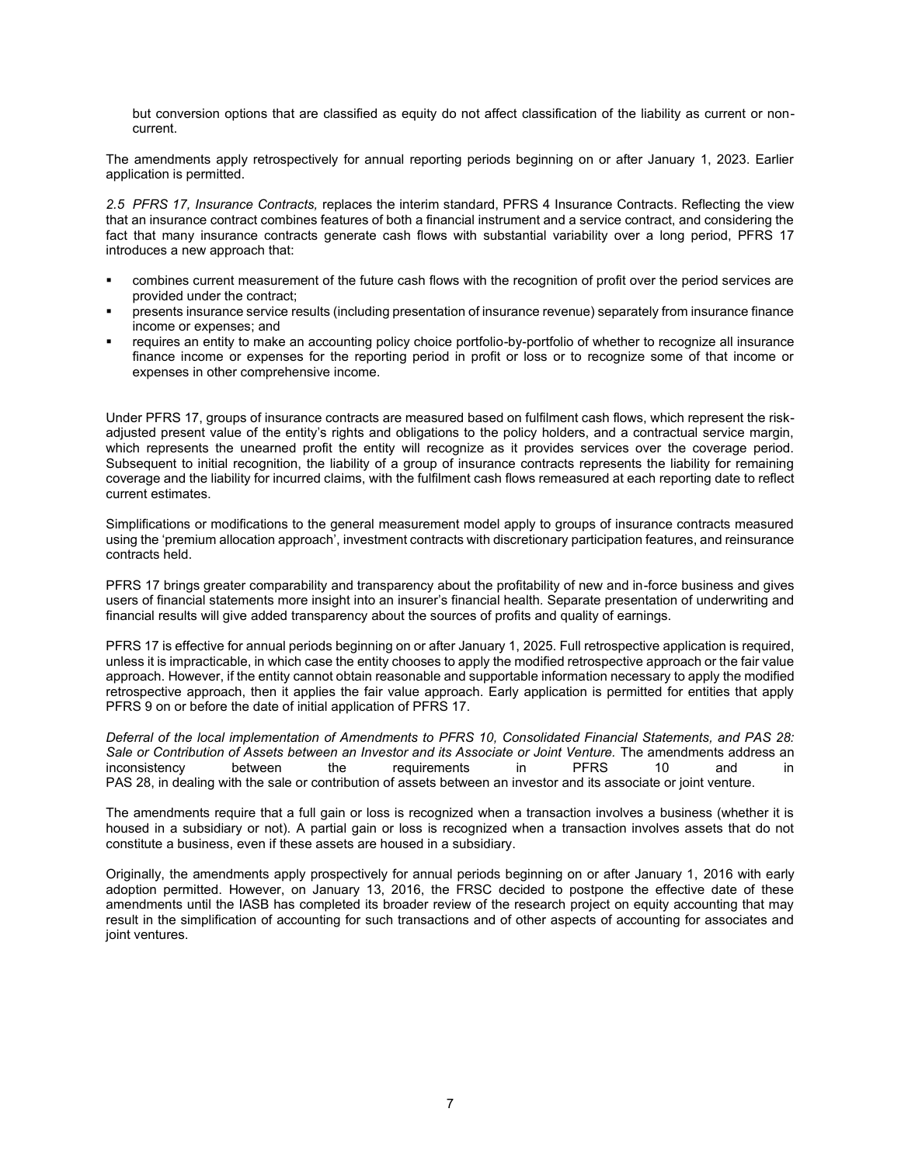but conversion options that are classified as equity do not affect classification of the liability as current or noncurrent.

The amendments apply retrospectively for annual reporting periods beginning on or after January 1, 2023. Earlier application is permitted.

*2.5 PFRS 17, Insurance Contracts,* replaces the interim standard, PFRS 4 Insurance Contracts. Reflecting the view that an insurance contract combines features of both a financial instrument and a service contract, and considering the fact that many insurance contracts generate cash flows with substantial variability over a long period, PFRS 17 introduces a new approach that:

- combines current measurement of the future cash flows with the recognition of profit over the period services are provided under the contract;
- presents insurance service results (including presentation of insurance revenue) separately from insurance finance income or expenses; and
- requires an entity to make an accounting policy choice portfolio-by-portfolio of whether to recognize all insurance finance income or expenses for the reporting period in profit or loss or to recognize some of that income or expenses in other comprehensive income.

Under PFRS 17, groups of insurance contracts are measured based on fulfilment cash flows, which represent the riskadjusted present value of the entity's rights and obligations to the policy holders, and a contractual service margin, which represents the unearned profit the entity will recognize as it provides services over the coverage period. Subsequent to initial recognition, the liability of a group of insurance contracts represents the liability for remaining coverage and the liability for incurred claims, with the fulfilment cash flows remeasured at each reporting date to reflect current estimates.

Simplifications or modifications to the general measurement model apply to groups of insurance contracts measured using the 'premium allocation approach', investment contracts with discretionary participation features, and reinsurance contracts held.

PFRS 17 brings greater comparability and transparency about the profitability of new and in-force business and gives users of financial statements more insight into an insurer's financial health. Separate presentation of underwriting and financial results will give added transparency about the sources of profits and quality of earnings.

PFRS 17 is effective for annual periods beginning on or after January 1, 2025. Full retrospective application is required, unless it is impracticable, in which case the entity chooses to apply the modified retrospective approach or the fair value approach. However, if the entity cannot obtain reasonable and supportable information necessary to apply the modified retrospective approach, then it applies the fair value approach. Early application is permitted for entities that apply PFRS 9 on or before the date of initial application of PFRS 17.

*Deferral of the local implementation of Amendments to PFRS 10, Consolidated Financial Statements, and PAS 28: Sale or Contribution of Assets between an Investor and its Associate or Joint Venture.* The amendments address an inconsistency between the requirements in PFRS 10 and in PAS 28, in dealing with the sale or contribution of assets between an investor and its associate or joint venture.

The amendments require that a full gain or loss is recognized when a transaction involves a business (whether it is housed in a subsidiary or not). A partial gain or loss is recognized when a transaction involves assets that do not constitute a business, even if these assets are housed in a subsidiary.

Originally, the amendments apply prospectively for annual periods beginning on or after January 1, 2016 with early adoption permitted. However, on January 13, 2016, the FRSC decided to postpone the effective date of these amendments until the IASB has completed its broader review of the research project on equity accounting that may result in the simplification of accounting for such transactions and of other aspects of accounting for associates and joint ventures.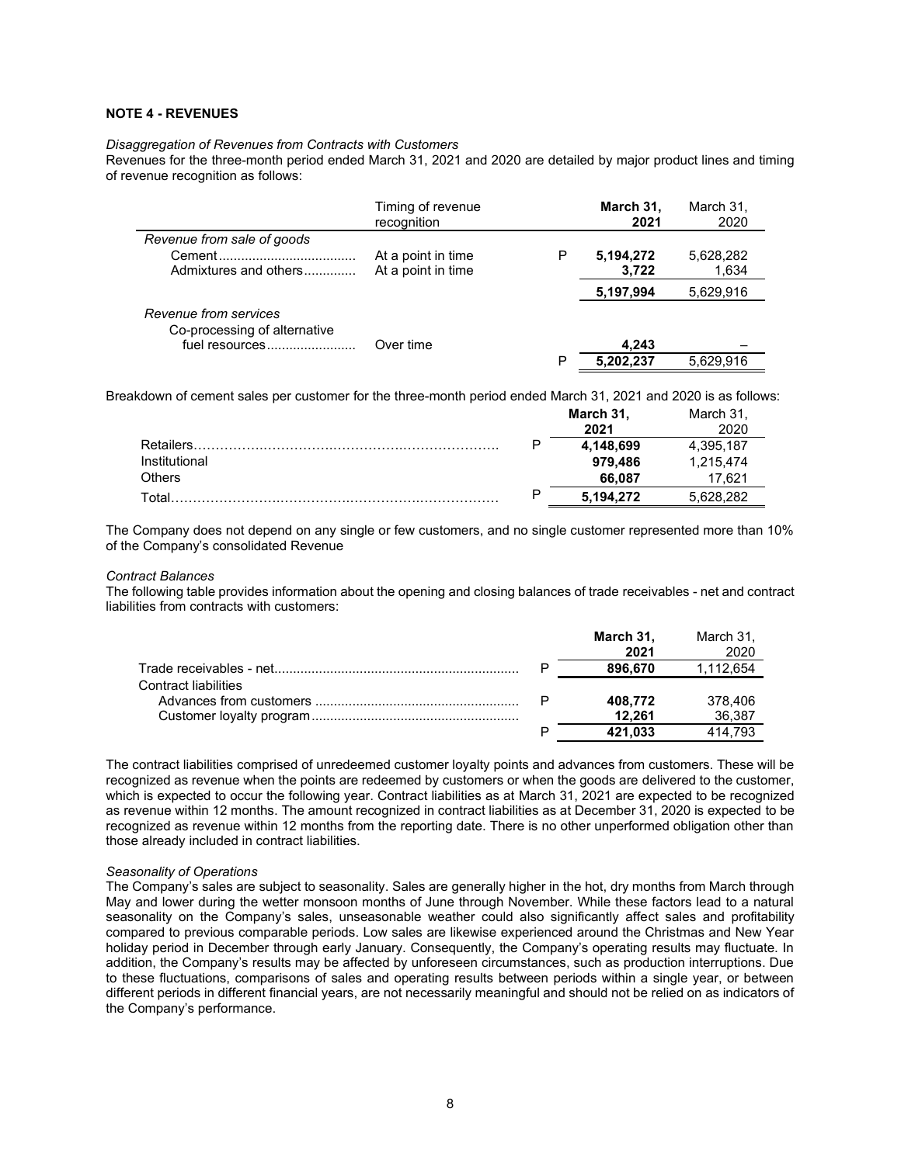#### **NOTE 4 - REVENUES**

# *Disaggregation of Revenues from Contracts with Customers*

Revenues for the three-month period ended March 31, 2021 and 2020 are detailed by major product lines and timing of revenue recognition as follows:

|                                                                         | Timing of revenue<br>recognition         |   | March 31,<br>2021  | March 31,<br>2020  |
|-------------------------------------------------------------------------|------------------------------------------|---|--------------------|--------------------|
| Revenue from sale of goods                                              |                                          |   |                    |                    |
| Admixtures and others                                                   | At a point in time<br>At a point in time | Р | 5,194,272<br>3.722 | 5,628,282<br>1,634 |
|                                                                         |                                          |   | 5,197,994          | 5,629,916          |
| Revenue from services<br>Co-processing of alternative<br>fuel resources | Over time                                |   | 4.243              |                    |
|                                                                         |                                          | P | 5.202.237          | 5.629.916          |

Breakdown of cement sales per customer for the three-month period ended March 31, 2021 and 2020 is as follows:

|                  |   | March 31, | March 31. |
|------------------|---|-----------|-----------|
|                  |   | 2021      |           |
| <b>Retailers</b> | D | 4,148,699 | 4.395.187 |
| Institutional    |   | 979.486   | 1.215.474 |
| <b>Others</b>    |   | 66.087    | 7.621     |
| Total            | D | 5.194.272 | 5.628.282 |

The Company does not depend on any single or few customers, and no single customer represented more than 10% of the Company's consolidated Revenue

#### *Contract Balances*

The following table provides information about the opening and closing balances of trade receivables - net and contract liabilities from contracts with customers:

|                      |   | March 31,<br>2021 | March 31,<br>2020 |
|----------------------|---|-------------------|-------------------|
|                      | P | 896.670           | 1,112,654         |
| Contract liabilities |   |                   |                   |
|                      |   | 408.772           | 378.406           |
|                      |   | 12.261            | 36,387            |
|                      | P | 421.033           | 414.793           |

The contract liabilities comprised of unredeemed customer loyalty points and advances from customers. These will be recognized as revenue when the points are redeemed by customers or when the goods are delivered to the customer, which is expected to occur the following year. Contract liabilities as at March 31, 2021 are expected to be recognized as revenue within 12 months. The amount recognized in contract liabilities as at December 31, 2020 is expected to be recognized as revenue within 12 months from the reporting date. There is no other unperformed obligation other than those already included in contract liabilities.

#### *Seasonality of Operations*

The Company's sales are subject to seasonality. Sales are generally higher in the hot, dry months from March through May and lower during the wetter monsoon months of June through November. While these factors lead to a natural seasonality on the Company's sales, unseasonable weather could also significantly affect sales and profitability compared to previous comparable periods. Low sales are likewise experienced around the Christmas and New Year holiday period in December through early January. Consequently, the Company's operating results may fluctuate. In addition, the Company's results may be affected by unforeseen circumstances, such as production interruptions. Due to these fluctuations, comparisons of sales and operating results between periods within a single year, or between different periods in different financial years, are not necessarily meaningful and should not be relied on as indicators of the Company's performance.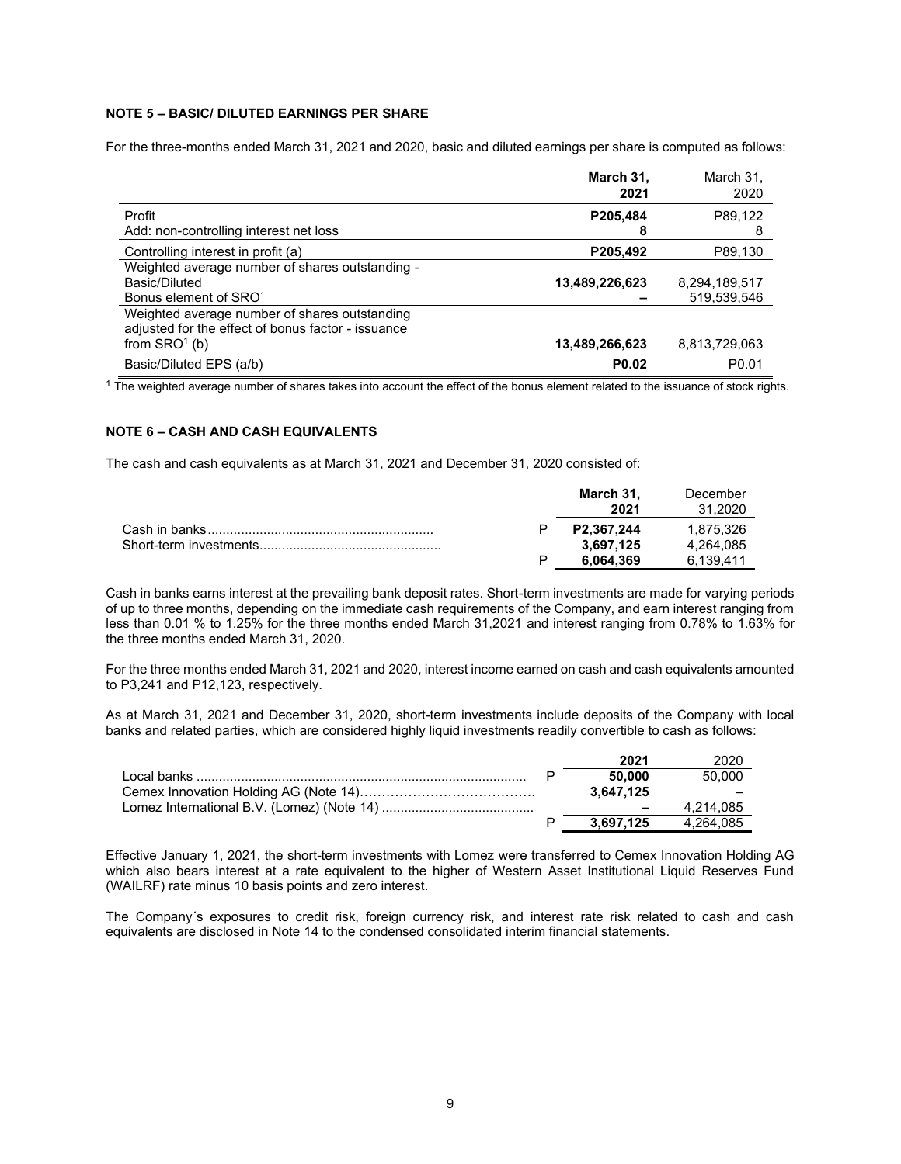# **NOTE 5 – BASIC/ DILUTED EARNINGS PER SHARE**

For the three-months ended March 31, 2021 and 2020, basic and diluted earnings per share is computed as follows:

|                                                                                                     | March 31,<br>2021 | March 31.<br>2020 |
|-----------------------------------------------------------------------------------------------------|-------------------|-------------------|
| Profit<br>Add: non-controlling interest net loss                                                    | P205,484<br>8     | P89.122<br>8      |
| Controlling interest in profit (a)                                                                  | P205,492          | P89,130           |
| Weighted average number of shares outstanding -                                                     |                   |                   |
| Basic/Diluted                                                                                       | 13,489,226,623    | 8,294,189,517     |
| Bonus element of SRO <sup>1</sup>                                                                   |                   | 519,539,546       |
| Weighted average number of shares outstanding<br>adjusted for the effect of bonus factor - issuance |                   |                   |
| from $SRO1$ (b)                                                                                     | 13,489,266,623    | 8,813,729,063     |
| Basic/Diluted EPS (a/b)                                                                             | P <sub>0.02</sub> | P <sub>0.01</sub> |

<sup>1</sup> The weighted average number of shares takes into account the effect of the bonus element related to the issuance of stock rights.

#### **NOTE 6 – CASH AND CASH EQUIVALENTS**

The cash and cash equivalents as at March 31, 2021 and December 31, 2020 consisted of:

|  | March 31.<br>2021 | December<br>31.2020 |
|--|-------------------|---------------------|
|  | P2.367.244        | 1.875.326           |
|  | 3.697.125         | 4.264.085           |
|  | 6.064.369         | 6.139.411           |

Cash in banks earns interest at the prevailing bank deposit rates. Short-term investments are made for varying periods of up to three months, depending on the immediate cash requirements of the Company, and earn interest ranging from less than 0.01 % to 1.25% for the three months ended March 31,2021 and interest ranging from 0.78% to 1.63% for the three months ended March 31, 2020.

For the three months ended March 31, 2021 and 2020, interest income earned on cash and cash equivalents amounted to P3,241 and P12,123, respectively.

As at March 31, 2021 and December 31, 2020, short-term investments include deposits of the Company with local banks and related parties, which are considered highly liquid investments readily convertible to cash as follows:

|  | 2021      | 2020      |
|--|-----------|-----------|
|  | 50.000    | 50.000    |
|  | 3.647.125 |           |
|  |           | 4.214.085 |
|  | 3.697.125 | 4.264.085 |

Effective January 1, 2021, the short-term investments with Lomez were transferred to Cemex Innovation Holding AG which also bears interest at a rate equivalent to the higher of Western Asset Institutional Liquid Reserves Fund (WAILRF) rate minus 10 basis points and zero interest.

The Company´s exposures to credit risk, foreign currency risk, and interest rate risk related to cash and cash equivalents are disclosed in Note 14 to the condensed consolidated interim financial statements.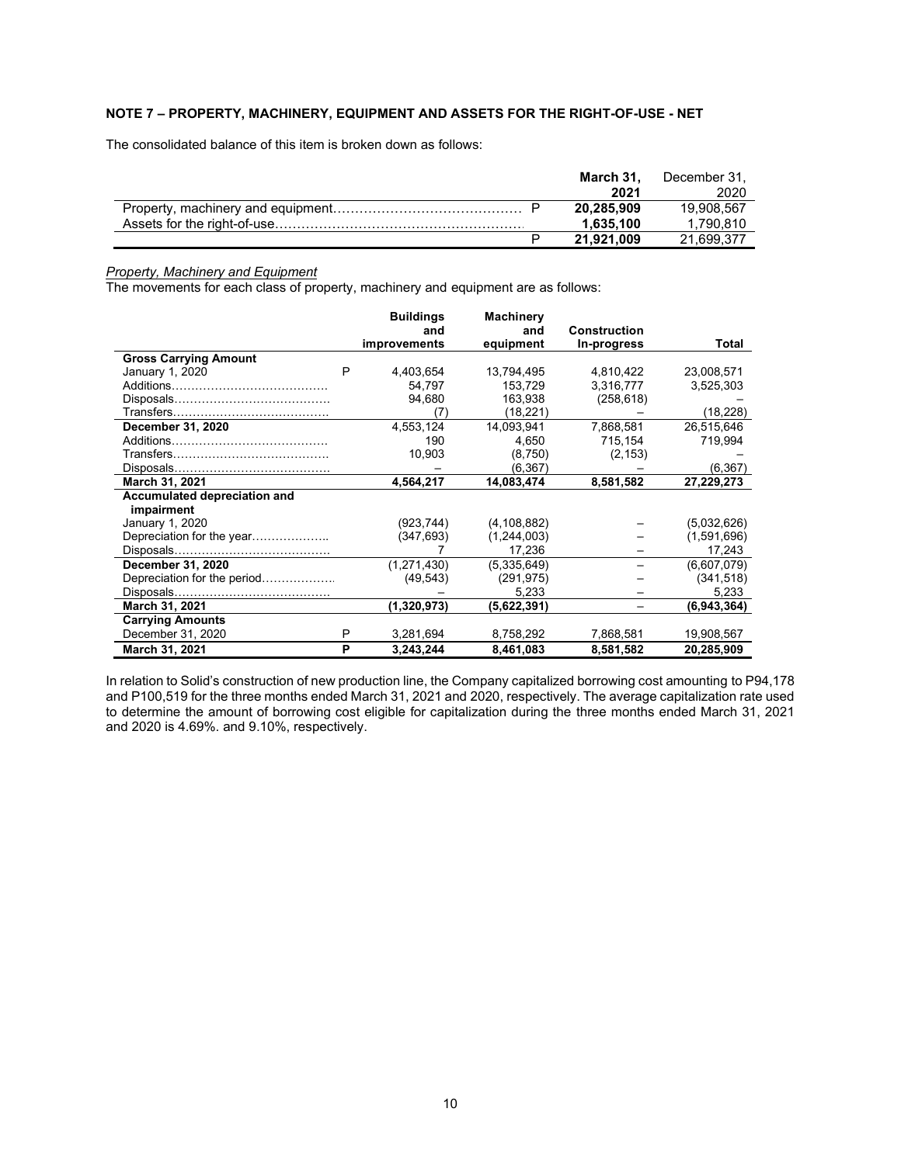# **NOTE 7 – PROPERTY, MACHINERY, EQUIPMENT AND ASSETS FOR THE RIGHT-OF-USE - NET**

The consolidated balance of this item is broken down as follows:

|  | March 31.  | December 31. |
|--|------------|--------------|
|  | 2021       | 2020         |
|  | 20.285.909 | 19.908.567   |
|  | 1.635.100  | 1.790.810    |
|  | 21.921.009 | 21.699.377   |

#### *Property, Machinery and Equipment*

The movements for each class of property, machinery and equipment are as follows:

|                              |   | <b>Buildings</b><br>and | <b>Machinery</b><br>and | <b>Construction</b> |             |
|------------------------------|---|-------------------------|-------------------------|---------------------|-------------|
|                              |   | <b>improvements</b>     | equipment               | In-progress         | Total       |
| <b>Gross Carrying Amount</b> |   |                         |                         |                     |             |
| January 1, 2020              | P | 4,403,654               | 13,794,495              | 4,810,422           | 23,008,571  |
|                              |   | 54,797                  | 153,729                 | 3,316,777           | 3,525,303   |
|                              |   | 94,680                  | 163,938                 | (258, 618)          |             |
|                              |   | (7)                     | (18, 221)               |                     | (18, 228)   |
| December 31, 2020            |   | 4,553,124               | 14,093,941              | 7.868.581           | 26,515,646  |
|                              |   | 190                     | 4,650                   | 715,154             | 719,994     |
|                              |   | 10,903                  | (8,750)                 | (2, 153)            |             |
|                              |   |                         | (6, 367)                |                     | (6, 367)    |
| March 31, 2021               |   | 4,564,217               | 14,083,474              | 8,581,582           | 27,229,273  |
| Accumulated depreciation and |   |                         |                         |                     |             |
| impairment                   |   |                         |                         |                     |             |
| January 1, 2020              |   | (923, 744)              | (4, 108, 882)           |                     | (5,032,626) |
| Depreciation for the year    |   | (347, 693)              | (1,244,003)             |                     | (1,591,696) |
|                              |   |                         | 17,236                  |                     | 17,243      |
| December 31, 2020            |   | (1,271,430)             | (5,335,649)             |                     | (6,607,079) |
| Depreciation for the period  |   | (49, 543)               | (291, 975)              |                     | (341, 518)  |
|                              |   |                         | 5,233                   |                     | 5,233       |
| March 31, 2021               |   | (1,320,973)             | (5,622,391)             |                     | (6,943,364) |
| <b>Carrying Amounts</b>      |   |                         |                         |                     |             |
| December 31, 2020            | P | 3,281,694               | 8,758,292               | 7,868,581           | 19,908,567  |
| March 31, 2021               | P | 3,243,244               | 8,461,083               | 8,581,582           | 20,285,909  |

In relation to Solid's construction of new production line, the Company capitalized borrowing cost amounting to P94,178 and P100,519 for the three months ended March 31, 2021 and 2020, respectively. The average capitalization rate used to determine the amount of borrowing cost eligible for capitalization during the three months ended March 31, 2021 and 2020 is 4.69%. and 9.10%, respectively.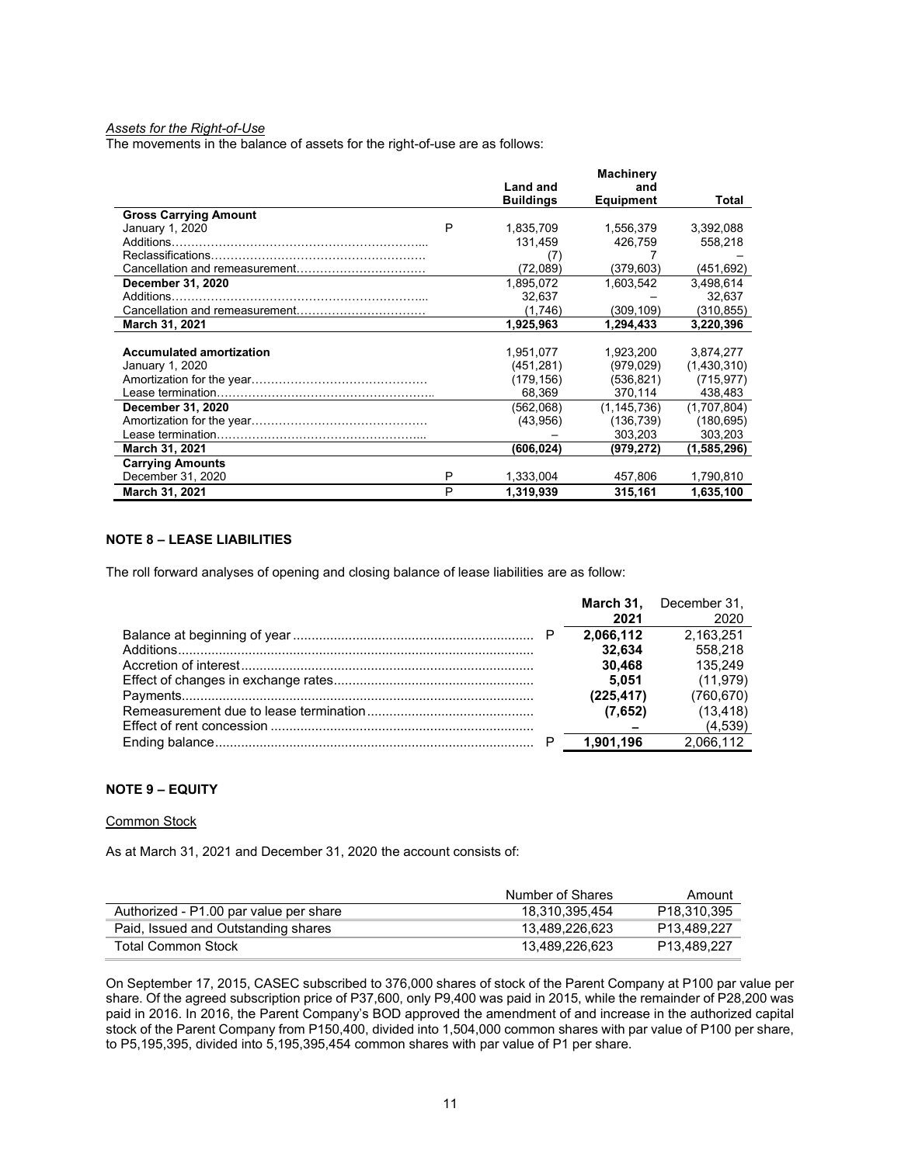# *Assets for the Right-of-Use*

The movements in the balance of assets for the right-of-use are as follows:

|                                 |   |                  | <b>Machinery</b> |             |
|---------------------------------|---|------------------|------------------|-------------|
|                                 |   | Land and         | and              |             |
|                                 |   | <b>Buildings</b> | <b>Equipment</b> | Total       |
| <b>Gross Carrying Amount</b>    |   |                  |                  |             |
| January 1, 2020                 | P | 1,835,709        | 1,556,379        | 3,392,088   |
| Additions.                      |   | 131,459          | 426,759          | 558,218     |
|                                 |   | (7)              |                  |             |
|                                 |   | (72,089)         | (379,603)        | (451, 692)  |
| December 31, 2020               |   | 1,895,072        | 1.603.542        | 3,498,614   |
| Additions                       |   | 32.637           |                  | 32.637      |
|                                 |   | (1,746)          | (309,109)        | (310, 855)  |
| March 31, 2021                  |   | 1,925,963        | 1,294,433        | 3,220,396   |
|                                 |   |                  |                  |             |
| <b>Accumulated amortization</b> |   | 1,951,077        | 1.923.200        | 3,874,277   |
| January 1, 2020                 |   | (451, 281)       | (979, 029)       | (1,430,310) |
|                                 |   | (179, 156)       | (536, 821)       | (715, 977)  |
|                                 |   | 68,369           | 370,114          | 438,483     |
| December 31, 2020               |   | (562,068)        | (1, 145, 736)    | (1,707,804) |
|                                 |   | (43,956)         | (136, 739)       | (180, 695)  |
|                                 |   |                  | 303,203          | 303,203     |
| March 31, 2021                  |   | (606,024)        | (979,272)        | (1,585,296) |
| <b>Carrying Amounts</b>         |   |                  |                  |             |
| December 31, 2020               | P | 1,333,004        | 457,806          | 1,790,810   |
| <b>March 31, 2021</b>           | P | 1.319.939        | 315,161          | 1,635,100   |

# **NOTE 8 – LEASE LIABILITIES**

The roll forward analyses of opening and closing balance of lease liabilities are as follow:

|  |           | March 31. December 31. |
|--|-----------|------------------------|
|  | 2021      | 2020                   |
|  | 2.066.112 | 2.163.251              |
|  | 32.634    | 558.218                |
|  | 30.468    | 135.249                |
|  | 5.051     | (11, 979)              |
|  | (225.417) | (760, 670)             |
|  | (7.652)   | (13, 418)              |
|  |           | (4,539)                |
|  | 1,901,196 | 2,066,112              |

#### **NOTE 9 – EQUITY**

#### Common Stock

As at March 31, 2021 and December 31, 2020 the account consists of:

|                                        | Number of Shares | Amount                  |
|----------------------------------------|------------------|-------------------------|
| Authorized - P1.00 par value per share | 18.310.395.454   | P <sub>18.310.395</sub> |
| Paid, Issued and Outstanding shares    | 13.489.226.623   | P <sub>13.489.227</sub> |
| Total Common Stock                     | 13.489.226.623   | P <sub>13.489.227</sub> |

On September 17, 2015, CASEC subscribed to 376,000 shares of stock of the Parent Company at P100 par value per share. Of the agreed subscription price of P37,600, only P9,400 was paid in 2015, while the remainder of P28,200 was paid in 2016. In 2016, the Parent Company's BOD approved the amendment of and increase in the authorized capital stock of the Parent Company from P150,400, divided into 1,504,000 common shares with par value of P100 per share, to P5,195,395, divided into 5,195,395,454 common shares with par value of P1 per share.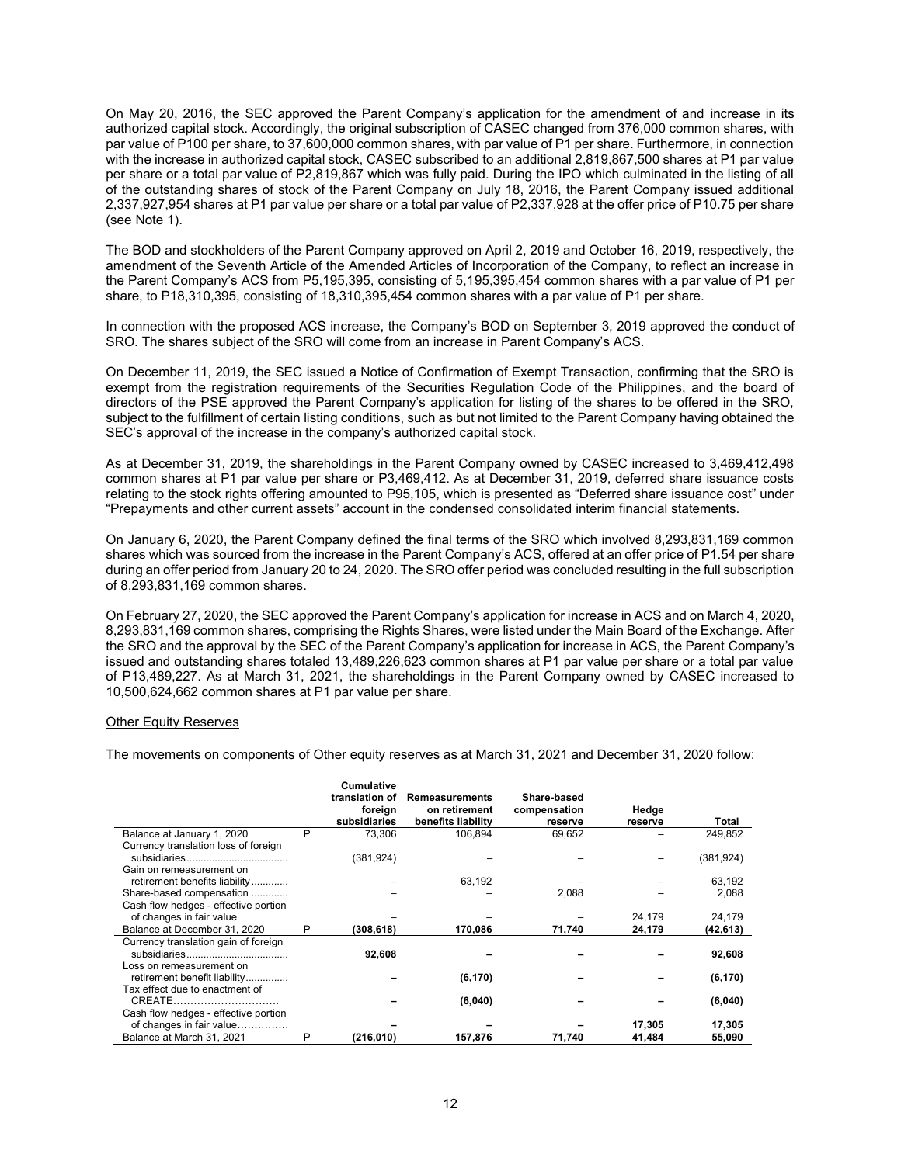On May 20, 2016, the SEC approved the Parent Company's application for the amendment of and increase in its authorized capital stock. Accordingly, the original subscription of CASEC changed from 376,000 common shares, with par value of P100 per share, to 37,600,000 common shares, with par value of P1 per share. Furthermore, in connection with the increase in authorized capital stock, CASEC subscribed to an additional 2,819,867,500 shares at P1 par value per share or a total par value of P2,819,867 which was fully paid. During the IPO which culminated in the listing of all of the outstanding shares of stock of the Parent Company on July 18, 2016, the Parent Company issued additional 2,337,927,954 shares at P1 par value per share or a total par value of P2,337,928 at the offer price of P10.75 per share (see Note 1).

The BOD and stockholders of the Parent Company approved on April 2, 2019 and October 16, 2019, respectively, the amendment of the Seventh Article of the Amended Articles of Incorporation of the Company, to reflect an increase in the Parent Company's ACS from P5,195,395, consisting of 5,195,395,454 common shares with a par value of P1 per share, to P18,310,395, consisting of 18,310,395,454 common shares with a par value of P1 per share.

In connection with the proposed ACS increase, the Company's BOD on September 3, 2019 approved the conduct of SRO. The shares subject of the SRO will come from an increase in Parent Company's ACS.

On December 11, 2019, the SEC issued a Notice of Confirmation of Exempt Transaction, confirming that the SRO is exempt from the registration requirements of the Securities Regulation Code of the Philippines, and the board of directors of the PSE approved the Parent Company's application for listing of the shares to be offered in the SRO, subject to the fulfillment of certain listing conditions, such as but not limited to the Parent Company having obtained the SEC's approval of the increase in the company's authorized capital stock.

As at December 31, 2019, the shareholdings in the Parent Company owned by CASEC increased to 3,469,412,498 common shares at P1 par value per share or P3,469,412. As at December 31, 2019, deferred share issuance costs relating to the stock rights offering amounted to P95,105, which is presented as "Deferred share issuance cost" under "Prepayments and other current assets" account in the condensed consolidated interim financial statements.

On January 6, 2020, the Parent Company defined the final terms of the SRO which involved 8,293,831,169 common shares which was sourced from the increase in the Parent Company's ACS, offered at an offer price of P1.54 per share during an offer period from January 20 to 24, 2020. The SRO offer period was concluded resulting in the full subscription of 8,293,831,169 common shares.

On February 27, 2020, the SEC approved the Parent Company's application for increase in ACS and on March 4, 2020, 8,293,831,169 common shares, comprising the Rights Shares, were listed under the Main Board of the Exchange. After the SRO and the approval by the SEC of the Parent Company's application for increase in ACS, the Parent Company's issued and outstanding shares totaled 13,489,226,623 common shares at P1 par value per share or a total par value of P13,489,227. As at March 31, 2021, the shareholdings in the Parent Company owned by CASEC increased to 10,500,624,662 common shares at P1 par value per share.

#### Other Equity Reserves

The movements on components of Other equity reserves as at March 31, 2021 and December 31, 2020 follow:

|                                                                  |   | <b>Cumulative</b><br>translation of<br>foreign<br>subsidiaries | <b>Remeasurements</b><br>on retirement<br>benefits liability | Share-based<br>compensation<br>reserve | Hedge<br>reserve | Total      |
|------------------------------------------------------------------|---|----------------------------------------------------------------|--------------------------------------------------------------|----------------------------------------|------------------|------------|
| Balance at January 1, 2020                                       | P | 73.306                                                         | 106.894                                                      | 69,652                                 |                  | 249.852    |
| Currency translation loss of foreign                             |   |                                                                |                                                              |                                        |                  |            |
|                                                                  |   | (381, 924)                                                     |                                                              |                                        |                  | (381, 924) |
| Gain on remeasurement on                                         |   |                                                                |                                                              |                                        |                  |            |
| retirement benefits liability                                    |   |                                                                | 63,192                                                       |                                        |                  | 63,192     |
| Share-based compensation                                         |   |                                                                |                                                              | 2,088                                  |                  | 2,088      |
| Cash flow hedges - effective portion                             |   |                                                                |                                                              |                                        |                  |            |
| of changes in fair value                                         |   |                                                                |                                                              |                                        | 24,179           | 24,179     |
| Balance at December 31, 2020                                     | P | (308,618)                                                      | 170,086                                                      | 71,740                                 | 24,179           | (42, 613)  |
| Currency translation gain of foreign<br>Loss on remeasurement on |   | 92,608                                                         |                                                              |                                        |                  | 92,608     |
| retirement benefit liability                                     |   |                                                                | (6, 170)                                                     |                                        |                  | (6, 170)   |
| Tax effect due to enactment of                                   |   |                                                                |                                                              |                                        |                  |            |
| CREATE                                                           |   |                                                                | (6,040)                                                      |                                        |                  | (6,040)    |
| Cash flow hedges - effective portion                             |   |                                                                |                                                              |                                        |                  |            |
| of changes in fair value                                         |   |                                                                |                                                              |                                        | 17,305           | 17,305     |
| Balance at March 31, 2021                                        | P | (216, 010)                                                     | 157,876                                                      | 71,740                                 | 41,484           | 55,090     |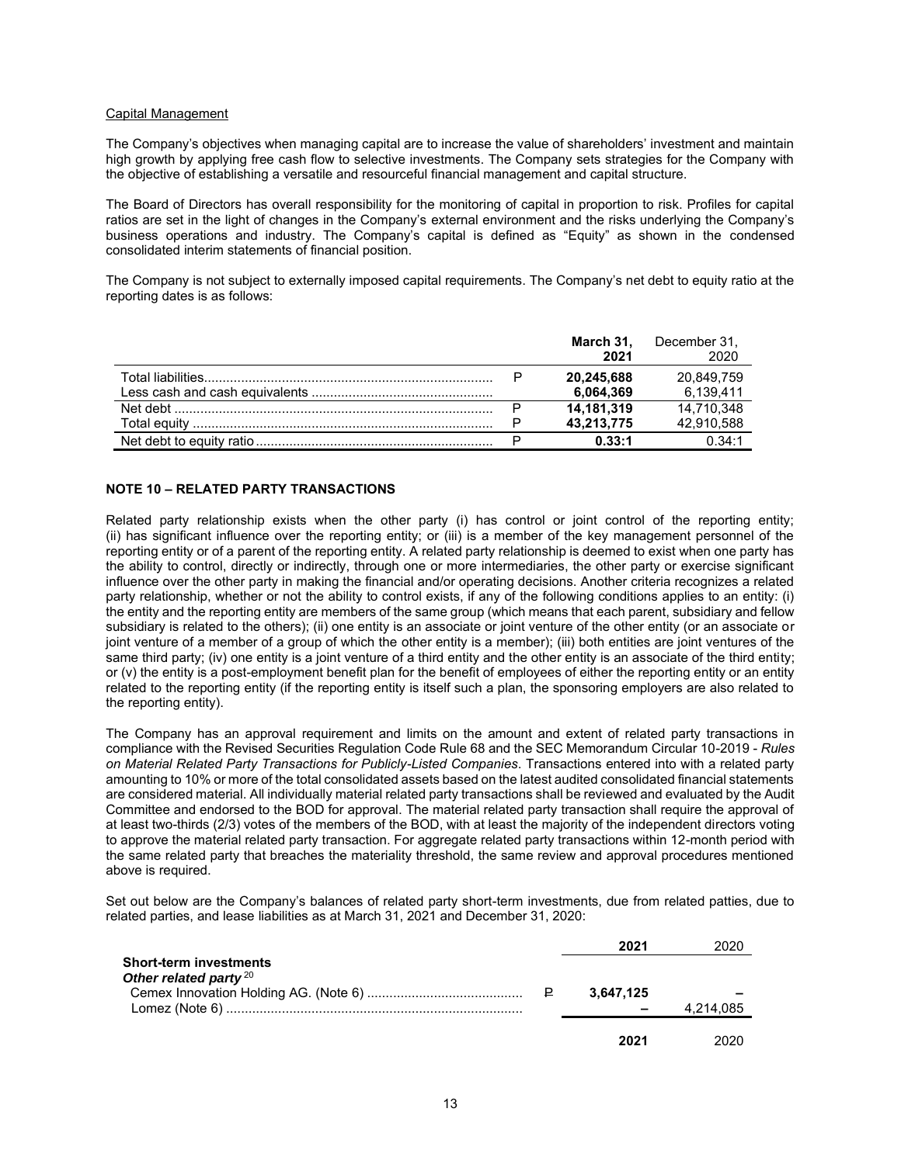#### Capital Management

The Company's objectives when managing capital are to increase the value of shareholders' investment and maintain high growth by applying free cash flow to selective investments. The Company sets strategies for the Company with the objective of establishing a versatile and resourceful financial management and capital structure.

The Board of Directors has overall responsibility for the monitoring of capital in proportion to risk. Profiles for capital ratios are set in the light of changes in the Company's external environment and the risks underlying the Company's business operations and industry. The Company's capital is defined as "Equity" as shown in the condensed consolidated interim statements of financial position.

The Company is not subject to externally imposed capital requirements. The Company's net debt to equity ratio at the reporting dates is as follows:

|   | March 31.<br>2021 | December 31,<br>2020 |
|---|-------------------|----------------------|
| D | 20,245,688        | 20,849,759           |
|   | 6,064,369         | 6.139.411            |
|   | 14.181.319        | 14.710.348           |
|   | 43,213,775        | 42,910,588           |
|   | 0.33:1            | በ 34·1               |

#### **NOTE 10 – RELATED PARTY TRANSACTIONS**

Related party relationship exists when the other party (i) has control or joint control of the reporting entity; (ii) has significant influence over the reporting entity; or (iii) is a member of the key management personnel of the reporting entity or of a parent of the reporting entity. A related party relationship is deemed to exist when one party has the ability to control, directly or indirectly, through one or more intermediaries, the other party or exercise significant influence over the other party in making the financial and/or operating decisions. Another criteria recognizes a related party relationship, whether or not the ability to control exists, if any of the following conditions applies to an entity: (i) the entity and the reporting entity are members of the same group (which means that each parent, subsidiary and fellow subsidiary is related to the others); (ii) one entity is an associate or joint venture of the other entity (or an associate or joint venture of a member of a group of which the other entity is a member); (iii) both entities are joint ventures of the same third party; (iv) one entity is a joint venture of a third entity and the other entity is an associate of the third entity; or (v) the entity is a post-employment benefit plan for the benefit of employees of either the reporting entity or an entity related to the reporting entity (if the reporting entity is itself such a plan, the sponsoring employers are also related to the reporting entity).

The Company has an approval requirement and limits on the amount and extent of related party transactions in compliance with the Revised Securities Regulation Code Rule 68 and the SEC Memorandum Circular 10-2019 - *Rules on Material Related Party Transactions for Publicly-Listed Companies*. Transactions entered into with a related party amounting to 10% or more of the total consolidated assets based on the latest audited consolidated financial statements are considered material. All individually material related party transactions shall be reviewed and evaluated by the Audit Committee and endorsed to the BOD for approval. The material related party transaction shall require the approval of at least two-thirds (2/3) votes of the members of the BOD, with at least the majority of the independent directors voting to approve the material related party transaction. For aggregate related party transactions within 12-month period with the same related party that breaches the materiality threshold, the same review and approval procedures mentioned above is required.

Set out below are the Company's balances of related party short-term investments, due from related patties, due to related parties, and lease liabilities as at March 31, 2021 and December 31, 2020:

|                          | 2021                     | 2020      |
|--------------------------|--------------------------|-----------|
| Short-term investments   |                          |           |
| Other related party $20$ |                          |           |
|                          | 3.647.125                |           |
|                          | $\overline{\phantom{a}}$ | 4,214,085 |
|                          |                          |           |
|                          | 2021                     | 2020      |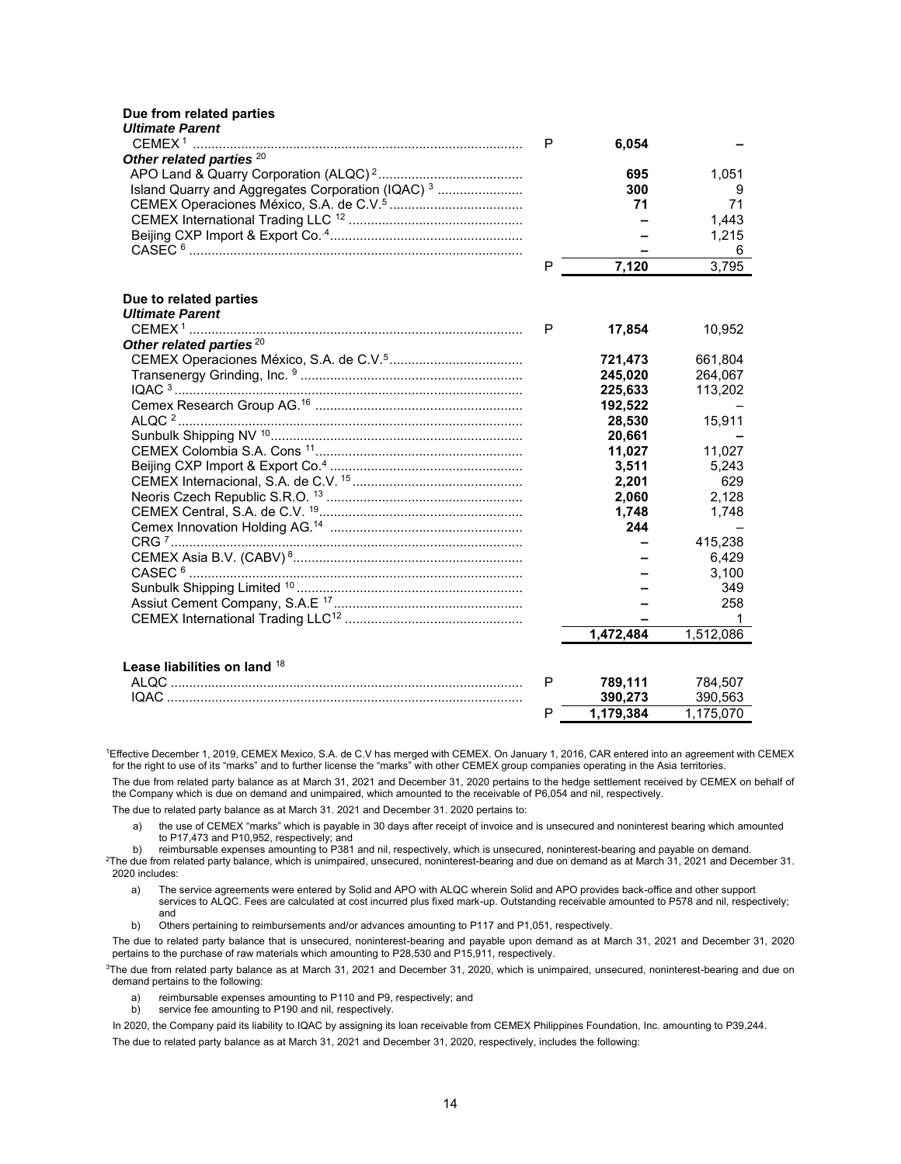#### **Due from related parties**

| <b>Ultimate Parent</b> |  |
|------------------------|--|
|------------------------|--|

|                                                              | P | 6,054     |           |
|--------------------------------------------------------------|---|-----------|-----------|
| Other related parties <sup>20</sup>                          |   |           |           |
|                                                              |   | 695       | 1,051     |
| Island Quarry and Aggregates Corporation (IQAC) <sup>3</sup> |   | 300       | 9         |
|                                                              |   | 71        | 71        |
|                                                              |   |           | 1,443     |
|                                                              |   |           | 1,215     |
|                                                              |   |           | 6         |
|                                                              | P | 7,120     | 3,795     |
| Due to related parties                                       |   |           |           |
| <b>Ultimate Parent</b>                                       |   |           |           |
|                                                              | P | 17,854    | 10,952    |
| Other related parties <sup>20</sup>                          |   |           |           |
|                                                              |   | 721,473   | 661,804   |
|                                                              |   | 245,020   | 264,067   |
|                                                              |   | 225,633   | 113,202   |
|                                                              |   | 192,522   |           |
|                                                              |   | 28,530    | 15,911    |
|                                                              |   | 20,661    |           |
|                                                              |   | 11,027    | 11,027    |
|                                                              |   | 3,511     | 5,243     |
|                                                              |   | 2,201     | 629       |
|                                                              |   | 2,060     | 2,128     |
|                                                              |   | 1,748     | 1,748     |
|                                                              |   | 244       |           |
|                                                              |   |           | 415,238   |
|                                                              |   |           | 6,429     |
|                                                              |   |           | 3,100     |
|                                                              |   |           | 349       |
|                                                              |   |           | 258       |
|                                                              |   |           |           |
|                                                              |   | 1,472,484 | 1,512,086 |
| Lease liabilities on land 18                                 |   |           |           |
|                                                              | P | 789,111   | 784,507   |
|                                                              |   | 390,273   | 390,563   |
|                                                              | P | 1.179.384 | 1.175.070 |

<sup>1</sup>Effective December 1, 2019, CEMEX Mexico, S.A. de C.V has merged with CEMEX. On January 1, 2016, CAR entered into an agreement with CEMEX for the right to use of its "marks" and to further license the "marks" with other CEMEX group companies operating in the Asia territories.

The due from related party balance as at March 31, 2021 and December 31, 2020 pertains to the hedge settlement received by CEMEX on behalf of the Company which is due on demand and unimpaired, which amounted to the receivable of P6,054 and nil, respectively.

The due to related party balance as at March 31. 2021 and December 31. 2020 pertains to:

a) the use of CEMEX "marks" which is payable in 30 days after receipt of invoice and is unsecured and noninterest bearing which amounted to P17,473 and P10,952, respectively; and

b) reimbursable expenses amounting to P381 and nil, respectively, which is unsecured, noninterest-bearing and payable on demand.

<sup>2</sup>The due from related party balance, which is unimpaired, unsecured, noninterest-bearing and due on demand as at March 31, 2021 and December 31. 2020 includes:

- a) The service agreements were entered by Solid and APO with ALQC wherein Solid and APO provides back-office and other support services to ALQC. Fees are calculated at cost incurred plus fixed mark-up. Outstanding receivable amounted to P578 and nil, respectively; and
- b) Others pertaining to reimbursements and/or advances amounting to P117 and P1,051, respectively.

The due to related party balance that is unsecured, noninterest-bearing and payable upon demand as at March 31, 2021 and December 31, 2020 pertains to the purchase of raw materials which amounting to P28,530 and P15,911, respectively.

<sup>3</sup>The due from related party balance as at March 31, 2021 and December 31, 2020, which is unimpaired, unsecured, noninterest-bearing and due on demand pertains to the following:

- a) reimbursable expenses amounting to P110 and P9, respectively; and b) service fee amounting to P190 and nil, respectively.
- service fee amounting to P190 and nil, respectively.

In 2020, the Company paid its liability to IQAC by assigning its loan receivable from CEMEX Philippines Foundation, Inc. amounting to P39,244. The due to related party balance as at March 31, 2021 and December 31, 2020, respectively, includes the following: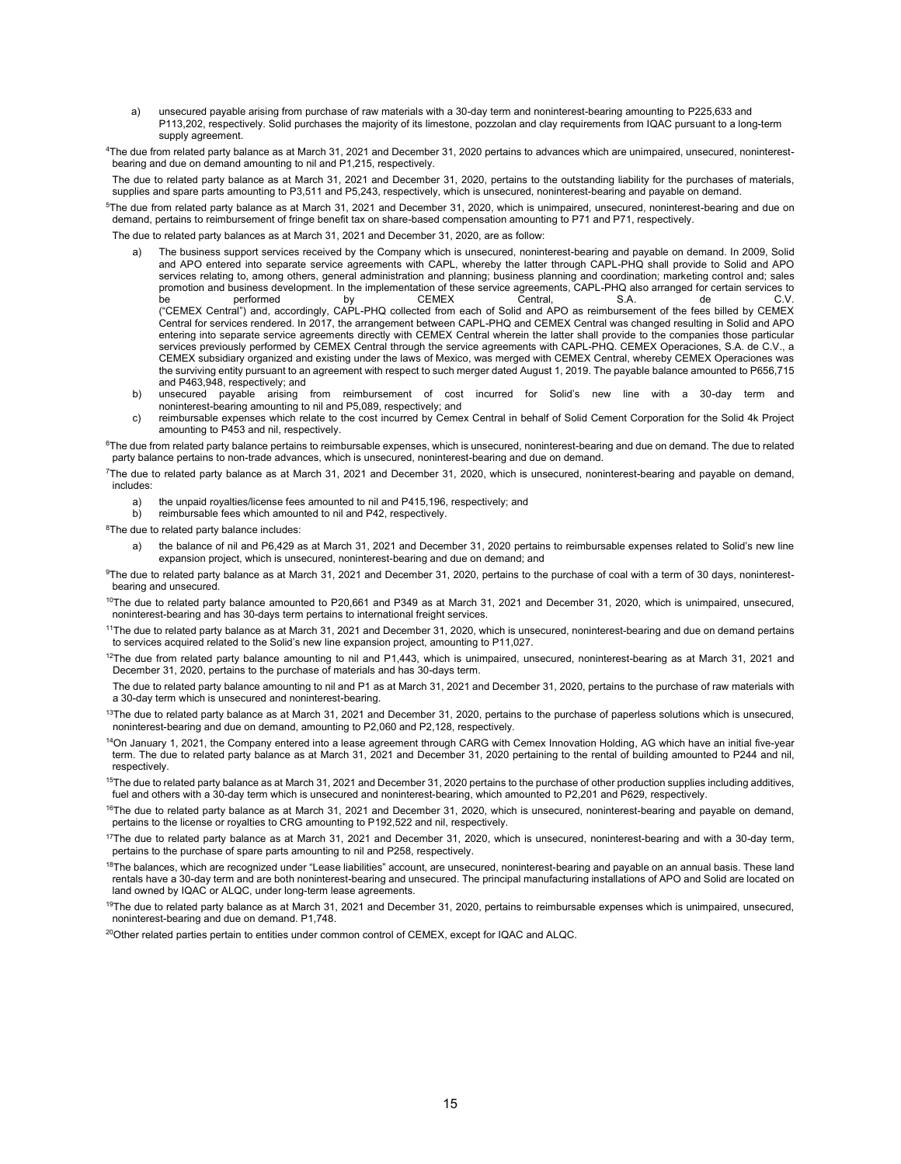- a) unsecured payable arising from purchase of raw materials with a 30-day term and noninterest-bearing amounting to P225,633 and P113,202, respectively. Solid purchases the majority of its limestone, pozzolan and clay requirements from IQAC pursuant to a long-term supply agreement.
- 4The due from related party balance as at March 31, 2021 and December 31, 2020 pertains to advances which are unimpaired, unsecured, noninterestbearing and due on demand amounting to nil and P1,215, respectively.

The due to related party balance as at March 31, 2021 and December 31, 2020, pertains to the outstanding liability for the purchases of materials, supplies and spare parts amounting to P3,511 and P5,243, respectively, which is unsecured, noninterest-bearing and payable on demand.

<sup>5</sup>The due from related party balance as at March 31, 2021 and December 31, 2020, which is unimpaired, unsecured, noninterest-bearing and due on demand, pertains to reimbursement of fringe benefit tax on share-based compensation amounting to P71 and P71, respectively.

The due to related party balances as at March 31, 2021 and December 31, 2020, are as follow:

- a) The business support services received by the Company which is unsecured, noninterest-bearing and payable on demand. In 2009, Solid and APO entered into separate service agreements with CAPL, whereby the latter through CAPL-PHQ shall provide to Solid and APO services relating to, among others, general administration and planning; business planning and coordination; marketing control and; sales promotion and business development. In the implementation of these service agreements, CAPL-PHQ also arranged for certain services to be performed by CEMEX Central, S.A. de C.V. ("CEMEX Central") and, accordingly, CAPL-PHQ collected from each of Solid and APO as reimbursement of the fees billed by CEMEX Central for services rendered. In 2017, the arrangement between CAPL-PHQ and CEMEX Central was changed resulting in Solid and APO entering into separate service agreements directly with CEMEX Central wherein the latter shall provide to the companies those particular services previously performed by CEMEX Central through the service agreements with CAPL-PHQ. CEMEX Operaciones, S.A. de C.V., a CEMEX subsidiary organized and existing under the laws of Mexico, was merged with CEMEX Central, whereby CEMEX Operaciones was the surviving entity pursuant to an agreement with respect to such merger dated August 1, 2019. The payable balance amounted to P656,715 and P463,948, respectively; and
- b) unsecured payable arising from reimbursement of cost incurred for Solid's new line with a 30-day term and noninterest-bearing amounting to nil and P5,089, respectively; and
- c) reimbursable expenses which relate to the cost incurred by Cemex Central in behalf of Solid Cement Corporation for the Solid 4k Project amounting to P453 and nil, respectively.

<sup>6</sup>The due from related party balance pertains to reimbursable expenses, which is unsecured, noninterest-bearing and due on demand. The due to related party balance pertains to non-trade advances, which is unsecured, noninterest-bearing and due on demand.

<sup>7</sup>The due to related party balance as at March 31, 2021 and December 31, 2020, which is unsecured, noninterest-bearing and payable on demand, includes:

- the unpaid royalties/license fees amounted to nil and P415,196, respectively; and
- b) reimbursable fees which amounted to nil and P42, respectively.
- <sup>8</sup>The due to related party balance includes:
	- the balance of nil and P6,429 as at March 31, 2021 and December 31, 2020 pertains to reimbursable expenses related to Solid's new line expansion project, which is unsecured, noninterest-bearing and due on demand; and

<sup>9</sup>The due to related party balance as at March 31, 2021 and December 31, 2020, pertains to the purchase of coal with a term of 30 days, noninterestbearing and unsecured.

 $10$ The due to related party balance amounted to P20,661 and P349 as at March 31, 2021 and December 31, 2020, which is unimpaired, unsecured, noninterest-bearing and has 30-days term pertains to international freight services.

<sup>11</sup>The due to related party balance as at March 31, 2021 and December 31, 2020, which is unsecured, noninterest-bearing and due on demand pertains to services acquired related to the Solid's new line expansion project, amounting to P11,027.

 $12$ The due from related party balance amounting to nil and P1,443, which is unimpaired, unsecured, noninterest-bearing as at March 31, 2021 and December 31, 2020, pertains to the purchase of materials and has 30-days term.

The due to related party balance amounting to nil and P1 as at March 31, 2021 and December 31, 2020, pertains to the purchase of raw materials with a 30-day term which is unsecured and noninterest-bearing.

 $13$ The due to related party balance as at March 31, 2021 and December 31, 2020, pertains to the purchase of paperless solutions which is unsecured, noninterest-bearing and due on demand, amounting to P2,060 and P2,128, respectively.

<sup>14</sup>On January 1, 2021, the Company entered into a lease agreement through CARG with Cemex Innovation Holding, AG which have an initial five-year term. The due to related party balance as at March 31, 2021 and December 31, 2020 pertaining to the rental of building amounted to P244 and nil, respectively.

 $^{15}$ The due to related party balance as at March 31, 2021 and December 31, 2020 pertains to the purchase of other production supplies including additives, fuel and others with a 30-day term which is unsecured and noninterest-bearing, which amounted to P2,201 and P629, respectively.

 $16$ The due to related party balance as at March 31, 2021 and December 31, 2020, which is unsecured, noninterest-bearing and payable on demand, pertains to the license or royalties to CRG amounting to P192,522 and nil, respectively.

 $17$ The due to related party balance as at March 31, 2021 and December 31, 2020, which is unsecured, noninterest-bearing and with a 30-day term, pertains to the purchase of spare parts amounting to nil and P258, respectively.

<sup>18</sup>The balances, which are recognized under "Lease liabilities" account, are unsecured, noninterest-bearing and payable on an annual basis. These land rentals have a 30-day term and are both noninterest-bearing and unsecured. The principal manufacturing installations of APO and Solid are located on land owned by IQAC or ALQC, under long-term lease agreements.

<sup>19</sup>The due to related party balance as at March 31, 2021 and December 31, 2020, pertains to reimbursable expenses which is unimpaired, unsecured, noninterest-bearing and due on demand. P1,748.

20Other related parties pertain to entities under common control of CEMEX, except for IQAC and ALQC.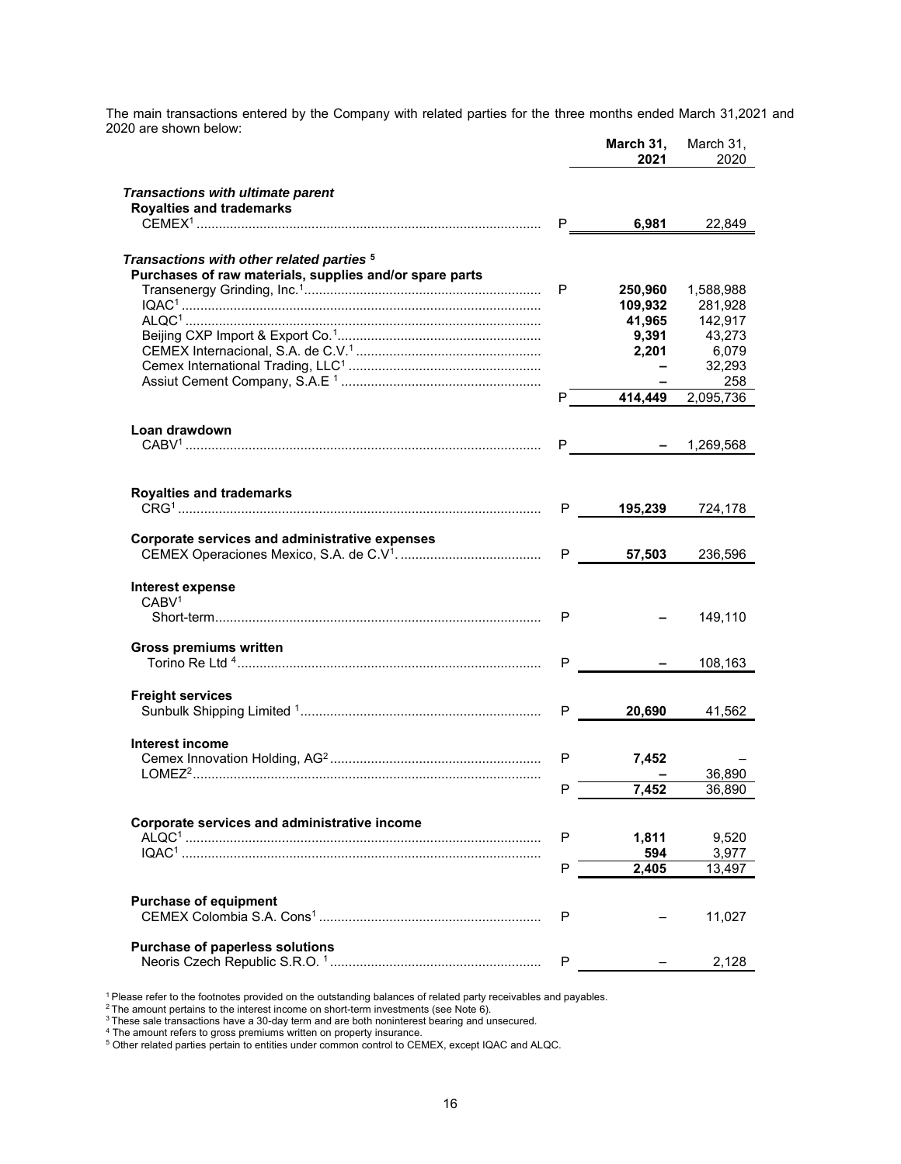The main transactions entered by the Company with related parties for the three months ended March 31,2021 and 2020 are shown below:

|                                                         |    | March 31,<br>2021         | March 31,<br>2020 |
|---------------------------------------------------------|----|---------------------------|-------------------|
| <b>Transactions with ultimate parent</b>                |    |                           |                   |
| <b>Royalties and trademarks</b>                         | P. | 6,981                     | 22,849            |
| Transactions with other related parties <sup>5</sup>    |    |                           |                   |
| Purchases of raw materials, supplies and/or spare parts |    |                           |                   |
|                                                         | P  | 250,960                   | 1,588,988         |
|                                                         |    | 109,932                   | 281,928           |
|                                                         |    | 41,965                    | 142,917           |
|                                                         |    | 9,391                     | 43,273            |
|                                                         |    | 2,201                     | 6,079             |
|                                                         |    |                           | 32,293            |
|                                                         |    |                           | 258               |
|                                                         | P  |                           | 414,449 2,095,736 |
| Loan drawdown                                           |    |                           |                   |
|                                                         | P. | $ -$                      | 1,269,568         |
|                                                         |    |                           |                   |
| <b>Royalties and trademarks</b>                         |    |                           |                   |
|                                                         |    | 195,239<br>P <sub>a</sub> | 724,178           |
|                                                         |    |                           |                   |
| Corporate services and administrative expenses          |    |                           |                   |
|                                                         | P  | 57,503                    | 236,596           |
|                                                         |    |                           |                   |
| Interest expense                                        |    |                           |                   |
| CABV <sup>1</sup>                                       |    |                           |                   |
|                                                         | P  |                           | 149,110           |
|                                                         |    |                           |                   |
| <b>Gross premiums written</b>                           |    |                           |                   |
|                                                         | P  |                           | 108,163           |
|                                                         |    |                           |                   |
| <b>Freight services</b>                                 |    |                           |                   |
|                                                         | P  | 20,690                    | 41,562            |
|                                                         |    |                           |                   |
| Interest income                                         |    |                           |                   |
|                                                         | P  | 7,452                     |                   |
|                                                         |    |                           | 36,890            |
|                                                         | P  | 7,452                     | 36,890            |
|                                                         |    |                           |                   |
| Corporate services and administrative income            |    |                           |                   |
|                                                         | P  | 1,811                     | 9,520             |
|                                                         |    | 594                       | 3,977             |
|                                                         | P  | 2,405                     | 13,497            |
|                                                         |    |                           |                   |
| <b>Purchase of equipment</b>                            |    |                           |                   |
|                                                         | P  |                           | 11,027            |
| Purchase of paperless solutions                         |    |                           |                   |
|                                                         | P  |                           | 2,128             |
|                                                         |    |                           |                   |

<sup>1</sup> Please refer to the footnotes provided on the outstanding balances of related party receivables and payables.

 $^{\rm 2}$ The amount pertains to the interest income on short-term investments (see Note 6).

 $^3$ These sale transactions have a 30-day term and are both noninterest bearing and unsecured.

<sup>4</sup> The amount refers to gross premiums written on property insurance.

 $^{\rm 5}$  Other related parties pertain to entities under common control to CEMEX, except IQAC and ALQC.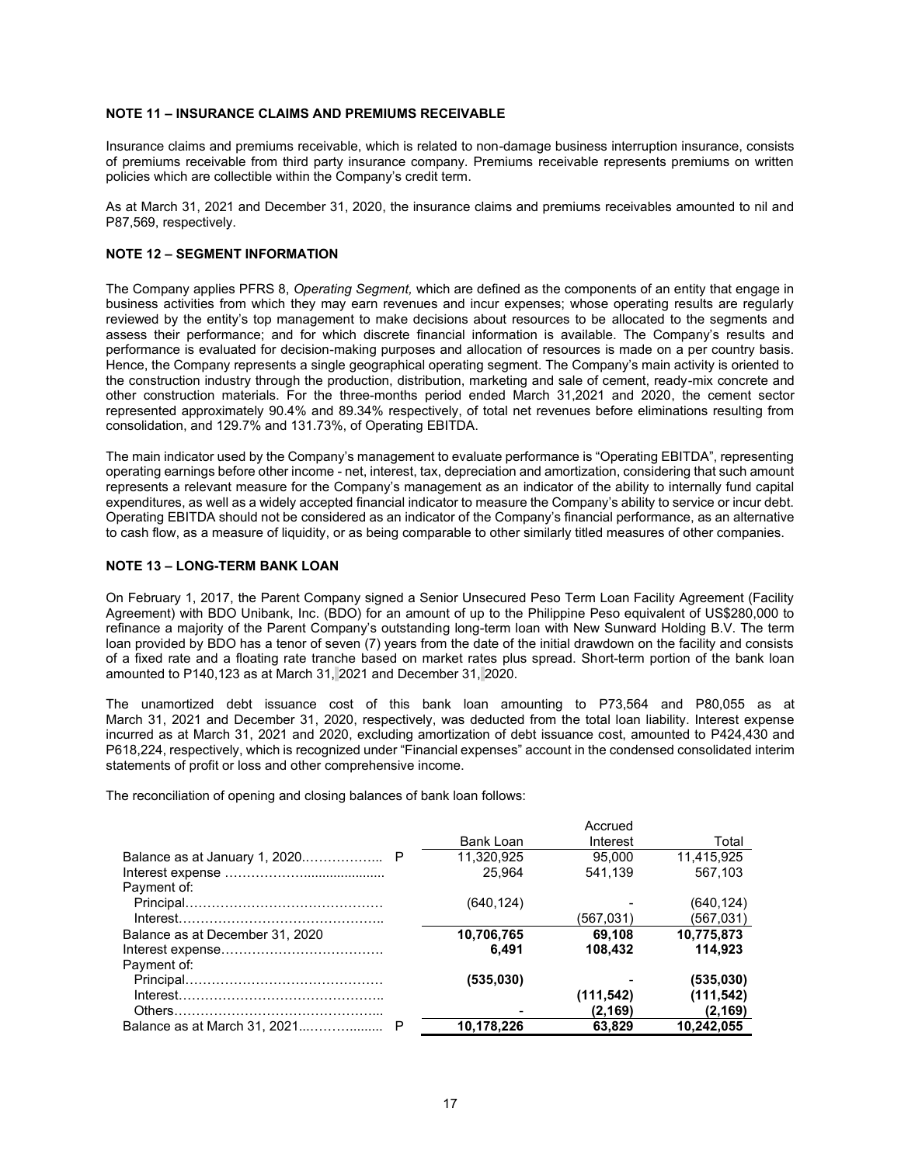#### **NOTE 11 – INSURANCE CLAIMS AND PREMIUMS RECEIVABLE**

Insurance claims and premiums receivable, which is related to non-damage business interruption insurance, consists of premiums receivable from third party insurance company. Premiums receivable represents premiums on written policies which are collectible within the Company's credit term.

As at March 31, 2021 and December 31, 2020, the insurance claims and premiums receivables amounted to nil and P87,569, respectively.

#### **NOTE 12 – SEGMENT INFORMATION**

The Company applies PFRS 8, *Operating Segment,* which are defined as the components of an entity that engage in business activities from which they may earn revenues and incur expenses; whose operating results are regularly reviewed by the entity's top management to make decisions about resources to be allocated to the segments and assess their performance; and for which discrete financial information is available. The Company's results and performance is evaluated for decision-making purposes and allocation of resources is made on a per country basis. Hence, the Company represents a single geographical operating segment. The Company's main activity is oriented to the construction industry through the production, distribution, marketing and sale of cement, ready-mix concrete and other construction materials. For the three-months period ended March 31,2021 and 2020, the cement sector represented approximately 90.4% and 89.34% respectively, of total net revenues before eliminations resulting from consolidation, and 129.7% and 131.73%, of Operating EBITDA.

The main indicator used by the Company's management to evaluate performance is "Operating EBITDA", representing operating earnings before other income - net, interest, tax, depreciation and amortization, considering that such amount represents a relevant measure for the Company's management as an indicator of the ability to internally fund capital expenditures, as well as a widely accepted financial indicator to measure the Company's ability to service or incur debt. Operating EBITDA should not be considered as an indicator of the Company's financial performance, as an alternative to cash flow, as a measure of liquidity, or as being comparable to other similarly titled measures of other companies.

#### **NOTE 13 – LONG-TERM BANK LOAN**

On February 1, 2017, the Parent Company signed a Senior Unsecured Peso Term Loan Facility Agreement (Facility Agreement) with BDO Unibank, Inc. (BDO) for an amount of up to the Philippine Peso equivalent of US\$280,000 to refinance a majority of the Parent Company's outstanding long-term loan with New Sunward Holding B.V. The term loan provided by BDO has a tenor of seven (7) years from the date of the initial drawdown on the facility and consists of a fixed rate and a floating rate tranche based on market rates plus spread. Short-term portion of the bank loan amounted to P140,123 as at March 31, 2021 and December 31, 2020.

The unamortized debt issuance cost of this bank loan amounting to P73,564 and P80,055 as at March 31, 2021 and December 31, 2020, respectively, was deducted from the total loan liability. Interest expense incurred as at March 31, 2021 and 2020, excluding amortization of debt issuance cost, amounted to P424,430 and P618,224, respectively, which is recognized under "Financial expenses" account in the condensed consolidated interim statements of profit or loss and other comprehensive income.

The reconciliation of opening and closing balances of bank loan follows:

|                                 |            | Accrued    |            |
|---------------------------------|------------|------------|------------|
|                                 | Bank Loan  | Interest   | Total      |
|                                 | 11.320.925 | 95.000     | 11.415.925 |
|                                 | 25.964     | 541,139    | 567.103    |
| Payment of:                     |            |            |            |
|                                 | (640, 124) |            | (640,124)  |
|                                 |            | (567,031)  | (567,031)  |
| Balance as at December 31, 2020 | 10,706,765 | 69.108     | 10.775.873 |
|                                 | 6.491      | 108,432    | 114.923    |
| Payment of:                     |            |            |            |
|                                 | (535,030)  |            | (535,030)  |
|                                 |            | (111, 542) | (111, 542) |
|                                 |            | (2, 169)   | (2,169)    |
|                                 | 10,178,226 | 63.829     | 10,242,055 |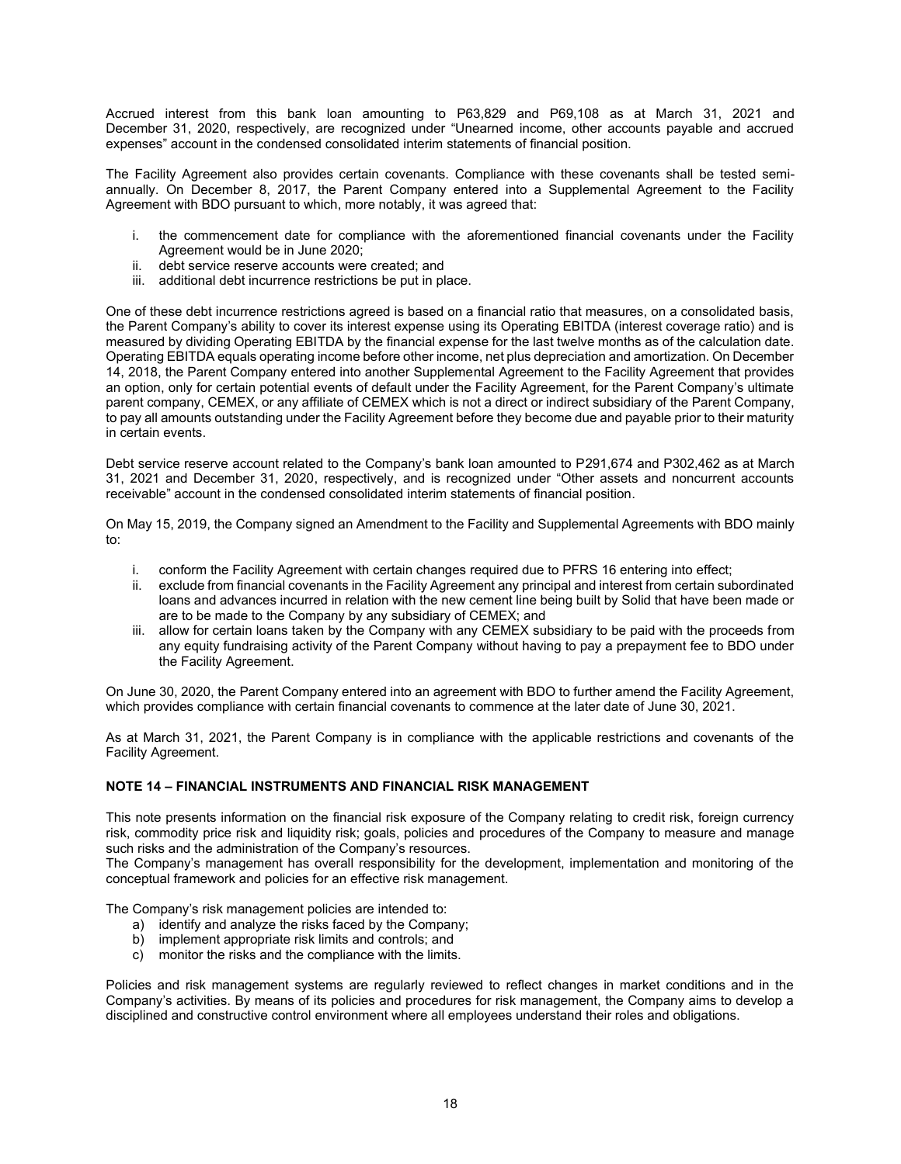Accrued interest from this bank loan amounting to P63,829 and P69,108 as at March 31, 2021 and December 31, 2020, respectively, are recognized under "Unearned income, other accounts payable and accrued expenses" account in the condensed consolidated interim statements of financial position.

The Facility Agreement also provides certain covenants. Compliance with these covenants shall be tested semiannually. On December 8, 2017, the Parent Company entered into a Supplemental Agreement to the Facility Agreement with BDO pursuant to which, more notably, it was agreed that:

- i. the commencement date for compliance with the aforementioned financial covenants under the Facility Agreement would be in June 2020;
- ii. debt service reserve accounts were created; and
- iii. additional debt incurrence restrictions be put in place.

One of these debt incurrence restrictions agreed is based on a financial ratio that measures, on a consolidated basis, the Parent Company's ability to cover its interest expense using its Operating EBITDA (interest coverage ratio) and is measured by dividing Operating EBITDA by the financial expense for the last twelve months as of the calculation date. Operating EBITDA equals operating income before other income, net plus depreciation and amortization. On December 14, 2018, the Parent Company entered into another Supplemental Agreement to the Facility Agreement that provides an option, only for certain potential events of default under the Facility Agreement, for the Parent Company's ultimate parent company, CEMEX, or any affiliate of CEMEX which is not a direct or indirect subsidiary of the Parent Company, to pay all amounts outstanding under the Facility Agreement before they become due and payable prior to their maturity in certain events.

Debt service reserve account related to the Company's bank loan amounted to P291,674 and P302,462 as at March 31, 2021 and December 31, 2020, respectively, and is recognized under "Other assets and noncurrent accounts receivable" account in the condensed consolidated interim statements of financial position.

On May 15, 2019, the Company signed an Amendment to the Facility and Supplemental Agreements with BDO mainly to:

- i. conform the Facility Agreement with certain changes required due to PFRS 16 entering into effect;
- ii. exclude from financial covenants in the Facility Agreement any principal and interest from certain subordinated loans and advances incurred in relation with the new cement line being built by Solid that have been made or are to be made to the Company by any subsidiary of CEMEX; and
- iii. allow for certain loans taken by the Company with any CEMEX subsidiary to be paid with the proceeds from any equity fundraising activity of the Parent Company without having to pay a prepayment fee to BDO under the Facility Agreement.

On June 30, 2020, the Parent Company entered into an agreement with BDO to further amend the Facility Agreement, which provides compliance with certain financial covenants to commence at the later date of June 30, 2021.

As at March 31, 2021, the Parent Company is in compliance with the applicable restrictions and covenants of the Facility Agreement.

#### **NOTE 14 – FINANCIAL INSTRUMENTS AND FINANCIAL RISK MANAGEMENT**

This note presents information on the financial risk exposure of the Company relating to credit risk, foreign currency risk, commodity price risk and liquidity risk; goals, policies and procedures of the Company to measure and manage such risks and the administration of the Company's resources.

The Company's management has overall responsibility for the development, implementation and monitoring of the conceptual framework and policies for an effective risk management.

The Company's risk management policies are intended to:

- a) identify and analyze the risks faced by the Company;
- b) implement appropriate risk limits and controls; and
- c) monitor the risks and the compliance with the limits.

Policies and risk management systems are regularly reviewed to reflect changes in market conditions and in the Company's activities. By means of its policies and procedures for risk management, the Company aims to develop a disciplined and constructive control environment where all employees understand their roles and obligations.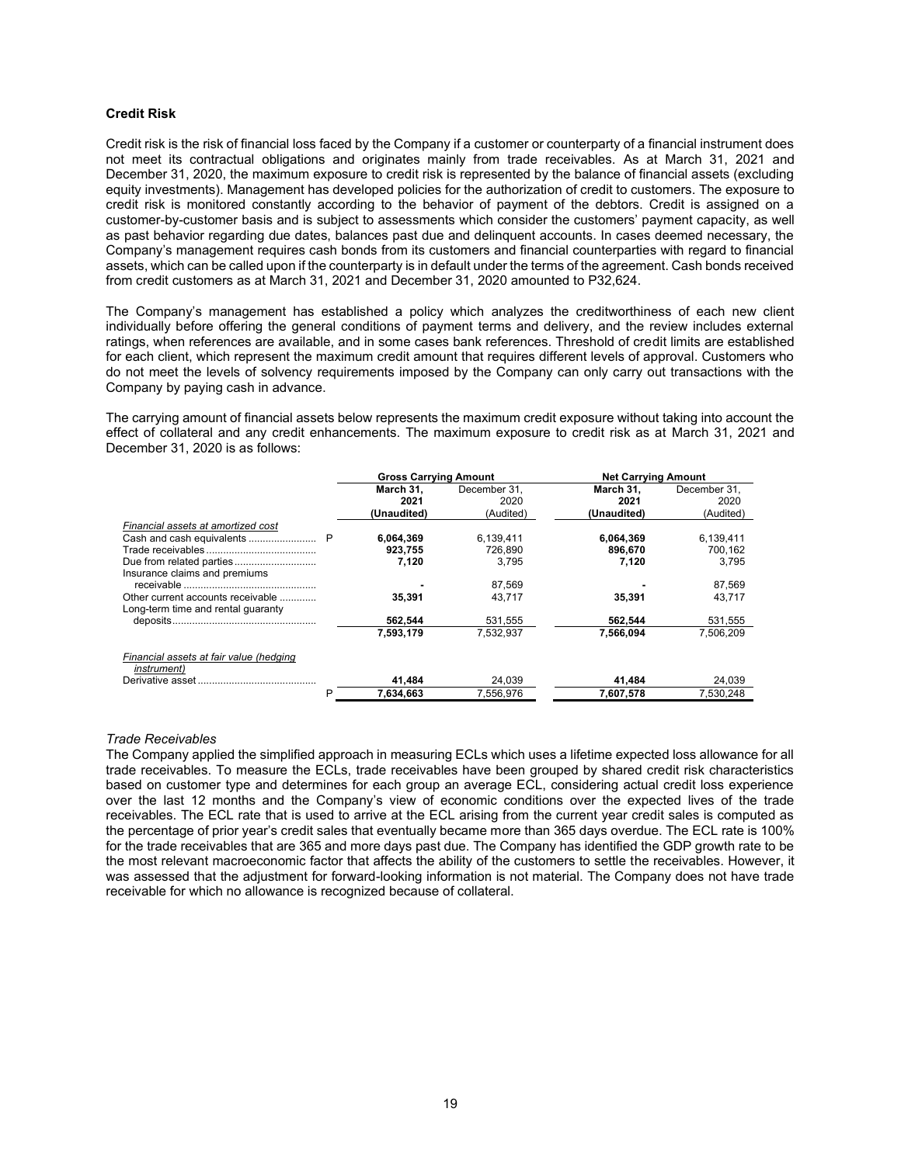#### **Credit Risk**

Credit risk is the risk of financial loss faced by the Company if a customer or counterparty of a financial instrument does not meet its contractual obligations and originates mainly from trade receivables. As at March 31, 2021 and December 31, 2020, the maximum exposure to credit risk is represented by the balance of financial assets (excluding equity investments). Management has developed policies for the authorization of credit to customers. The exposure to credit risk is monitored constantly according to the behavior of payment of the debtors. Credit is assigned on a customer-by-customer basis and is subject to assessments which consider the customers' payment capacity, as well as past behavior regarding due dates, balances past due and delinquent accounts. In cases deemed necessary, the Company's management requires cash bonds from its customers and financial counterparties with regard to financial assets, which can be called upon if the counterparty is in default under the terms of the agreement. Cash bonds received from credit customers as at March 31, 2021 and December 31, 2020 amounted to P32,624.

The Company's management has established a policy which analyzes the creditworthiness of each new client individually before offering the general conditions of payment terms and delivery, and the review includes external ratings, when references are available, and in some cases bank references. Threshold of credit limits are established for each client, which represent the maximum credit amount that requires different levels of approval. Customers who do not meet the levels of solvency requirements imposed by the Company can only carry out transactions with the Company by paying cash in advance.

The carrying amount of financial assets below represents the maximum credit exposure without taking into account the effect of collateral and any credit enhancements. The maximum exposure to credit risk as at March 31, 2021 and December 31, 2020 is as follows:

|                                                                         | <b>Gross Carrying Amount</b> |                      | <b>Net Carrying Amount</b> |                      |  |  |
|-------------------------------------------------------------------------|------------------------------|----------------------|----------------------------|----------------------|--|--|
|                                                                         | March 31.<br>2021            | December 31.<br>2020 | March 31.<br>2021          | December 31.<br>2020 |  |  |
|                                                                         | (Unaudited)                  | (Audited)            | (Unaudited)                | (Audited)            |  |  |
| Financial assets at amortized cost                                      |                              |                      |                            |                      |  |  |
|                                                                         | 6.064.369                    | 6.139.411            | 6.064.369                  | 6.139.411            |  |  |
|                                                                         | 923,755                      | 726.890              | 896.670                    | 700,162              |  |  |
|                                                                         | 7,120                        | 3,795                | 7,120                      | 3,795                |  |  |
| Insurance claims and premiums                                           |                              |                      |                            |                      |  |  |
|                                                                         |                              | 87,569               |                            | 87,569               |  |  |
| Other current accounts receivable<br>Long-term time and rental quaranty | 35.391                       | 43.717               | 35.391                     | 43.717               |  |  |
|                                                                         | 562.544                      | 531.555              | 562.544                    | 531,555              |  |  |
|                                                                         | 7.593.179                    | 7.532.937            | 7.566.094                  | 7.506.209            |  |  |
| Financial assets at fair value (hedging<br><i>instrument</i> )          |                              |                      |                            |                      |  |  |
|                                                                         | 41.484                       | 24.039               | 41.484                     | 24.039               |  |  |
| P                                                                       | 7,634,663                    | 7.556.976            | 7,607,578                  | 7.530.248            |  |  |

#### *Trade Receivables*

The Company applied the simplified approach in measuring ECLs which uses a lifetime expected loss allowance for all trade receivables. To measure the ECLs, trade receivables have been grouped by shared credit risk characteristics based on customer type and determines for each group an average ECL, considering actual credit loss experience over the last 12 months and the Company's view of economic conditions over the expected lives of the trade receivables. The ECL rate that is used to arrive at the ECL arising from the current year credit sales is computed as the percentage of prior year's credit sales that eventually became more than 365 days overdue. The ECL rate is 100% for the trade receivables that are 365 and more days past due. The Company has identified the GDP growth rate to be the most relevant macroeconomic factor that affects the ability of the customers to settle the receivables. However, it was assessed that the adjustment for forward-looking information is not material. The Company does not have trade receivable for which no allowance is recognized because of collateral.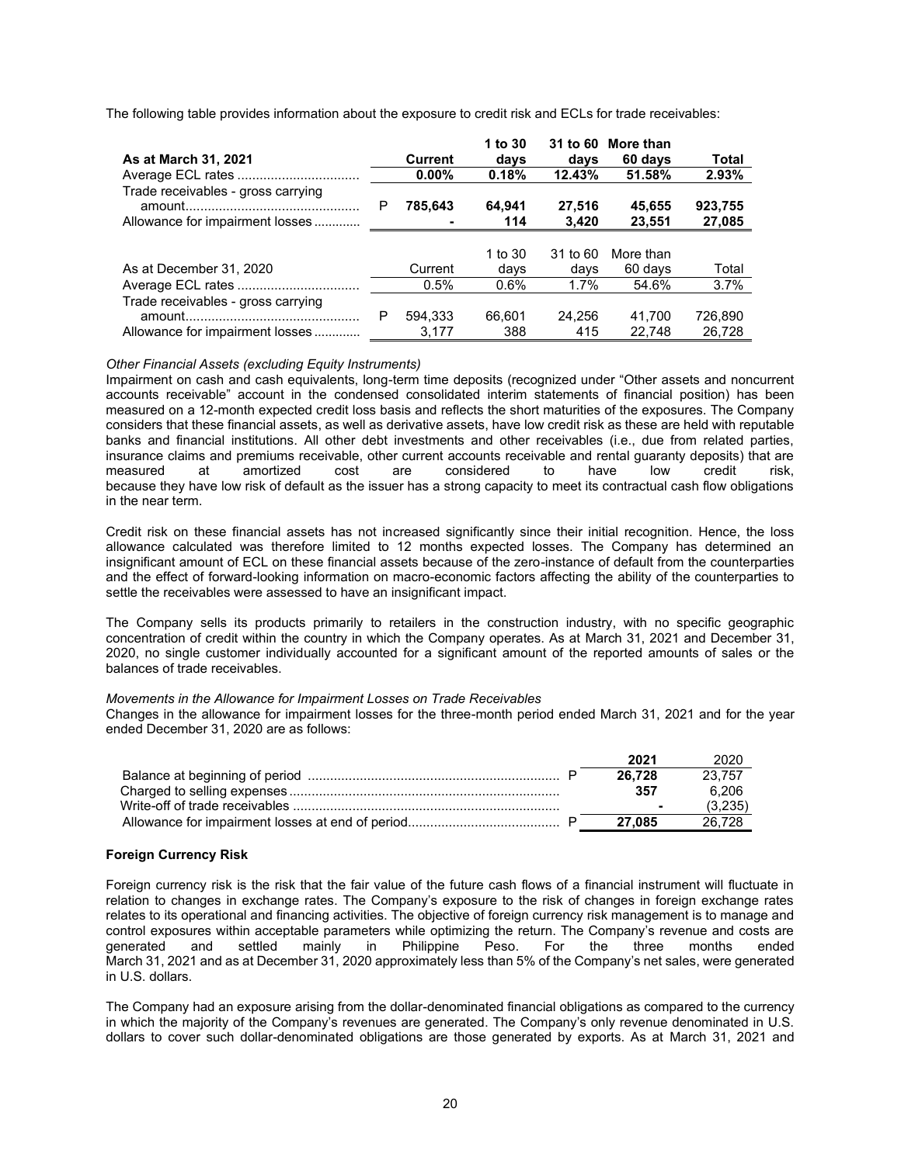The following table provides information about the exposure to credit risk and ECLs for trade receivables:

|                                    |   |                | 1 to 30 | 31 to 60 | More than |         |
|------------------------------------|---|----------------|---------|----------|-----------|---------|
| As at March 31, 2021               |   | <b>Current</b> | days    | days     | 60 days   | Total   |
|                                    |   | $0.00\%$       | 0.18%   | 12.43%   | 51.58%    | 2.93%   |
| Trade receivables - gross carrying | P | 785,643        | 64,941  | 27,516   | 45,655    | 923,755 |
| Allowance for impairment losses    |   |                | 114     | 3.420    | 23,551    | 27,085  |
|                                    |   |                |         |          |           |         |
|                                    |   |                | 1 to 30 | 31 to 60 | More than |         |
| As at December 31, 2020            |   | Current        | days    | days     | 60 days   | Total   |
|                                    |   | 0.5%           | $0.6\%$ | $1.7\%$  | 54.6%     | 3.7%    |
| Trade receivables - gross carrying |   |                |         |          |           |         |
| amount.                            | P | 594.333        | 66.601  | 24.256   | 41.700    | 726.890 |
| Allowance for impairment losses    |   | 3.177          | 388     | 415      | 22.748    | 26.728  |

#### *Other Financial Assets (excluding Equity Instruments)*

Impairment on cash and cash equivalents, long-term time deposits (recognized under "Other assets and noncurrent accounts receivable" account in the condensed consolidated interim statements of financial position) has been measured on a 12-month expected credit loss basis and reflects the short maturities of the exposures. The Company considers that these financial assets, as well as derivative assets, have low credit risk as these are held with reputable banks and financial institutions. All other debt investments and other receivables (i.e., due from related parties, insurance claims and premiums receivable, other current accounts receivable and rental guaranty deposits) that are<br>measured at amortized cost are considered to have low credit risk. measured at amortized cost are considered to have low credit risk, because they have low risk of default as the issuer has a strong capacity to meet its contractual cash flow obligations in the near term.

Credit risk on these financial assets has not increased significantly since their initial recognition. Hence, the loss allowance calculated was therefore limited to 12 months expected losses. The Company has determined an insignificant amount of ECL on these financial assets because of the zero-instance of default from the counterparties and the effect of forward-looking information on macro-economic factors affecting the ability of the counterparties to settle the receivables were assessed to have an insignificant impact.

The Company sells its products primarily to retailers in the construction industry, with no specific geographic concentration of credit within the country in which the Company operates. As at March 31, 2021 and December 31, 2020, no single customer individually accounted for a significant amount of the reported amounts of sales or the balances of trade receivables.

#### *Movements in the Allowance for Impairment Losses on Trade Receivables*

Changes in the allowance for impairment losses for the three-month period ended March 31, 2021 and for the year ended December 31, 2020 are as follows:

| 2021   | 2020    |
|--------|---------|
| 26.728 | 23.757  |
| 357    | 6.206   |
| -      | (3,235) |
| 27.085 | 26.728  |

#### **Foreign Currency Risk**

Foreign currency risk is the risk that the fair value of the future cash flows of a financial instrument will fluctuate in relation to changes in exchange rates. The Company's exposure to the risk of changes in foreign exchange rates relates to its operational and financing activities. The objective of foreign currency risk management is to manage and control exposures within acceptable parameters while optimizing the return. The Company's revenue and costs are generated and settled mainly in Philippine Peso. For the three months ended generated and settled mainly in Philippine Peso. For the three months ended March 31, 2021 and as at December 31, 2020 approximately less than 5% of the Company's net sales, were generated in U.S. dollars.

The Company had an exposure arising from the dollar-denominated financial obligations as compared to the currency in which the majority of the Company's revenues are generated. The Company's only revenue denominated in U.S. dollars to cover such dollar-denominated obligations are those generated by exports. As at March 31, 2021 and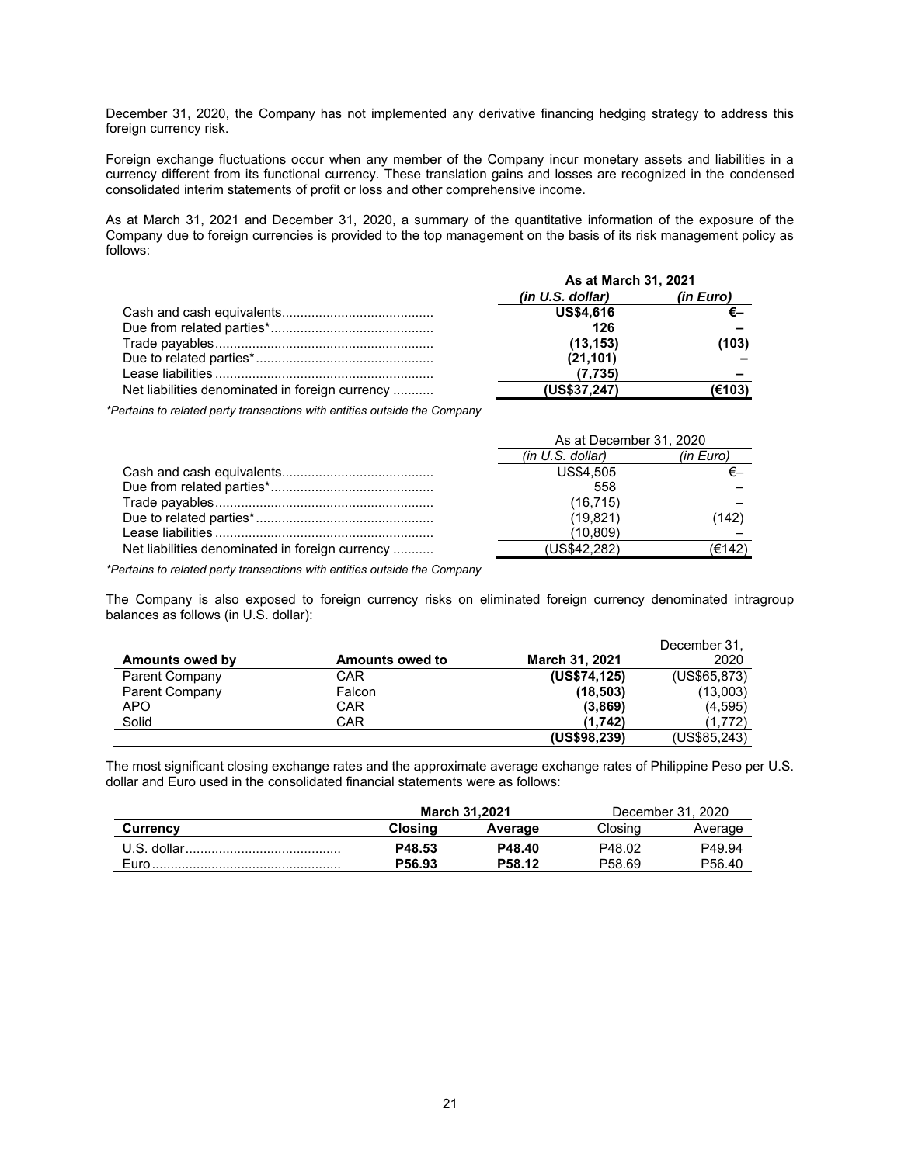December 31, 2020, the Company has not implemented any derivative financing hedging strategy to address this foreign currency risk.

Foreign exchange fluctuations occur when any member of the Company incur monetary assets and liabilities in a currency different from its functional currency. These translation gains and losses are recognized in the condensed consolidated interim statements of profit or loss and other comprehensive income.

As at March 31, 2021 and December 31, 2020, a summary of the quantitative information of the exposure of the Company due to foreign currencies is provided to the top management on the basis of its risk management policy as follows:

|                                                 | As at March 31, 2021 |           |  |
|-------------------------------------------------|----------------------|-----------|--|
|                                                 | (in U.S. dollar)     | (in Euro) |  |
|                                                 | <b>US\$4,616</b>     |           |  |
|                                                 | 126                  |           |  |
|                                                 | (13, 153)            | (103)     |  |
|                                                 | (21, 101)            |           |  |
|                                                 | (7.735)              |           |  |
| Net liabilities denominated in foreign currency | (US\$37,247)         | (€103)    |  |

*\*Pertains to related party transactions with entities outside the Company*

|                                                 | As at December 31, 2020 |           |  |
|-------------------------------------------------|-------------------------|-----------|--|
|                                                 | (in U.S. dollar)        | (in Euro) |  |
|                                                 | US\$4.505               |           |  |
|                                                 | 558                     |           |  |
|                                                 | (16, 715)               |           |  |
|                                                 | (19, 821)               | (142)     |  |
|                                                 | (10.809)                |           |  |
| Net liabilities denominated in foreign currency | (US\$42.282)            | (€142)    |  |

*\*Pertains to related party transactions with entities outside the Company*

The Company is also exposed to foreign currency risks on eliminated foreign currency denominated intragroup balances as follows (in U.S. dollar):

|                       |                        |                       | December 31, |
|-----------------------|------------------------|-----------------------|--------------|
| Amounts owed by       | <b>Amounts owed to</b> | <b>March 31, 2021</b> | 2020         |
| <b>Parent Company</b> | CAR                    | (US\$74,125)          | (US\$65,873) |
| Parent Company        | Falcon                 | (18, 503)             | (13,003)     |
| APO                   | CAR                    | (3,869)               | (4,595)      |
| Solid                 | CAR                    | (1.742)               | (1,772)      |
|                       |                        | (US\$98,239)          | (US\$85,243) |

The most significant closing exchange rates and the approximate average exchange rates of Philippine Peso per U.S. dollar and Euro used in the consolidated financial statements were as follows:

|                 |                    | March 31.2021 | December 31, 2020  |                    |
|-----------------|--------------------|---------------|--------------------|--------------------|
| <b>Currency</b> | Closina<br>Average |               | Closina            | Average            |
| U.S. dollar.    | P48.53             | P48.40        | P48.02             | P49.94             |
| <b>Euro</b>     | P56.93             | P58.12        | P <sub>58.69</sub> | P <sub>56.40</sub> |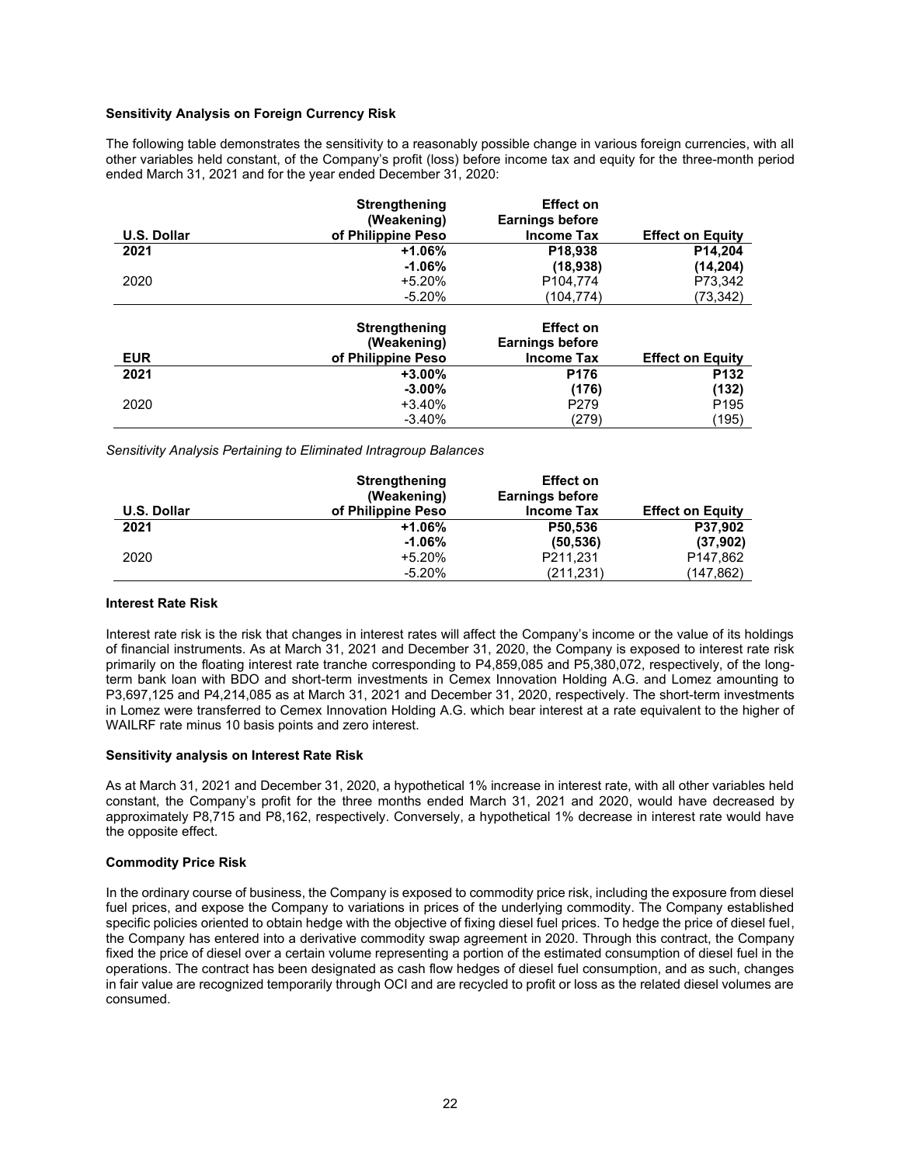#### **Sensitivity Analysis on Foreign Currency Risk**

The following table demonstrates the sensitivity to a reasonably possible change in various foreign currencies, with all other variables held constant, of the Company's profit (loss) before income tax and equity for the three-month period ended March 31, 2021 and for the year ended December 31, 2020:

| U.S. Dollar | <b>Strengthening</b><br>(Weakening)<br>of Philippine Peso | <b>Effect on</b><br><b>Earnings before</b><br><b>Income Tax</b> | <b>Effect on Equity</b> |
|-------------|-----------------------------------------------------------|-----------------------------------------------------------------|-------------------------|
| 2021        | +1.06%                                                    | P <sub>18.938</sub>                                             | P14.204                 |
|             | $-1.06%$                                                  | (18,938)                                                        | (14, 204)               |
| 2020        | $+5.20%$                                                  | P <sub>104,774</sub>                                            | P73,342                 |
|             | $-5.20%$                                                  | (104,774)                                                       | (73, 342)               |

| <b>EUR</b> | Strengthening<br>(Weakening)<br>of Philippine Peso | <b>Effect on</b><br><b>Earnings before</b><br><b>Income Tax</b> | <b>Effect on Equity</b> |
|------------|----------------------------------------------------|-----------------------------------------------------------------|-------------------------|
| 2021       | $+3.00\%$                                          | P <sub>176</sub>                                                | P <sub>132</sub>        |
|            | $-3.00%$                                           | (176)                                                           | (132)                   |
| 2020       | $+3.40%$                                           | P <sub>279</sub>                                                | P <sub>195</sub>        |
|            | $-3.40%$                                           | (279)                                                           | (195)                   |

*Sensitivity Analysis Pertaining to Eliminated Intragroup Balances*

|                    | Strengthening<br>(Weakening) | <b>Effect on</b><br><b>Earnings before</b> |                         |
|--------------------|------------------------------|--------------------------------------------|-------------------------|
| <b>U.S. Dollar</b> | of Philippine Peso           | <b>Income Tax</b>                          | <b>Effect on Equity</b> |
| 2021               | $+1.06%$                     | P50.536                                    | P37.902                 |
|                    | $-1.06%$                     | (50, 536)                                  | (37,902)                |
| 2020               | +5.20%                       | P211,231                                   | P <sub>147.862</sub>    |
|                    | $-5.20%$                     | (211, 231)                                 | (147,862)               |

#### **Interest Rate Risk**

Interest rate risk is the risk that changes in interest rates will affect the Company's income or the value of its holdings of financial instruments. As at March 31, 2021 and December 31, 2020, the Company is exposed to interest rate risk primarily on the floating interest rate tranche corresponding to P4,859,085 and P5,380,072, respectively, of the longterm bank loan with BDO and short-term investments in Cemex Innovation Holding A.G. and Lomez amounting to P3,697,125 and P4,214,085 as at March 31, 2021 and December 31, 2020, respectively. The short-term investments in Lomez were transferred to Cemex Innovation Holding A.G. which bear interest at a rate equivalent to the higher of WAILRF rate minus 10 basis points and zero interest.

#### **Sensitivity analysis on Interest Rate Risk**

As at March 31, 2021 and December 31, 2020, a hypothetical 1% increase in interest rate, with all other variables held constant, the Company's profit for the three months ended March 31, 2021 and 2020, would have decreased by approximately P8,715 and P8,162, respectively. Conversely, a hypothetical 1% decrease in interest rate would have the opposite effect.

#### **Commodity Price Risk**

In the ordinary course of business, the Company is exposed to commodity price risk, including the exposure from diesel fuel prices, and expose the Company to variations in prices of the underlying commodity. The Company established specific policies oriented to obtain hedge with the objective of fixing diesel fuel prices. To hedge the price of diesel fuel, the Company has entered into a derivative commodity swap agreement in 2020. Through this contract, the Company fixed the price of diesel over a certain volume representing a portion of the estimated consumption of diesel fuel in the operations. The contract has been designated as cash flow hedges of diesel fuel consumption, and as such, changes in fair value are recognized temporarily through OCI and are recycled to profit or loss as the related diesel volumes are consumed.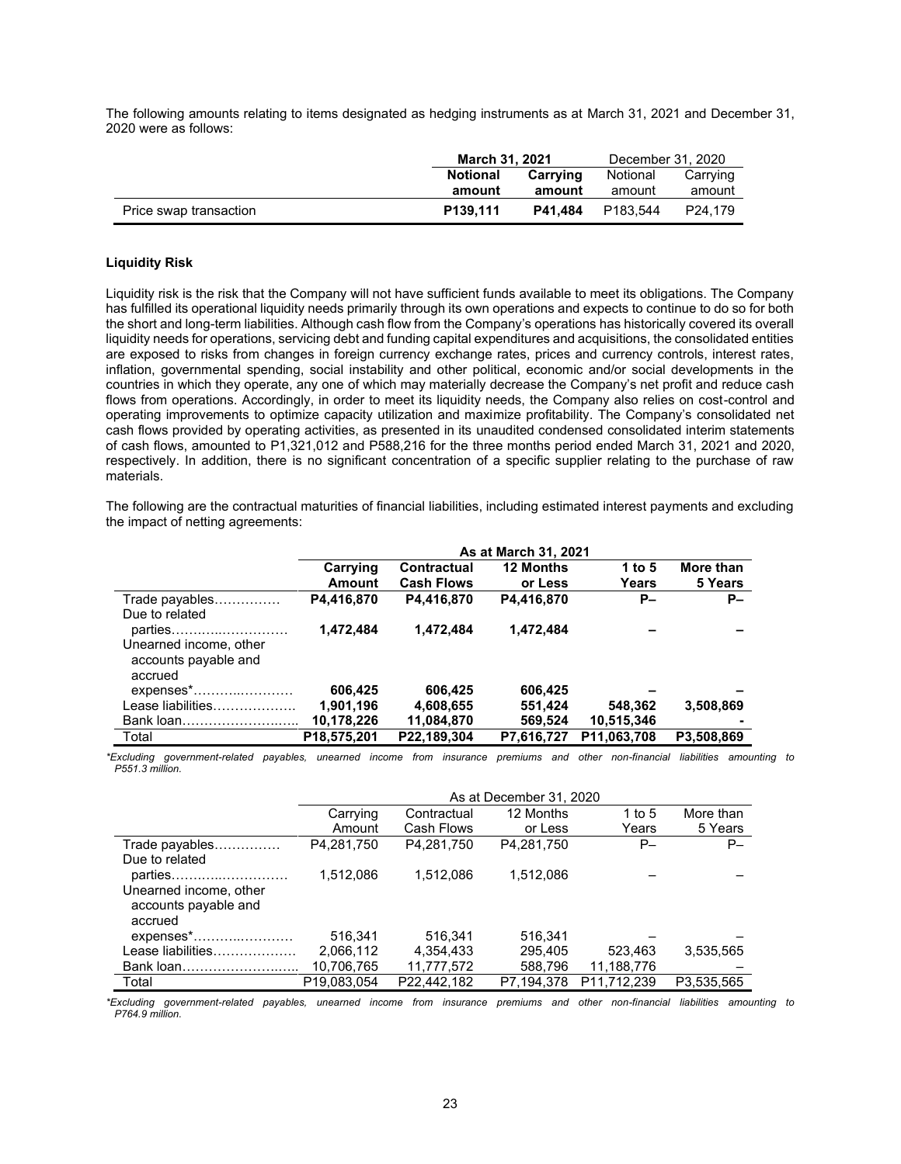The following amounts relating to items designated as hedging instruments as at March 31, 2021 and December 31, 2020 were as follows:

|                        | March 31, 2021       |         | December 31, 2020                |         |
|------------------------|----------------------|---------|----------------------------------|---------|
|                        | Notional             |         | Notional<br>Carrving<br>Carrying |         |
|                        | amount               | amount  | amount                           | amount  |
| Price swap transaction | P <sub>139.111</sub> | P41.484 | P183.544                         | P24.179 |

#### **Liquidity Risk**

Liquidity risk is the risk that the Company will not have sufficient funds available to meet its obligations. The Company has fulfilled its operational liquidity needs primarily through its own operations and expects to continue to do so for both the short and long-term liabilities. Although cash flow from the Company's operations has historically covered its overall liquidity needs for operations, servicing debt and funding capital expenditures and acquisitions, the consolidated entities are exposed to risks from changes in foreign currency exchange rates, prices and currency controls, interest rates, inflation, governmental spending, social instability and other political, economic and/or social developments in the countries in which they operate, any one of which may materially decrease the Company's net profit and reduce cash flows from operations. Accordingly, in order to meet its liquidity needs, the Company also relies on cost-control and operating improvements to optimize capacity utilization and maximize profitability. The Company's consolidated net cash flows provided by operating activities, as presented in its unaudited condensed consolidated interim statements of cash flows, amounted to P1,321,012 and P588,216 for the three months period ended March 31, 2021 and 2020, respectively. In addition, there is no significant concentration of a specific supplier relating to the purchase of raw materials.

The following are the contractual maturities of financial liabilities, including estimated interest payments and excluding the impact of netting agreements:

|                                                                      |                           |                                         | As at March 31, 2021        |                 |                      |
|----------------------------------------------------------------------|---------------------------|-----------------------------------------|-----------------------------|-----------------|----------------------|
|                                                                      | Carrying<br><b>Amount</b> | <b>Contractual</b><br><b>Cash Flows</b> | <b>12 Months</b><br>or Less | 1 to 5<br>Years | More than<br>5 Years |
| Trade payables<br>Due to related                                     | P4,416,870                | P4,416,870                              | P4,416,870                  | $P-$            | <b>P</b> -           |
| parties<br>Unearned income, other<br>accounts payable and<br>accrued | 1,472,484                 | 1,472,484                               | 1,472,484                   |                 |                      |
| expenses*                                                            | 606,425                   | 606.425                                 | 606,425                     |                 |                      |
| Lease liabilities                                                    | 1,901,196                 | 4,608,655                               | 551,424                     | 548,362         | 3,508,869            |
| Bank loan                                                            | 10,178,226                | 11,084,870                              | 569,524                     | 10,515,346      |                      |
| Total                                                                | P18,575,201               | P22,189,304                             | P7,616,727                  | P11,063,708     | P3,508,869           |

*\*Excluding government-related payables, unearned income from insurance premiums and other non-financial liabilities amounting to P551.3 million.*

|                                                | As at December 31, 2020 |             |            |             |            |  |  |  |
|------------------------------------------------|-------------------------|-------------|------------|-------------|------------|--|--|--|
|                                                | Carrying                | Contractual | 12 Months  | 1 to $5$    | More than  |  |  |  |
|                                                | Amount                  | Cash Flows  | or Less    | Years       | 5 Years    |  |  |  |
| Trade payables                                 | P4,281,750              | P4.281.750  | P4.281.750 | $P-$        | P-         |  |  |  |
| Due to related                                 |                         |             |            |             |            |  |  |  |
| parties                                        | 1,512,086               | 1.512.086   | 1,512,086  |             |            |  |  |  |
| Unearned income, other<br>accounts payable and |                         |             |            |             |            |  |  |  |
| accrued                                        |                         |             |            |             |            |  |  |  |
| $expenses$ *                                   | 516.341                 | 516.341     | 516.341    |             |            |  |  |  |
| Lease liabilities                              | 2,066,112               | 4,354,433   | 295.405    | 523.463     | 3,535,565  |  |  |  |
| Bank loan.                                     | 10,706,765              | 11,777,572  | 588.796    | 11,188,776  |            |  |  |  |
| Total                                          | P19,083,054             | P22.442.182 | P7,194,378 | P11,712,239 | P3,535,565 |  |  |  |

*\*Excluding government-related payables, unearned income from insurance premiums and other non-financial liabilities amounting to P764.9 million.*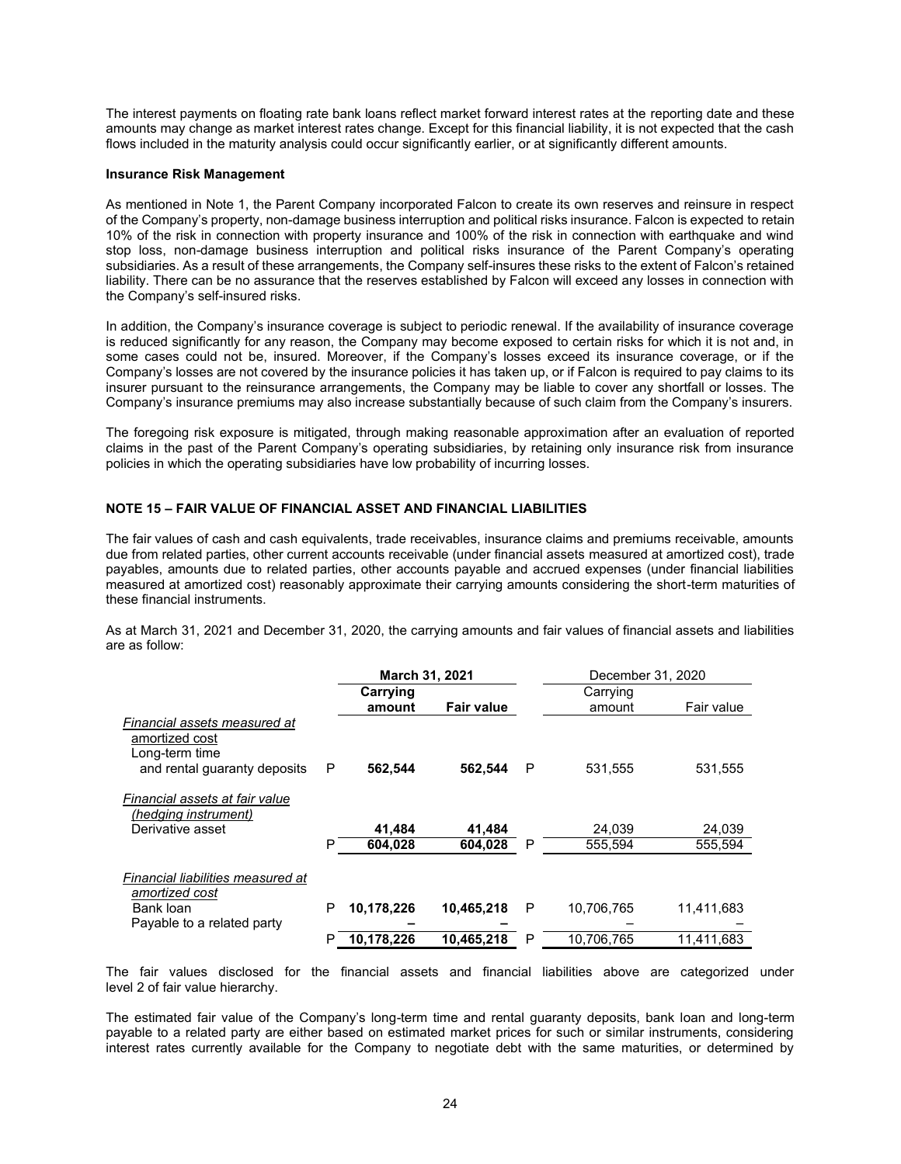The interest payments on floating rate bank loans reflect market forward interest rates at the reporting date and these amounts may change as market interest rates change. Except for this financial liability, it is not expected that the cash flows included in the maturity analysis could occur significantly earlier, or at significantly different amounts.

#### **Insurance Risk Management**

As mentioned in Note 1, the Parent Company incorporated Falcon to create its own reserves and reinsure in respect of the Company's property, non-damage business interruption and political risks insurance. Falcon is expected to retain 10% of the risk in connection with property insurance and 100% of the risk in connection with earthquake and wind stop loss, non-damage business interruption and political risks insurance of the Parent Company's operating subsidiaries. As a result of these arrangements, the Company self-insures these risks to the extent of Falcon's retained liability. There can be no assurance that the reserves established by Falcon will exceed any losses in connection with the Company's self-insured risks.

In addition, the Company's insurance coverage is subject to periodic renewal. If the availability of insurance coverage is reduced significantly for any reason, the Company may become exposed to certain risks for which it is not and, in some cases could not be, insured. Moreover, if the Company's losses exceed its insurance coverage, or if the Company's losses are not covered by the insurance policies it has taken up, or if Falcon is required to pay claims to its insurer pursuant to the reinsurance arrangements, the Company may be liable to cover any shortfall or losses. The Company's insurance premiums may also increase substantially because of such claim from the Company's insurers.

The foregoing risk exposure is mitigated, through making reasonable approximation after an evaluation of reported claims in the past of the Parent Company's operating subsidiaries, by retaining only insurance risk from insurance policies in which the operating subsidiaries have low probability of incurring losses.

#### **NOTE 15 – FAIR VALUE OF FINANCIAL ASSET AND FINANCIAL LIABILITIES**

The fair values of cash and cash equivalents, trade receivables, insurance claims and premiums receivable, amounts due from related parties, other current accounts receivable (under financial assets measured at amortized cost), trade payables, amounts due to related parties, other accounts payable and accrued expenses (under financial liabilities measured at amortized cost) reasonably approximate their carrying amounts considering the short-term maturities of these financial instruments.

As at March 31, 2021 and December 31, 2020, the carrying amounts and fair values of financial assets and liabilities are as follow:

|                                                                                                  |   | March 31, 2021 |                   |   | December 31, 2020 |            |
|--------------------------------------------------------------------------------------------------|---|----------------|-------------------|---|-------------------|------------|
|                                                                                                  |   | Carrying       |                   |   | Carrying          |            |
|                                                                                                  |   | amount         | <b>Fair value</b> |   | amount            | Fair value |
| Financial assets measured at<br>amortized cost<br>Long-term time<br>and rental guaranty deposits | P | 562.544        | 562.544           | P | 531.555           | 531,555    |
| Financial assets at fair value<br>(hedging instrument)                                           |   |                |                   |   |                   |            |
| Derivative asset                                                                                 |   | 41.484         | 41.484            |   | 24.039            | 24,039     |
|                                                                                                  | P | 604,028        | 604,028           | P | 555.594           | 555,594    |
| Financial liabilities measured at<br>amortized cost                                              |   |                |                   |   |                   |            |
| Bank loan                                                                                        | P | 10,178,226     | 10,465,218        | P | 10,706,765        | 11,411,683 |
| Payable to a related party                                                                       |   |                |                   |   |                   |            |
|                                                                                                  | P | 10,178,226     | 10.465.218        | P | 10.706.765        | 11.411.683 |

The fair values disclosed for the financial assets and financial liabilities above are categorized under level 2 of fair value hierarchy.

The estimated fair value of the Company's long-term time and rental guaranty deposits, bank loan and long-term payable to a related party are either based on estimated market prices for such or similar instruments, considering interest rates currently available for the Company to negotiate debt with the same maturities, or determined by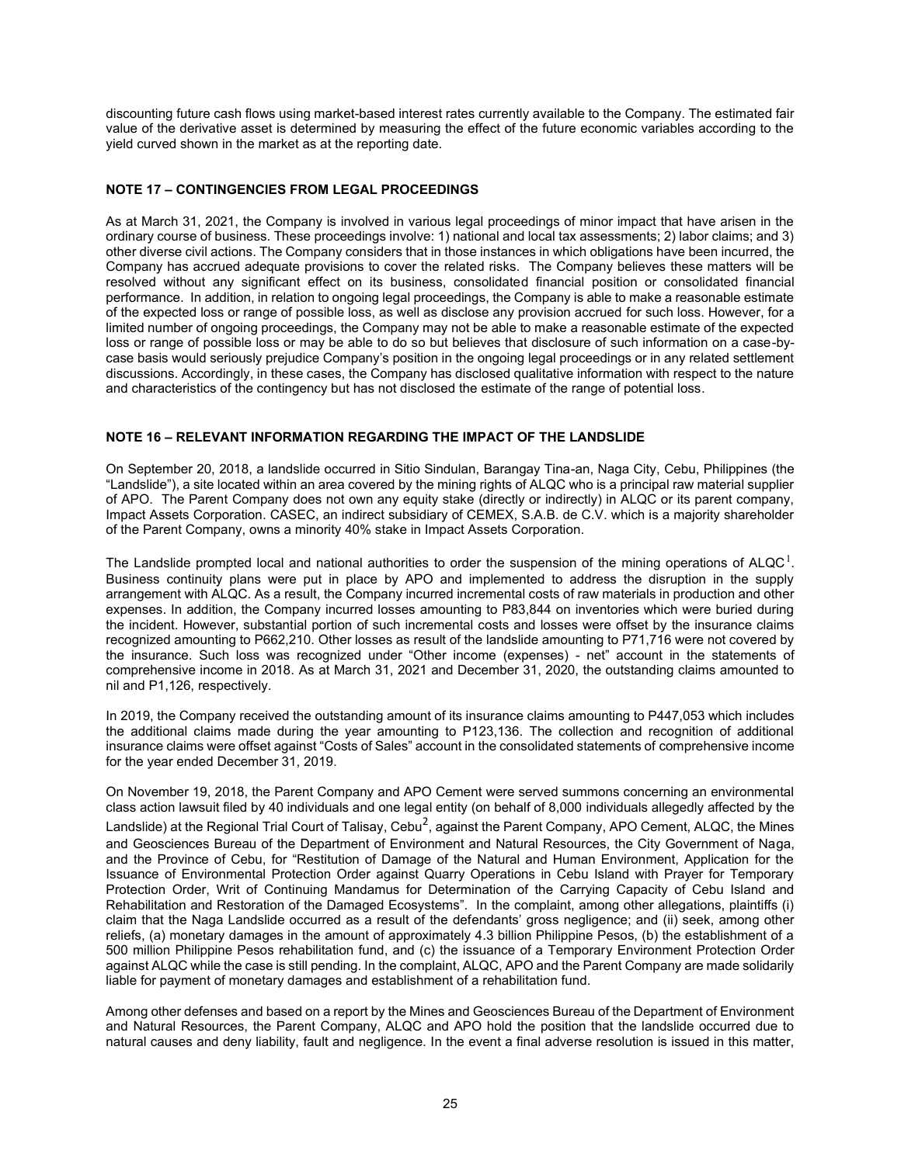discounting future cash flows using market-based interest rates currently available to the Company. The estimated fair value of the derivative asset is determined by measuring the effect of the future economic variables according to the yield curved shown in the market as at the reporting date.

# **NOTE 17 – CONTINGENCIES FROM LEGAL PROCEEDINGS**

As at March 31, 2021, the Company is involved in various legal proceedings of minor impact that have arisen in the ordinary course of business. These proceedings involve: 1) national and local tax assessments; 2) labor claims; and 3) other diverse civil actions. The Company considers that in those instances in which obligations have been incurred, the Company has accrued adequate provisions to cover the related risks. The Company believes these matters will be resolved without any significant effect on its business, consolidated financial position or consolidated financial performance. In addition, in relation to ongoing legal proceedings, the Company is able to make a reasonable estimate of the expected loss or range of possible loss, as well as disclose any provision accrued for such loss. However, for a limited number of ongoing proceedings, the Company may not be able to make a reasonable estimate of the expected loss or range of possible loss or may be able to do so but believes that disclosure of such information on a case-bycase basis would seriously prejudice Company's position in the ongoing legal proceedings or in any related settlement discussions. Accordingly, in these cases, the Company has disclosed qualitative information with respect to the nature and characteristics of the contingency but has not disclosed the estimate of the range of potential loss.

# **NOTE 16 – RELEVANT INFORMATION REGARDING THE IMPACT OF THE LANDSLIDE**

On September 20, 2018, a landslide occurred in Sitio Sindulan, Barangay Tina-an, Naga City, Cebu, Philippines (the "Landslide"), a site located within an area covered by the mining rights of ALQC who is a principal raw material supplier of APO. The Parent Company does not own any equity stake (directly or indirectly) in ALQC or its parent company, Impact Assets Corporation. CASEC, an indirect subsidiary of CEMEX, S.A.B. de C.V. which is a majority shareholder of the Parent Company, owns a minority 40% stake in Impact Assets Corporation.

The Landslide prompted local and national authorities to order the suspension of the mining operations of ALQC<sup>1</sup>. Business continuity plans were put in place by APO and implemented to address the disruption in the supply arrangement with ALQC. As a result, the Company incurred incremental costs of raw materials in production and other expenses. In addition, the Company incurred losses amounting to P83,844 on inventories which were buried during the incident. However, substantial portion of such incremental costs and losses were offset by the insurance claims recognized amounting to P662,210. Other losses as result of the landslide amounting to P71,716 were not covered by the insurance. Such loss was recognized under "Other income (expenses) - net" account in the statements of comprehensive income in 2018. As at March 31, 2021 and December 31, 2020, the outstanding claims amounted to nil and P1,126, respectively.

In 2019, the Company received the outstanding amount of its insurance claims amounting to P447,053 which includes the additional claims made during the year amounting to P123,136. The collection and recognition of additional insurance claims were offset against "Costs of Sales" account in the consolidated statements of comprehensive income for the year ended December 31, 2019.

On November 19, 2018, the Parent Company and APO Cement were served summons concerning an environmental class action lawsuit filed by 40 individuals and one legal entity (on behalf of 8,000 individuals allegedly affected by the Landslide) at the Regional Trial Court of Talisay, Cebu $^2$ , against the Parent Company, APO Cement, ALQC, the Mines and Geosciences Bureau of the Department of Environment and Natural Resources, the City Government of Naga, and the Province of Cebu, for "Restitution of Damage of the Natural and Human Environment, Application for the Issuance of Environmental Protection Order against Quarry Operations in Cebu Island with Prayer for Temporary Protection Order, Writ of Continuing Mandamus for Determination of the Carrying Capacity of Cebu Island and Rehabilitation and Restoration of the Damaged Ecosystems". In the complaint, among other allegations, plaintiffs (i) claim that the Naga Landslide occurred as a result of the defendants' gross negligence; and (ii) seek, among other reliefs, (a) monetary damages in the amount of approximately 4.3 billion Philippine Pesos, (b) the establishment of a 500 million Philippine Pesos rehabilitation fund, and (c) the issuance of a Temporary Environment Protection Order against ALQC while the case is still pending. In the complaint, ALQC, APO and the Parent Company are made solidarily liable for payment of monetary damages and establishment of a rehabilitation fund.

Among other defenses and based on a report by the Mines and Geosciences Bureau of the Department of Environment and Natural Resources, the Parent Company, ALQC and APO hold the position that the landslide occurred due to natural causes and deny liability, fault and negligence. In the event a final adverse resolution is issued in this matter,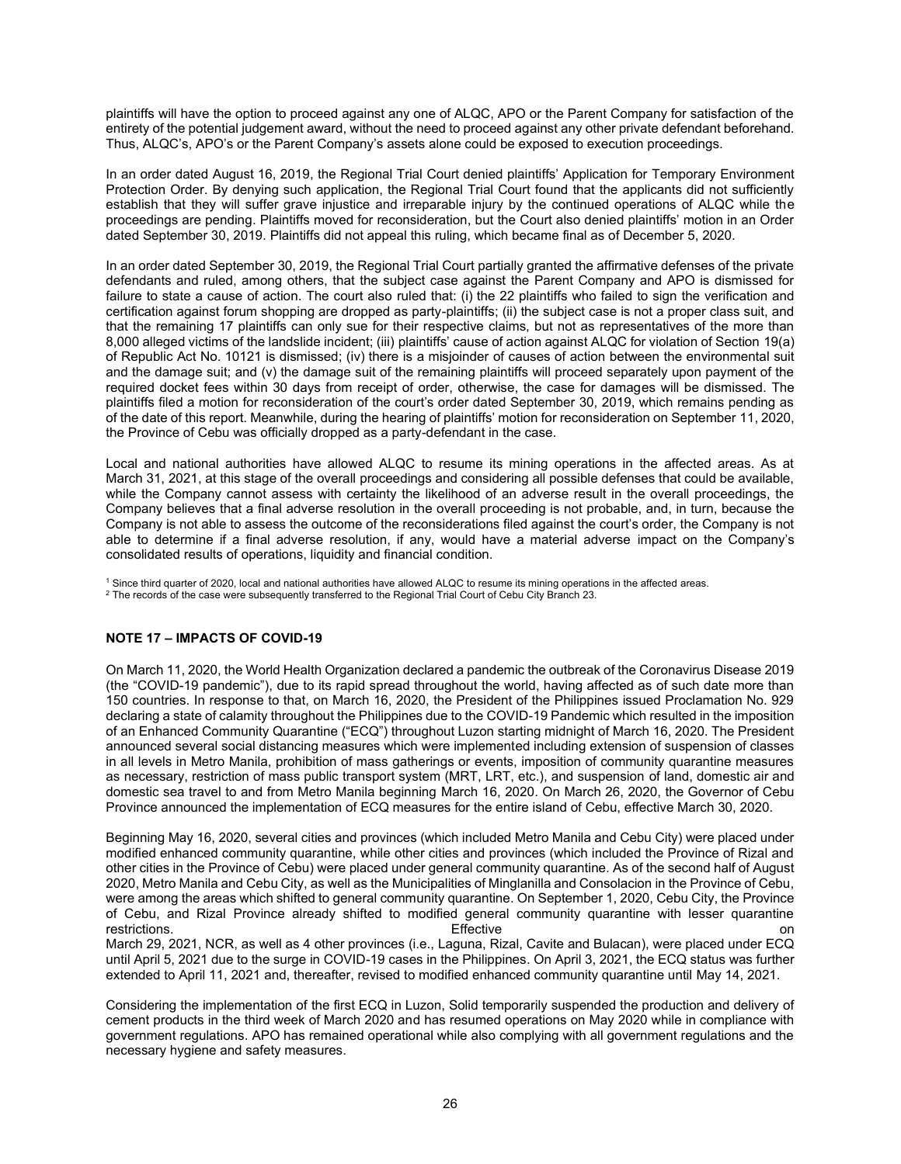plaintiffs will have the option to proceed against any one of ALQC, APO or the Parent Company for satisfaction of the entirety of the potential judgement award, without the need to proceed against any other private defendant beforehand. Thus, ALQC's, APO's or the Parent Company's assets alone could be exposed to execution proceedings.

In an order dated August 16, 2019, the Regional Trial Court denied plaintiffs' Application for Temporary Environment Protection Order. By denying such application, the Regional Trial Court found that the applicants did not sufficiently establish that they will suffer grave injustice and irreparable injury by the continued operations of ALQC while the proceedings are pending. Plaintiffs moved for reconsideration, but the Court also denied plaintiffs' motion in an Order dated September 30, 2019. Plaintiffs did not appeal this ruling, which became final as of December 5, 2020.

In an order dated September 30, 2019, the Regional Trial Court partially granted the affirmative defenses of the private defendants and ruled, among others, that the subject case against the Parent Company and APO is dismissed for failure to state a cause of action. The court also ruled that: (i) the 22 plaintiffs who failed to sign the verification and certification against forum shopping are dropped as party-plaintiffs; (ii) the subject case is not a proper class suit, and that the remaining 17 plaintiffs can only sue for their respective claims, but not as representatives of the more than 8,000 alleged victims of the landslide incident; (iii) plaintiffs' cause of action against ALQC for violation of Section 19(a) of Republic Act No. 10121 is dismissed; (iv) there is a misjoinder of causes of action between the environmental suit and the damage suit; and (v) the damage suit of the remaining plaintiffs will proceed separately upon payment of the required docket fees within 30 days from receipt of order, otherwise, the case for damages will be dismissed. The plaintiffs filed a motion for reconsideration of the court's order dated September 30, 2019, which remains pending as of the date of this report. Meanwhile, during the hearing of plaintiffs' motion for reconsideration on September 11, 2020, the Province of Cebu was officially dropped as a party-defendant in the case.

Local and national authorities have allowed ALQC to resume its mining operations in the affected areas. As at March 31, 2021, at this stage of the overall proceedings and considering all possible defenses that could be available, while the Company cannot assess with certainty the likelihood of an adverse result in the overall proceedings, the Company believes that a final adverse resolution in the overall proceeding is not probable, and, in turn, because the Company is not able to assess the outcome of the reconsiderations filed against the court's order, the Company is not able to determine if a final adverse resolution, if any, would have a material adverse impact on the Company's consolidated results of operations, liquidity and financial condition.

<sup>1</sup> Since third quarter of 2020, local and national authorities have allowed ALQC to resume its mining operations in the affected areas.

<sup>2</sup> The records of the case were subsequently transferred to the Regional Trial Court of Cebu City Branch 23.

#### **NOTE 17 – IMPACTS OF COVID-19**

On March 11, 2020, the World Health Organization declared a pandemic the outbreak of the Coronavirus Disease 2019 (the "COVID-19 pandemic"), due to its rapid spread throughout the world, having affected as of such date more than 150 countries. In response to that, on March 16, 2020, the President of the Philippines issued Proclamation No. 929 declaring a state of calamity throughout the Philippines due to the COVID-19 Pandemic which resulted in the imposition of an Enhanced Community Quarantine ("ECQ") throughout Luzon starting midnight of March 16, 2020. The President announced several social distancing measures which were implemented including extension of suspension of classes in all levels in Metro Manila, prohibition of mass gatherings or events, imposition of community quarantine measures as necessary, restriction of mass public transport system (MRT, LRT, etc.), and suspension of land, domestic air and domestic sea travel to and from Metro Manila beginning March 16, 2020. On March 26, 2020, the Governor of Cebu Province announced the implementation of ECQ measures for the entire island of Cebu, effective March 30, 2020.

Beginning May 16, 2020, several cities and provinces (which included Metro Manila and Cebu City) were placed under modified enhanced community quarantine, while other cities and provinces (which included the Province of Rizal and other cities in the Province of Cebu) were placed under general community quarantine. As of the second half of August 2020, Metro Manila and Cebu City, as well as the Municipalities of Minglanilla and Consolacion in the Province of Cebu, were among the areas which shifted to general community quarantine. On September 1, 2020, Cebu City, the Province of Cebu, and Rizal Province already shifted to modified general community quarantine with lesser quarantine<br>Fifective Effective restrictions. Effective on March 29, 2021, NCR, as well as 4 other provinces (i.e., Laguna, Rizal, Cavite and Bulacan), were placed under ECQ until April 5, 2021 due to the surge in COVID-19 cases in the Philippines. On April 3, 2021, the ECQ status was further

extended to April 11, 2021 and, thereafter, revised to modified enhanced community quarantine until May 14, 2021. Considering the implementation of the first ECQ in Luzon, Solid temporarily suspended the production and delivery of

cement products in the third week of March 2020 and has resumed operations on May 2020 while in compliance with government regulations. APO has remained operational while also complying with all government regulations and the necessary hygiene and safety measures.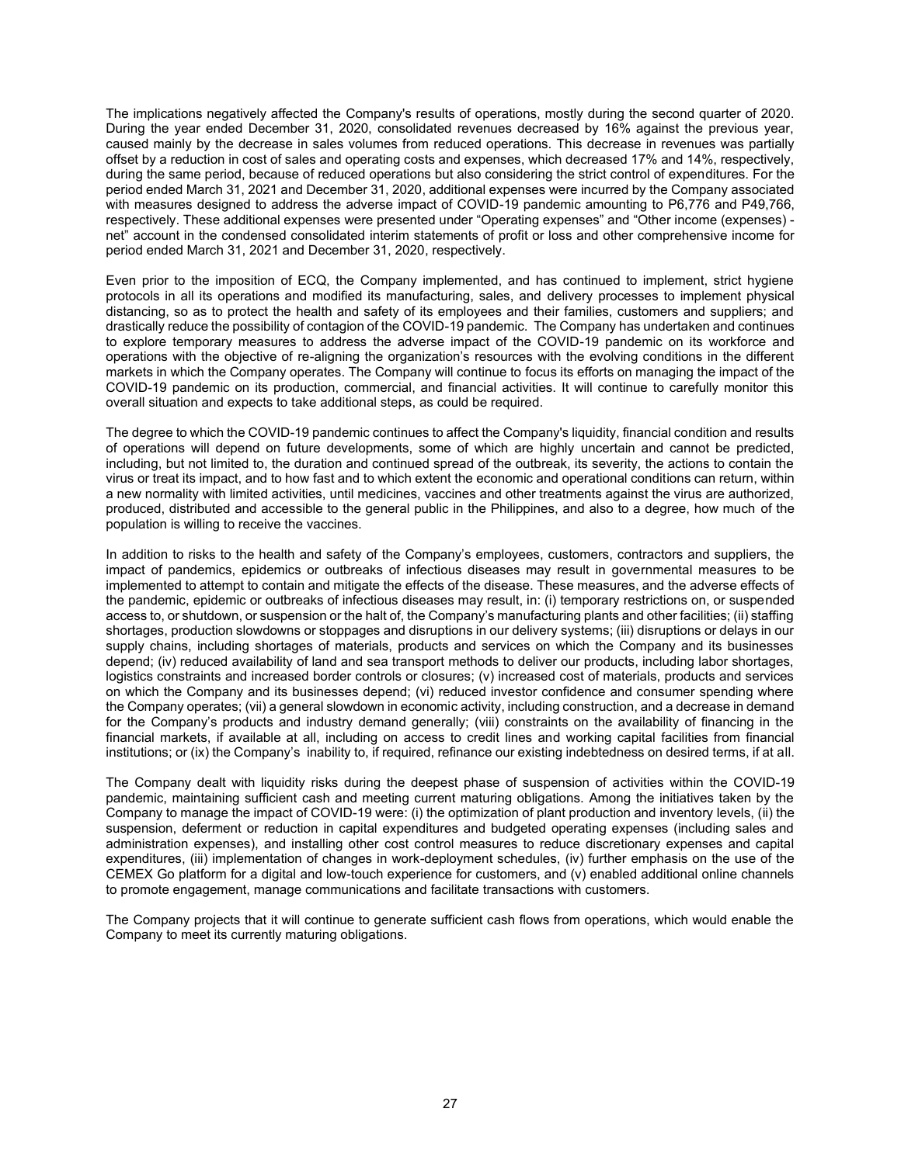The implications negatively affected the Company's results of operations, mostly during the second quarter of 2020. During the year ended December 31, 2020, consolidated revenues decreased by 16% against the previous year, caused mainly by the decrease in sales volumes from reduced operations. This decrease in revenues was partially offset by a reduction in cost of sales and operating costs and expenses, which decreased 17% and 14%, respectively, during the same period, because of reduced operations but also considering the strict control of expenditures. For the period ended March 31, 2021 and December 31, 2020, additional expenses were incurred by the Company associated with measures designed to address the adverse impact of COVID-19 pandemic amounting to P6,776 and P49,766, respectively. These additional expenses were presented under "Operating expenses" and "Other income (expenses) net" account in the condensed consolidated interim statements of profit or loss and other comprehensive income for period ended March 31, 2021 and December 31, 2020, respectively.

Even prior to the imposition of ECQ, the Company implemented, and has continued to implement, strict hygiene protocols in all its operations and modified its manufacturing, sales, and delivery processes to implement physical distancing, so as to protect the health and safety of its employees and their families, customers and suppliers; and drastically reduce the possibility of contagion of the COVID-19 pandemic. The Company has undertaken and continues to explore temporary measures to address the adverse impact of the COVID-19 pandemic on its workforce and operations with the objective of re-aligning the organization's resources with the evolving conditions in the different markets in which the Company operates. The Company will continue to focus its efforts on managing the impact of the COVID-19 pandemic on its production, commercial, and financial activities. It will continue to carefully monitor this overall situation and expects to take additional steps, as could be required.

The degree to which the COVID-19 pandemic continues to affect the Company's liquidity, financial condition and results of operations will depend on future developments, some of which are highly uncertain and cannot be predicted, including, but not limited to, the duration and continued spread of the outbreak, its severity, the actions to contain the virus or treat its impact, and to how fast and to which extent the economic and operational conditions can return, within a new normality with limited activities, until medicines, vaccines and other treatments against the virus are authorized, produced, distributed and accessible to the general public in the Philippines, and also to a degree, how much of the population is willing to receive the vaccines.

In addition to risks to the health and safety of the Company's employees, customers, contractors and suppliers, the impact of pandemics, epidemics or outbreaks of infectious diseases may result in governmental measures to be implemented to attempt to contain and mitigate the effects of the disease. These measures, and the adverse effects of the pandemic, epidemic or outbreaks of infectious diseases may result, in: (i) temporary restrictions on, or suspended access to, or shutdown, or suspension or the halt of, the Company's manufacturing plants and other facilities; (ii) staffing shortages, production slowdowns or stoppages and disruptions in our delivery systems; (iii) disruptions or delays in our supply chains, including shortages of materials, products and services on which the Company and its businesses depend; (iv) reduced availability of land and sea transport methods to deliver our products, including labor shortages, logistics constraints and increased border controls or closures; (v) increased cost of materials, products and services on which the Company and its businesses depend; (vi) reduced investor confidence and consumer spending where the Company operates; (vii) a general slowdown in economic activity, including construction, and a decrease in demand for the Company's products and industry demand generally; (viii) constraints on the availability of financing in the financial markets, if available at all, including on access to credit lines and working capital facilities from financial institutions; or (ix) the Company's inability to, if required, refinance our existing indebtedness on desired terms, if at all.

The Company dealt with liquidity risks during the deepest phase of suspension of activities within the COVID-19 pandemic, maintaining sufficient cash and meeting current maturing obligations. Among the initiatives taken by the Company to manage the impact of COVID-19 were: (i) the optimization of plant production and inventory levels, (ii) the suspension, deferment or reduction in capital expenditures and budgeted operating expenses (including sales and administration expenses), and installing other cost control measures to reduce discretionary expenses and capital expenditures, (iii) implementation of changes in work-deployment schedules, (iv) further emphasis on the use of the CEMEX Go platform for a digital and low-touch experience for customers, and (v) enabled additional online channels to promote engagement, manage communications and facilitate transactions with customers.

The Company projects that it will continue to generate sufficient cash flows from operations, which would enable the Company to meet its currently maturing obligations.